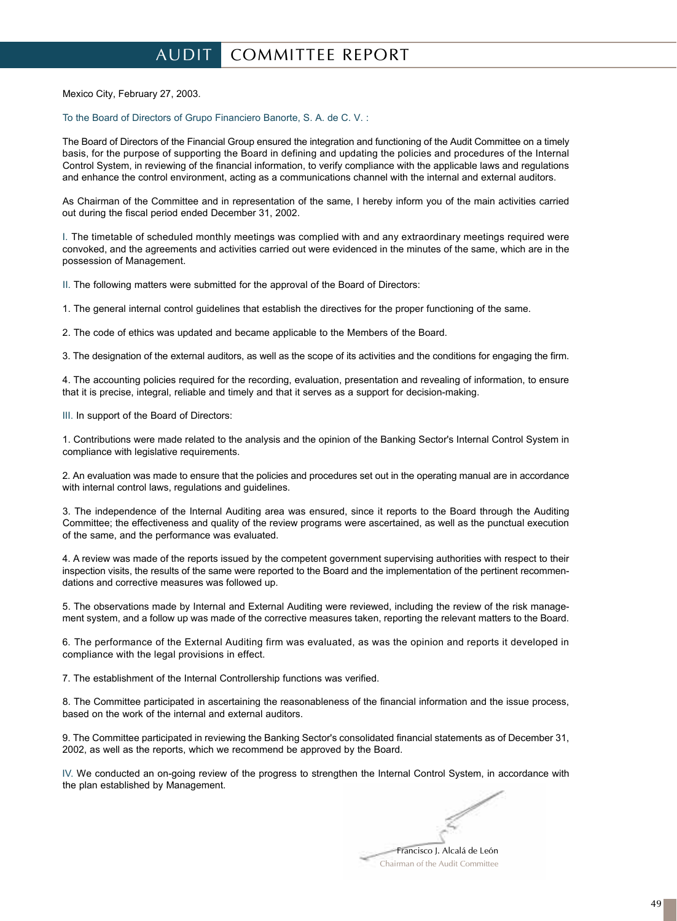## AUDIT COMMITTEE REPORT

Mexico City, February 27, 2003.

To the Board of Directors of Grupo Financiero Banorte, S. A. de C. V. :

The Board of Directors of the Financial Group ensured the integration and functioning of the Audit Committee on a timely basis, for the purpose of supporting the Board in defining and updating the policies and procedures of the Internal Control System, in reviewing of the financial information, to verify compliance with the applicable laws and regulations and enhance the control environment, acting as a communications channel with the internal and external auditors.

As Chairman of the Committee and in representation of the same, I hereby inform you of the main activities carried out during the fiscal period ended December 31, 2002.

I. The timetable of scheduled monthly meetings was complied with and any extraordinary meetings required were convoked, and the agreements and activities carried out were evidenced in the minutes of the same, which are in the possession of Management.

II. The following matters were submitted for the approval of the Board of Directors:

1. The general internal control guidelines that establish the directives for the proper functioning of the same.

2. The code of ethics was updated and became applicable to the Members of the Board.

3. The designation of the external auditors, as well as the scope of its activities and the conditions for engaging the firm.

4. The accounting policies required for the recording, evaluation, presentation and revealing of information, to ensure that it is precise, integral, reliable and timely and that it serves as a support for decision-making.

III. In support of the Board of Directors:

1. Contributions were made related to the analysis and the opinion of the Banking Sector's Internal Control System in compliance with legislative requirements.

2. An evaluation was made to ensure that the policies and procedures set out in the operating manual are in accordance with internal control laws, regulations and guidelines.

3. The independence of the Internal Auditing area was ensured, since it reports to the Board through the Auditing Committee; the effectiveness and quality of the review programs were ascertained, as well as the punctual execution of the same, and the performance was evaluated.

4. A review was made of the reports issued by the competent government supervising authorities with respect to their inspection visits, the results of the same were reported to the Board and the implementation of the pertinent recommendations and corrective measures was followed up.

5. The observations made by Internal and External Auditing were reviewed, including the review of the risk management system, and a follow up was made of the corrective measures taken, reporting the relevant matters to the Board.

6. The performance of the External Auditing firm was evaluated, as was the opinion and reports it developed in compliance with the legal provisions in effect.

7. The establishment of the Internal Controllership functions was verified.

8. The Committee participated in ascertaining the reasonableness of the financial information and the issue process, based on the work of the internal and external auditors.

9. The Committee participated in reviewing the Banking Sector's consolidated financial statements as of December 31, 2002, as well as the reports, which we recommend be approved by the Board.

IV. We conducted an on-going review of the progress to strengthen the Internal Control System, in accordance with the plan established by Management.

Francisco J. Alcalá de León Chairman of the Audit Committee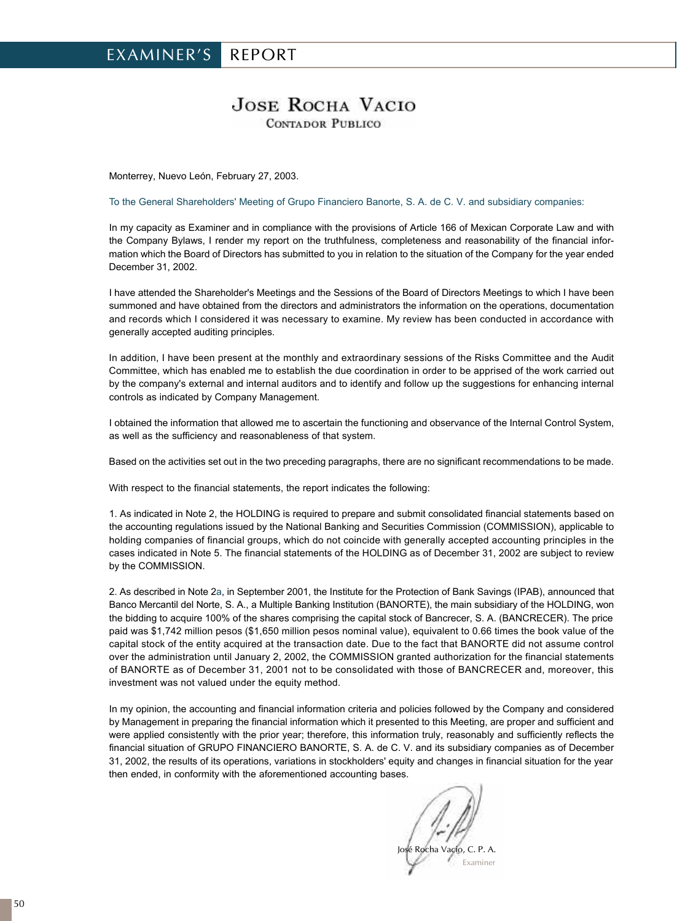## **JOSE ROCHA VACIO CONTADOR PUBLICO**

Monterrey, Nuevo León, February 27, 2003.

To the General Shareholders' Meeting of Grupo Financiero Banorte, S. A. de C. V. and subsidiary companies:

In my capacity as Examiner and in compliance with the provisions of Article 166 of Mexican Corporate Law and with the Company Bylaws, I render my report on the truthfulness, completeness and reasonability of the financial information which the Board of Directors has submitted to you in relation to the situation of the Company for the year ended December 31, 2002.

I have attended the Shareholder's Meetings and the Sessions of the Board of Directors Meetings to which I have been summoned and have obtained from the directors and administrators the information on the operations, documentation and records which I considered it was necessary to examine. My review has been conducted in accordance with generally accepted auditing principles.

In addition, I have been present at the monthly and extraordinary sessions of the Risks Committee and the Audit Committee, which has enabled me to establish the due coordination in order to be apprised of the work carried out by the company's external and internal auditors and to identify and follow up the suggestions for enhancing internal controls as indicated by Company Management.

I obtained the information that allowed me to ascertain the functioning and observance of the Internal Control System, as well as the sufficiency and reasonableness of that system.

Based on the activities set out in the two preceding paragraphs, there are no significant recommendations to be made.

With respect to the financial statements, the report indicates the following:

1. As indicated in Note 2, the HOLDING is required to prepare and submit consolidated financial statements based on the accounting regulations issued by the National Banking and Securities Commission (COMMISSION), applicable to holding companies of financial groups, which do not coincide with generally accepted accounting principles in the cases indicated in Note 5. The financial statements of the HOLDING as of December 31, 2002 are subject to review by the COMMISSION.

2. As described in Note 2a, in September 2001, the Institute for the Protection of Bank Savings (IPAB), announced that Banco Mercantil del Norte, S. A., a Multiple Banking Institution (BANORTE), the main subsidiary of the HOLDING, won the bidding to acquire 100% of the shares comprising the capital stock of Bancrecer, S. A. (BANCRECER). The price paid was \$1,742 million pesos (\$1,650 million pesos nominal value), equivalent to 0.66 times the book value of the capital stock of the entity acquired at the transaction date. Due to the fact that BANORTE did not assume control over the administration until January 2, 2002, the COMMISSION granted authorization for the financial statements of BANORTE as of December 31, 2001 not to be consolidated with those of BANCRECER and, moreover, this investment was not valued under the equity method.

In my opinion, the accounting and financial information criteria and policies followed by the Company and considered by Management in preparing the financial information which it presented to this Meeting, are proper and sufficient and were applied consistently with the prior year; therefore, this information truly, reasonably and sufficiently reflects the financial situation of GRUPO FINANCIERO BANORTE, S. A. de C. V. and its subsidiary companies as of December 31, 2002, the results of its operations, variations in stockholders' equity and changes in financial situation for the year then ended, in conformity with the aforementioned accounting bases.

Rocha Vacio, C. P. A. Examiner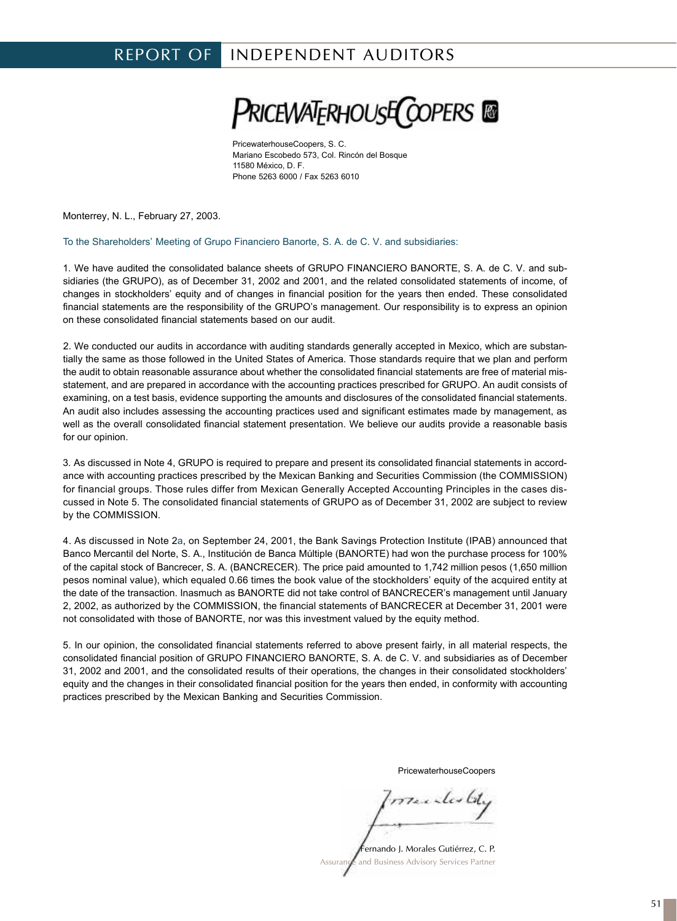## REPORT OF INDEPENDENT AUDITORS

**PRICEWATERHOUSE COPERS** 

PricewaterhouseCoopers, S. C. Mariano Escobedo 573, Col. Rincón del Bosque 11580 México, D. F. Phone 5263 6000 / Fax 5263 6010

Monterrey, N. L., February 27, 2003.

To the Shareholders' Meeting of Grupo Financiero Banorte, S. A. de C. V. and subsidiaries:

1. We have audited the consolidated balance sheets of GRUPO FINANCIERO BANORTE, S. A. de C. V. and subsidiaries (the GRUPO), as of December 31, 2002 and 2001, and the related consolidated statements of income, of changes in stockholders' equity and of changes in financial position for the years then ended. These consolidated financial statements are the responsibility of the GRUPO's management. Our responsibility is to express an opinion on these consolidated financial statements based on our audit.

2. We conducted our audits in accordance with auditing standards generally accepted in Mexico, which are substantially the same as those followed in the United States of America. Those standards require that we plan and perform the audit to obtain reasonable assurance about whether the consolidated financial statements are free of material misstatement, and are prepared in accordance with the accounting practices prescribed for GRUPO. An audit consists of examining, on a test basis, evidence supporting the amounts and disclosures of the consolidated financial statements. An audit also includes assessing the accounting practices used and significant estimates made by management, as well as the overall consolidated financial statement presentation. We believe our audits provide a reasonable basis for our opinion.

3. As discussed in Note 4, GRUPO is required to prepare and present its consolidated financial statements in accordance with accounting practices prescribed by the Mexican Banking and Securities Commission (the COMMISSION) for financial groups. Those rules differ from Mexican Generally Accepted Accounting Principles in the cases discussed in Note 5. The consolidated financial statements of GRUPO as of December 31, 2002 are subject to review by the COMMISSION.

4. As discussed in Note 2a, on September 24, 2001, the Bank Savings Protection Institute (IPAB) announced that Banco Mercantil del Norte, S. A., Institución de Banca Múltiple (BANORTE) had won the purchase process for 100% of the capital stock of Bancrecer, S. A. (BANCRECER). The price paid amounted to 1,742 million pesos (1,650 million pesos nominal value), which equaled 0.66 times the book value of the stockholders' equity of the acquired entity at the date of the transaction. Inasmuch as BANORTE did not take control of BANCRECER's management until January 2, 2002, as authorized by the COMMISSION, the financial statements of BANCRECER at December 31, 2001 were not consolidated with those of BANORTE, nor was this investment valued by the equity method.

5. In our opinion, the consolidated financial statements referred to above present fairly, in all material respects, the consolidated financial position of GRUPO FINANCIERO BANORTE, S. A. de C. V. and subsidiaries as of December 31, 2002 and 2001, and the consolidated results of their operations, the changes in their consolidated stockholders' equity and the changes in their consolidated financial position for the years then ended, in conformity with accounting practices prescribed by the Mexican Banking and Securities Commission.

PricewaterhouseCoopers

marchestel

Fernando J. Morales Gutiérrez, C. P. and Business Advisory Services Partner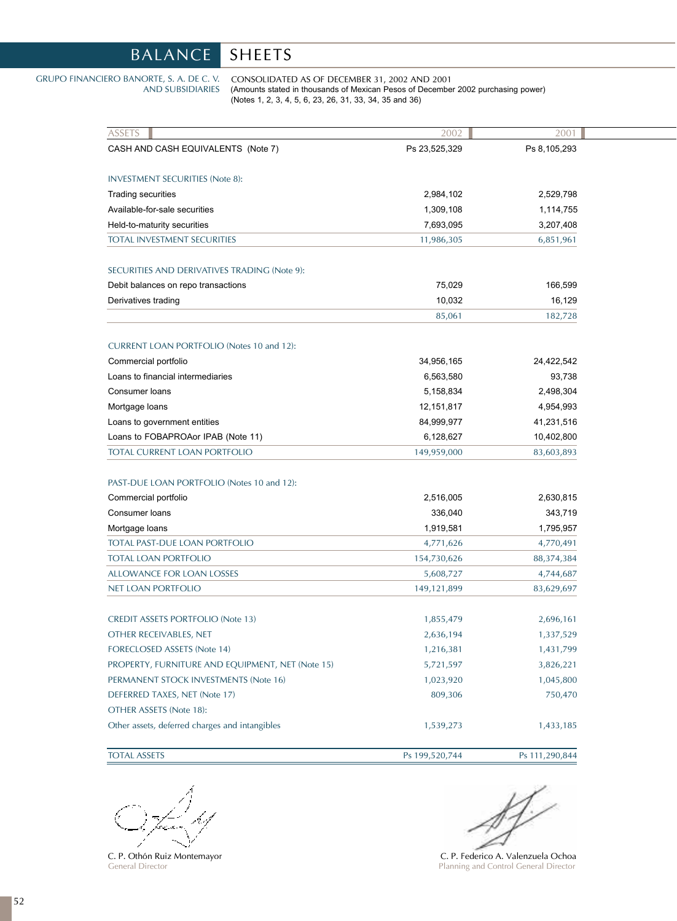# BALANCE SHEETS

#### GRUPO FINANCIERO BANORTE, S. A. DE C. V. AND SUBSIDIARIES

CONSOLIDATED AS OF DECEMBER 31, 2002 AND 2001 (Amounts stated in thousands of Mexican Pesos of December 2002 purchasing power) (Notes 1, 2, 3, 4, 5, 6, 23, 26, 31, 33, 34, 35 and 36)

| <b>ASSETS</b>                                    | 2002           | 2001           |
|--------------------------------------------------|----------------|----------------|
| CASH AND CASH EQUIVALENTS (Note 7)               | Ps 23,525,329  | Ps 8,105,293   |
| <b>INVESTMENT SECURITIES (Note 8):</b>           |                |                |
| Trading securities                               | 2,984,102      | 2,529,798      |
| Available-for-sale securities                    | 1,309,108      | 1,114,755      |
| Held-to-maturity securities                      | 7,693,095      | 3,207,408      |
| <b>TOTAL INVESTMENT SECURITIES</b>               | 11,986,305     | 6,851,961      |
| SECURITIES AND DERIVATIVES TRADING (Note 9):     |                |                |
| Debit balances on repo transactions              | 75,029         | 166,599        |
| Derivatives trading                              | 10,032         | 16,129         |
|                                                  | 85,061         | 182,728        |
| <b>CURRENT LOAN PORTFOLIO (Notes 10 and 12):</b> |                |                |
| Commercial portfolio                             | 34,956,165     | 24,422,542     |
| Loans to financial intermediaries                | 6,563,580      | 93,738         |
| Consumer loans                                   | 5,158,834      | 2,498,304      |
| Mortgage loans                                   | 12, 151, 817   | 4,954,993      |
| Loans to government entities                     | 84,999,977     | 41,231,516     |
| Loans to FOBAPROAor IPAB (Note 11)               | 6,128,627      | 10,402,800     |
| TOTAL CURRENT LOAN PORTFOLIO                     | 149,959,000    | 83,603,893     |
| PAST-DUE LOAN PORTFOLIO (Notes 10 and 12):       |                |                |
| Commercial portfolio                             | 2,516,005      | 2,630,815      |
| Consumer loans                                   | 336,040        | 343,719        |
| Mortgage loans                                   | 1,919,581      | 1,795,957      |
| TOTAL PAST-DUE LOAN PORTFOLIO                    | 4,771,626      | 4,770,491      |
| <b>TOTAL LOAN PORTFOLIO</b>                      | 154,730,626    | 88,374,384     |
| <b>ALLOWANCE FOR LOAN LOSSES</b>                 | 5,608,727      | 4,744,687      |
| NET LOAN PORTFOLIO                               | 149,121,899    | 83,629,697     |
| <b>CREDIT ASSETS PORTFOLIO (Note 13)</b>         | 1,855,479      | 2,696,161      |
| OTHER RECEIVABLES, NET                           | 2,636,194      | 1,337,529      |
| FORECLOSED ASSETS (Note 14)                      | 1,216,381      | 1,431,799      |
| PROPERTY, FURNITURE AND EQUIPMENT, NET (Note 15) | 5,721,597      | 3,826,221      |
| PERMANENT STOCK INVESTMENTS (Note 16)            | 1,023,920      | 1,045,800      |
| DEFERRED TAXES, NET (Note 17)                    | 809,306        | 750,470        |
| OTHER ASSETS (Note 18):                          |                |                |
| Other assets, deferred charges and intangibles   | 1,539,273      | 1,433,185      |
| <b>TOTAL ASSETS</b>                              | Ps 199,520,744 | Ps 111,290,844 |

C. P. Othón Ruiz Montemayor General Director

ST

C. P. Federico A. Valenzuela Ochoa Planning and Control General Director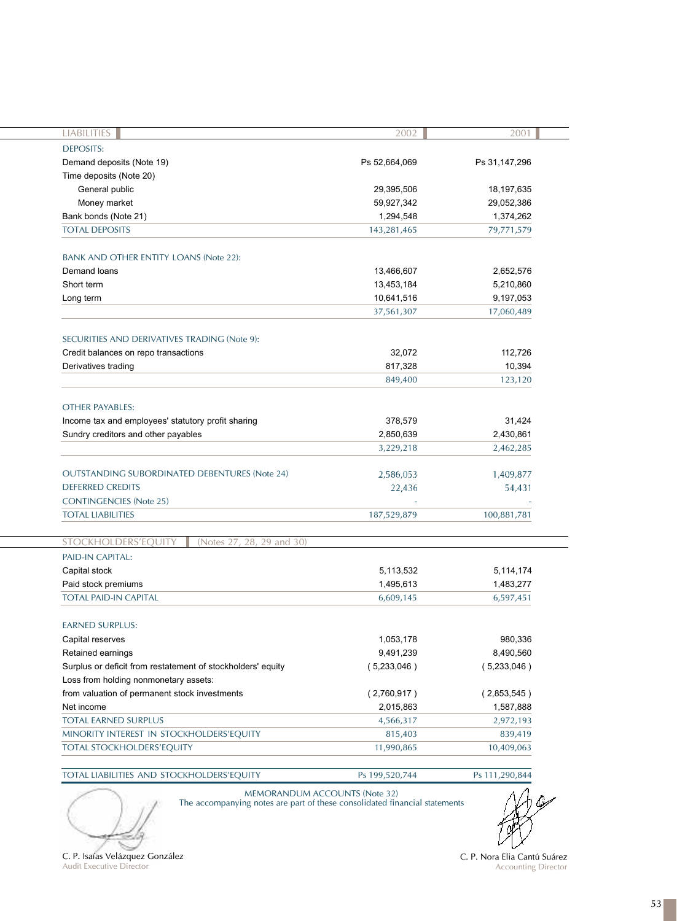| LIABILITIES                                                 | 2002          | 2001          |
|-------------------------------------------------------------|---------------|---------------|
| <b>DEPOSITS:</b>                                            |               |               |
| Demand deposits (Note 19)                                   | Ps 52,664,069 | Ps 31,147,296 |
| Time deposits (Note 20)                                     |               |               |
| General public                                              | 29,395,506    | 18, 197, 635  |
| Money market                                                | 59,927,342    | 29,052,386    |
| Bank bonds (Note 21)                                        | 1,294,548     | 1,374,262     |
| <b>TOTAL DEPOSITS</b>                                       | 143,281,465   | 79,771,579    |
|                                                             |               |               |
| <b>BANK AND OTHER ENTITY LOANS (Note 22):</b>               |               |               |
| Demand loans                                                | 13,466,607    | 2,652,576     |
| Short term                                                  | 13,453,184    | 5,210,860     |
| Long term                                                   | 10,641,516    | 9,197,053     |
|                                                             | 37,561,307    | 17,060,489    |
|                                                             |               |               |
| SECURITIES AND DERIVATIVES TRADING (Note 9):                |               |               |
| Credit balances on repo transactions                        | 32,072        | 112,726       |
| Derivatives trading                                         | 817,328       | 10,394        |
|                                                             | 849,400       | 123,120       |
|                                                             |               |               |
| <b>OTHER PAYABLES:</b>                                      |               |               |
| Income tax and employees' statutory profit sharing          | 378,579       | 31,424        |
| Sundry creditors and other payables                         | 2,850,639     | 2,430,861     |
|                                                             | 3,229,218     | 2,462,285     |
|                                                             |               |               |
| <b>OUTSTANDING SUBORDINATED DEBENTURES (Note 24)</b>        | 2,586,053     | 1,409,877     |
| <b>DEFERRED CREDITS</b>                                     | 22,436        | 54,431        |
| <b>CONTINGENCIES (Note 25)</b>                              |               |               |
| <b>TOTAL LIABILITIES</b>                                    | 187,529,879   | 100,881,781   |
|                                                             |               |               |
| STOCKHOLDERS'EQUITY<br>(Notes 27, 28, 29 and 30)            |               |               |
| PAID-IN CAPITAL:                                            |               |               |
| Capital stock                                               | 5,113,532     | 5,114,174     |
| Paid stock premiums                                         | 1,495,613     | 1,483,277     |
| <b>TOTAL PAID-IN CAPITAL</b>                                | 6,609,145     | 6,597,451     |
|                                                             |               |               |
| <b>EARNED SURPLUS:</b>                                      |               |               |
| Capital reserves                                            | 1,053,178     | 980,336       |
| Retained earnings                                           | 9,491,239     | 8,490,560     |
| Surplus or deficit from restatement of stockholders' equity | (5,233,046)   | (5,233,046)   |
| Loss from holding nonmonetary assets:                       |               |               |
| from valuation of permanent stock investments               | (2,760,917)   | (2,853,545)   |
|                                                             | 2,015,863     | 1,587,888     |
|                                                             |               |               |
| Net income<br><b>TOTAL EARNED SURPLUS</b>                   | 4,566,317     | 2,972,193     |
| MINORITY INTEREST IN STOCKHOLDERS'EQUITY                    | 815,403       | 839,419       |

TOTAL LIABILITIES AND STOCKHOLDERS'EQUITY Ps 199,520,744 Ps 111,290,844 MEMORANDUM ACCOUNTS (Note 32)



The accompanying notes are part of these consolidated financial statements



C. P. Isaías Velázquez González Audit Executive Director

C. P. Nora Elia Cantú Suárez Accounting Director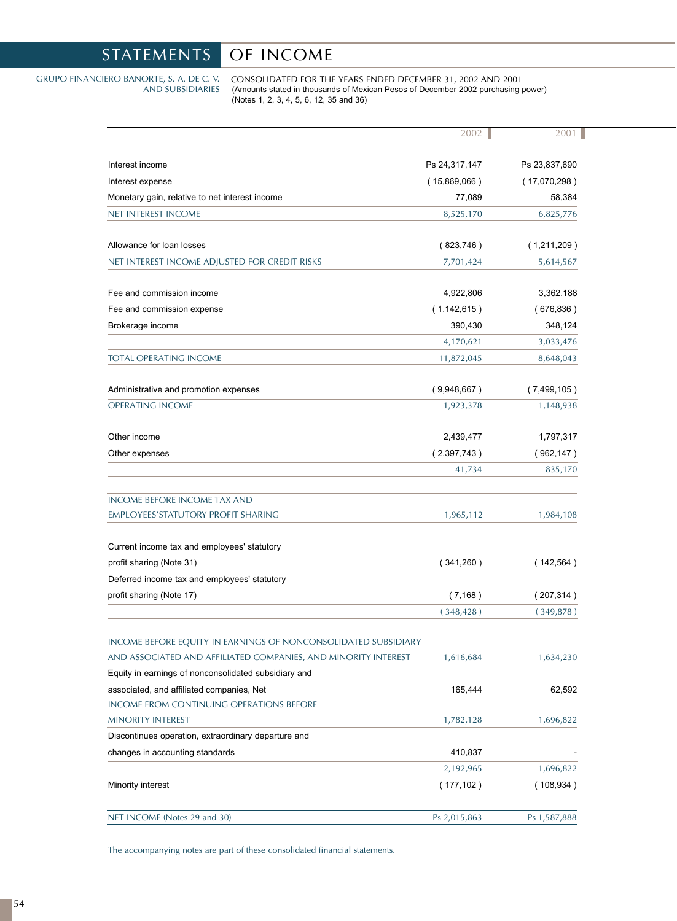# STATEMENTS OF INCOME

#### GRUPO FINANCIERO BANORTE, S. A. DE C. V. AND SUBSIDIARIES

CONSOLIDATED FOR THE YEARS ENDED DECEMBER 31, 2002 AND 2001 (Amounts stated in thousands of Mexican Pesos of December 2002 purchasing power) (Notes 1, 2, 3, 4, 5, 6, 12, 35 and 36)

|                                                                | 2002          | 2001          |
|----------------------------------------------------------------|---------------|---------------|
|                                                                |               |               |
| Interest income                                                | Ps 24,317,147 | Ps 23,837,690 |
| Interest expense                                               | (15,869,066)  | (17,070,298)  |
| Monetary gain, relative to net interest income                 | 77,089        | 58,384        |
| <b>NET INTEREST INCOME</b>                                     | 8,525,170     | 6,825,776     |
|                                                                |               |               |
| Allowance for loan losses                                      | (823,746)     | (1,211,209)   |
| NET INTEREST INCOME ADJUSTED FOR CREDIT RISKS                  | 7,701,424     | 5,614,567     |
|                                                                |               |               |
| Fee and commission income                                      | 4,922,806     | 3,362,188     |
| Fee and commission expense                                     | (1,142,615)   | (676, 836)    |
| Brokerage income                                               | 390,430       | 348,124       |
|                                                                | 4,170,621     | 3,033,476     |
| <b>TOTAL OPERATING INCOME</b>                                  | 11,872,045    | 8,648,043     |
| Administrative and promotion expenses                          | (9,948,667)   | (7,499,105)   |
| <b>OPERATING INCOME</b>                                        | 1,923,378     | 1,148,938     |
|                                                                |               |               |
| Other income                                                   | 2,439,477     | 1,797,317     |
| Other expenses                                                 | (2,397,743)   | (962, 147)    |
|                                                                | 41,734        | 835,170       |
|                                                                |               |               |
| <b>INCOME BEFORE INCOME TAX AND</b>                            |               |               |
| <b>EMPLOYEES'STATUTORY PROFIT SHARING</b>                      | 1,965,112     | 1,984,108     |
|                                                                |               |               |
| Current income tax and employees' statutory                    |               |               |
| profit sharing (Note 31)                                       | (341,260)     | (142, 564)    |
| Deferred income tax and employees' statutory                   |               |               |
| profit sharing (Note 17)                                       | (7, 168)      | (207, 314)    |
|                                                                | (348, 428)    | (349,878)     |
| INCOME BEFORE EQUITY IN EARNINGS OF NONCONSOLIDATED SUBSIDIARY |               |               |
| AND ASSOCIATED AND AFFILIATED COMPANIES, AND MINORITY INTEREST | 1,616,684     | 1,634,230     |
| Equity in earnings of nonconsolidated subsidiary and           |               |               |
| associated, and affiliated companies, Net                      | 165,444       | 62,592        |
| <b>INCOME FROM CONTINUING OPERATIONS BEFORE</b>                |               |               |
| MINORITY INTEREST                                              | 1,782,128     | 1,696,822     |
| Discontinues operation, extraordinary departure and            |               |               |
| changes in accounting standards                                | 410,837       |               |
|                                                                | 2,192,965     | 1,696,822     |
| Minority interest                                              | (177, 102)    | (108, 934)    |
|                                                                |               |               |
| NET INCOME (Notes 29 and 30)                                   | Ps 2,015,863  | Ps 1,587,888  |

The accompanying notes are part of these consolidated financial statements.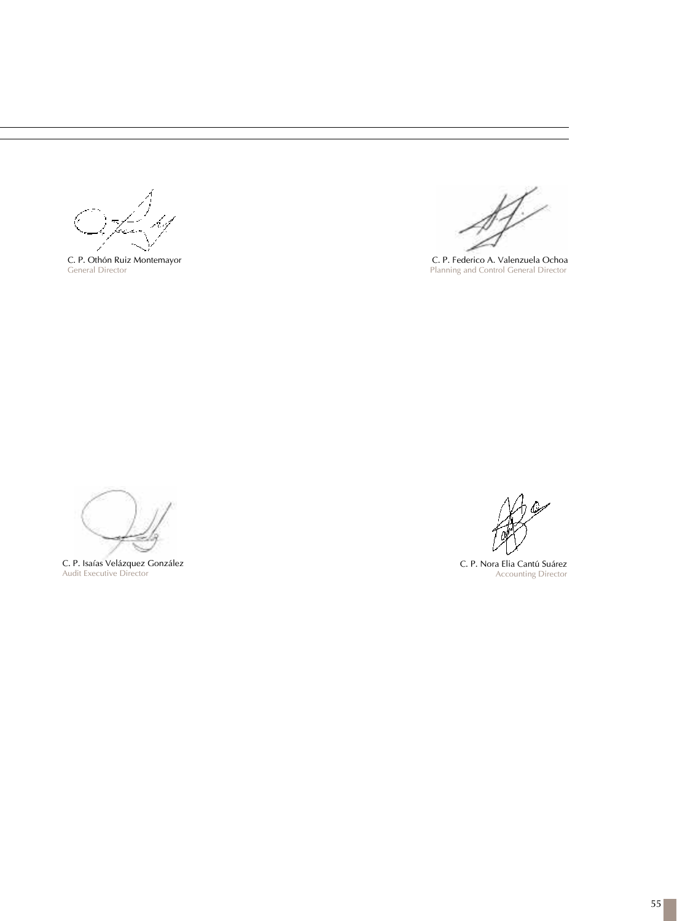C. P. Othón Ruiz Montemayor General Director

C. P. Federico A. Valenzuela Ochoa Planning and Control General Director

C. P. Isaías Velázquez González Audit Executive Director

C. P. Nora Elia Cantú Suárez Accounting Director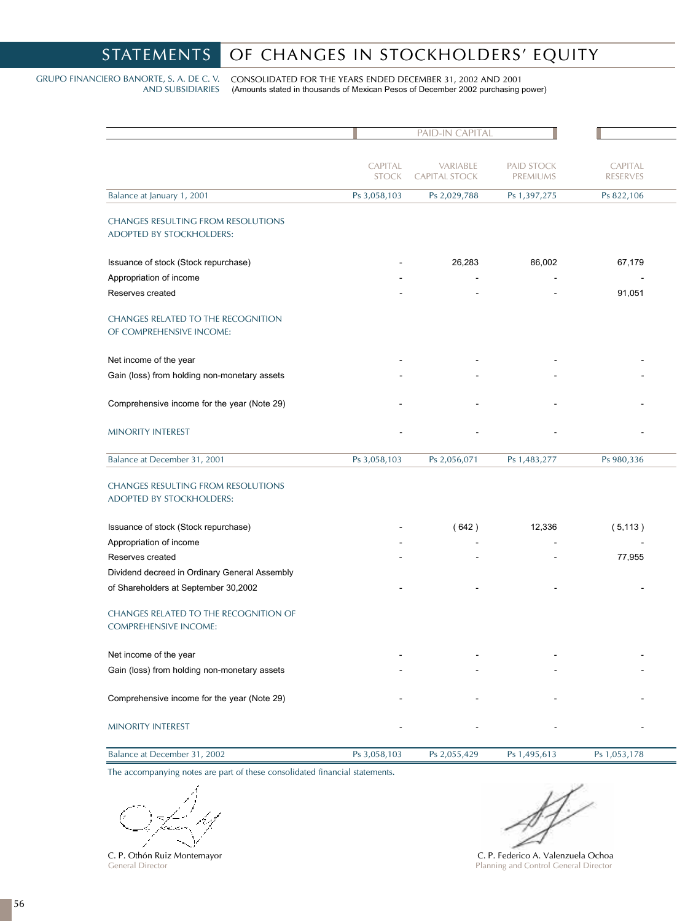# STATEMENTS OF CHANGES IN STOCKHOLDERS' EQUITY

GRUPO FINANCIERO BANORTE, S. A. DE C. V. AND SUBSIDIARIES

CONSOLIDATED FOR THE YEARS ENDED DECEMBER 31, 2002 AND 2001 (Amounts stated in thousands of Mexican Pesos of December 2002 purchasing power)

|                                                                       |                         | PAID-IN CAPITAL                  |                        |                            |  |
|-----------------------------------------------------------------------|-------------------------|----------------------------------|------------------------|----------------------------|--|
|                                                                       | CAPITAL<br><b>STOCK</b> | VARIABLE<br><b>CAPITAL STOCK</b> | PAID STOCK<br>PREMIUMS | CAPITAL<br><b>RESERVES</b> |  |
| Balance at January 1, 2001                                            | Ps 3,058,103            | Ps 2,029,788                     | Ps 1,397,275           | Ps 822,106                 |  |
| <b>CHANGES RESULTING FROM RESOLUTIONS</b><br>ADOPTED BY STOCKHOLDERS: |                         |                                  |                        |                            |  |
| Issuance of stock (Stock repurchase)                                  |                         | 26,283                           | 86,002                 | 67,179                     |  |
| Appropriation of income                                               |                         |                                  |                        |                            |  |
| Reserves created                                                      |                         |                                  |                        | 91,051                     |  |
| <b>CHANGES RELATED TO THE RECOGNITION</b><br>OF COMPREHENSIVE INCOME: |                         |                                  |                        |                            |  |
| Net income of the year                                                |                         |                                  |                        |                            |  |
| Gain (loss) from holding non-monetary assets                          |                         |                                  |                        |                            |  |
| Comprehensive income for the year (Note 29)                           |                         |                                  |                        |                            |  |
| MINORITY INTEREST                                                     |                         |                                  |                        |                            |  |
| Balance at December 31, 2001                                          | Ps 3,058,103            | Ps 2,056,071                     | Ps 1,483,277           | Ps 980,336                 |  |
| <b>CHANGES RESULTING FROM RESOLUTIONS</b><br>ADOPTED BY STOCKHOLDERS: |                         |                                  |                        |                            |  |
| Issuance of stock (Stock repurchase)                                  |                         | (642)                            | 12,336                 | (5, 113)                   |  |
| Appropriation of income                                               |                         |                                  |                        |                            |  |
| Reserves created                                                      |                         |                                  |                        | 77,955                     |  |
| Dividend decreed in Ordinary General Assembly                         |                         |                                  |                        |                            |  |
| of Shareholders at September 30,2002                                  |                         |                                  |                        |                            |  |
| CHANGES RELATED TO THE RECOGNITION OF<br><b>COMPREHENSIVE INCOME:</b> |                         |                                  |                        |                            |  |
| Net income of the year                                                |                         |                                  |                        |                            |  |
| Gain (loss) from holding non-monetary assets                          |                         |                                  |                        |                            |  |
| Comprehensive income for the year (Note 29)                           |                         |                                  |                        |                            |  |
| MINORITY INTEREST                                                     |                         |                                  |                        |                            |  |
| Balance at December 31, 2002                                          | Ps 3,058,103            | Ps 2,055,429                     | Ps 1,495,613           | Ps 1,053,178               |  |

The accompanying notes are part of these consolidated financial statements.

ina

C. P. Othón Ruiz Montemayor General Director

 $\mathbb{N}$ 

C. P. Federico A. Valenzuela Ochoa Planning and Control General Director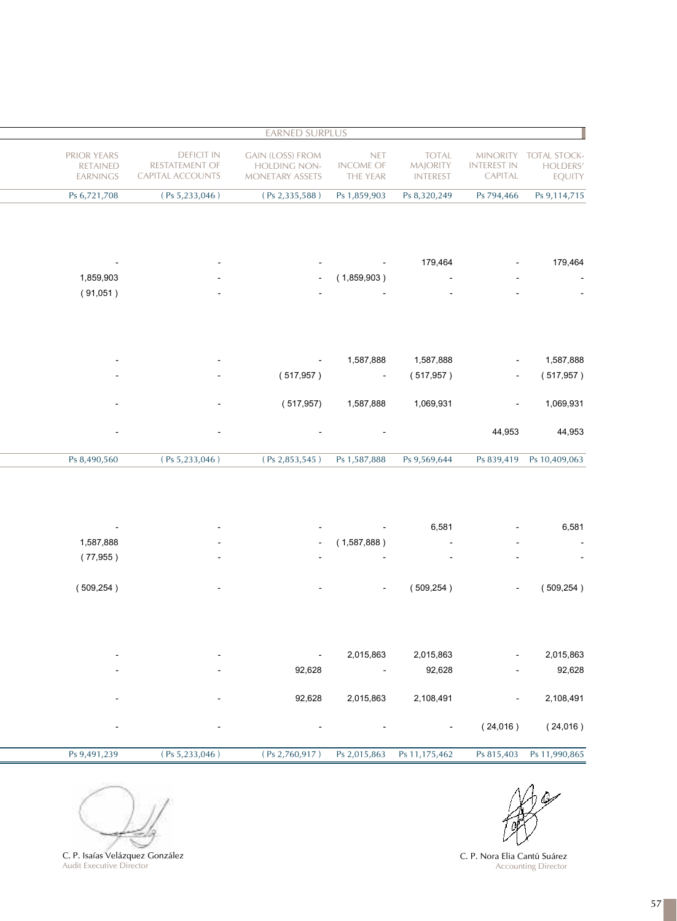|                                           |                                                  |                                                    |                                            | <b>EARNED SURPLUS</b>                                                    |                                                                |                                                   |
|-------------------------------------------|--------------------------------------------------|----------------------------------------------------|--------------------------------------------|--------------------------------------------------------------------------|----------------------------------------------------------------|---------------------------------------------------|
| TOTAL STOCK-<br>HOLDERS'<br><b>EQUITY</b> | <b>MINORITY</b><br><b>INTEREST IN</b><br>CAPITAL | <b>TOTAL</b><br><b>MAJORITY</b><br><b>INTEREST</b> | <b>NET</b><br><b>INCOME OF</b><br>THE YEAR | <b>GAIN (LOSS) FROM</b><br><b>HOLDING NON-</b><br><b>MONETARY ASSETS</b> | <b>DEFICIT IN</b><br><b>RESTATEMENT OF</b><br>CAPITAL ACCOUNTS | PRIOR YEARS<br><b>RETAINED</b><br><b>EARNINGS</b> |
| Ps 9,114,715                              | Ps 794,466                                       | Ps 8,320,249                                       | Ps 1,859,903                               | (Ps 2,335,588)                                                           | (Ps 5,233,046)                                                 | Ps 6,721,708                                      |
| 179,464                                   |                                                  | 179,464                                            | (1,859,903)                                | $\overline{\phantom{0}}$                                                 |                                                                | 1,859,903<br>(91,051)                             |
| 1,587,888<br>(517, 957)                   | $\overline{\phantom{a}}$                         | 1,587,888<br>(517, 957)                            | 1,587,888                                  | (517, 957)                                                               |                                                                |                                                   |
| 1,069,931                                 |                                                  | 1,069,931                                          | 1,587,888                                  | (517, 957)                                                               |                                                                |                                                   |
| 44,953                                    | 44,953                                           |                                                    |                                            |                                                                          |                                                                |                                                   |
| Ps 10,409,063                             | Ps 839,419                                       | Ps 9,569,644                                       | Ps 1,587,888                               | (Ps 2, 853, 545)                                                         | (Ps 5, 233, 046)                                               | Ps 8,490,560                                      |
| 6,581                                     |                                                  | 6,581                                              |                                            |                                                                          |                                                                |                                                   |
|                                           |                                                  |                                                    | (1,587,888)                                |                                                                          |                                                                | 1,587,888                                         |
|                                           |                                                  |                                                    |                                            |                                                                          |                                                                | (77, 955)                                         |
| (509, 254)                                | $\overline{\phantom{a}}$                         | (509, 254)                                         |                                            |                                                                          |                                                                | (509, 254)                                        |
| 2,015,863                                 |                                                  | 2,015,863                                          | 2,015,863                                  | $\overline{\phantom{a}}$                                                 |                                                                |                                                   |
| 92,628                                    |                                                  | 92,628                                             |                                            | 92,628                                                                   |                                                                |                                                   |
| 2,108,491                                 |                                                  | 2,108,491                                          | 2,015,863                                  | 92,628                                                                   |                                                                |                                                   |
| (24,016)                                  | (24,016)                                         | $\overline{\phantom{a}}$                           |                                            | $\overline{\phantom{a}}$                                                 |                                                                | $\overline{\phantom{a}}$                          |
| Ps 11,990,865                             | Ps 815,403                                       | Ps 11,175,462                                      | Ps 2,015,863                               | (Ps 2,760,917)                                                           | (Ps 5,233,046)                                                 | Ps 9,491,239                                      |

ر<br>تولگا

C. P. Nora Elia Cantú Suárez Accounting Director

C. P. Isaías Velázquez González Audit Executive Director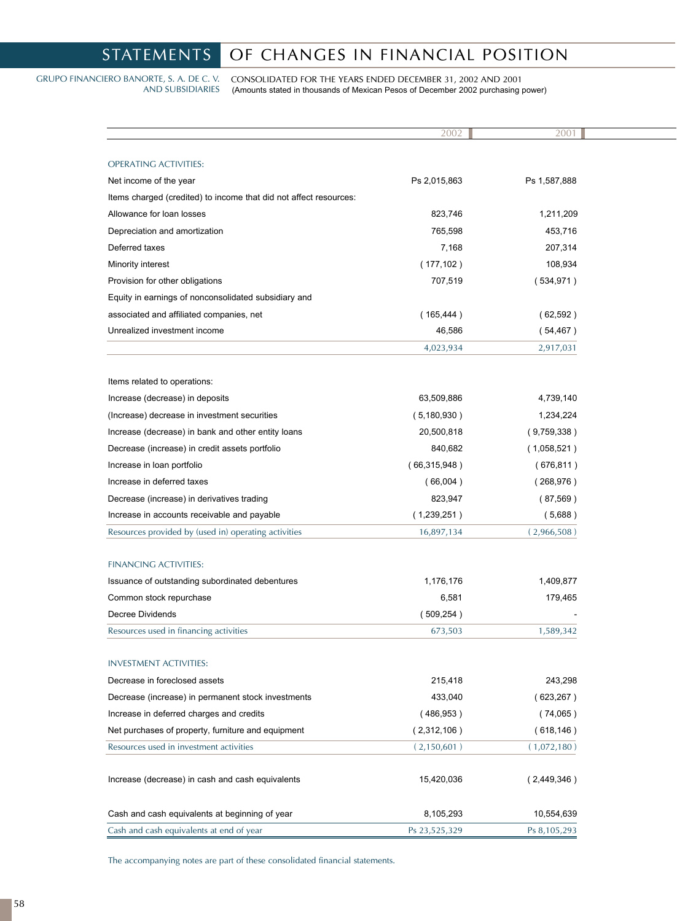# STATEMENTS OF CHANGES IN FINANCIAL POSITION

GRUPO FINANCIERO BANORTE, S. A. DE C. V. AND SUBSIDIARIES

CONSOLIDATED FOR THE YEARS ENDED DECEMBER 31, 2002 AND 2001 (Amounts stated in thousands of Mexican Pesos of December 2002 purchasing power)

|                                                                   | 2002                 | 2001               |
|-------------------------------------------------------------------|----------------------|--------------------|
| <b>OPERATING ACTIVITIES:</b>                                      |                      |                    |
| Net income of the year                                            | Ps 2,015,863         | Ps 1,587,888       |
| Items charged (credited) to income that did not affect resources: |                      |                    |
| Allowance for loan losses                                         | 823,746              | 1,211,209          |
|                                                                   | 765,598              | 453,716            |
| Depreciation and amortization<br>Deferred taxes                   | 7,168                |                    |
| Minority interest                                                 | (177, 102)           | 207,314<br>108,934 |
| Provision for other obligations                                   | 707,519              | (534, 971)         |
| Equity in earnings of nonconsolidated subsidiary and              |                      |                    |
| associated and affiliated companies, net                          |                      | (62,592)           |
| Unrealized investment income                                      | (165, 444)<br>46,586 | (54, 467)          |
|                                                                   |                      |                    |
|                                                                   | 4,023,934            | 2,917,031          |
| Items related to operations:                                      |                      |                    |
| Increase (decrease) in deposits                                   | 63,509,886           | 4,739,140          |
| (Increase) decrease in investment securities                      | (5, 180, 930)        | 1,234,224          |
| Increase (decrease) in bank and other entity loans                | 20,500,818           | (9,759,338)        |
| Decrease (increase) in credit assets portfolio                    | 840,682              | (1,058,521)        |
| Increase in loan portfolio                                        | (66,315,948)         | (676, 811)         |
| Increase in deferred taxes                                        | (66,004)             | (268, 976)         |
| Decrease (increase) in derivatives trading                        | 823,947              | (87,569)           |
| Increase in accounts receivable and payable                       | (1,239,251)          | (5,688)            |
| Resources provided by (used in) operating activities              | 16,897,134           | (2,966,508)        |
| <b>FINANCING ACTIVITIES:</b>                                      |                      |                    |
| Issuance of outstanding subordinated debentures                   | 1,176,176            | 1,409,877          |
| Common stock repurchase                                           | 6,581                | 179,465            |
| Decree Dividends                                                  | (509, 254)           |                    |
| Resources used in financing activities                            | 673,503              | 1,589,342          |
|                                                                   |                      |                    |
| <b>INVESTMENT ACTIVITIES:</b>                                     |                      |                    |
| Decrease in foreclosed assets                                     | 215,418              | 243,298            |
| Decrease (increase) in permanent stock investments                | 433,040              | (623, 267)         |
| Increase in deferred charges and credits                          | (486,953)            | (74,065)           |
| Net purchases of property, furniture and equipment                | (2,312,106)          | (618, 146)         |
| Resources used in investment activities                           | (2,150,601)          | (1,072,180)        |
| Increase (decrease) in cash and cash equivalents                  | 15,420,036           | (2,449,346)        |
| Cash and cash equivalents at beginning of year                    | 8,105,293            | 10,554,639         |
| Cash and cash equivalents at end of year                          | Ps 23,525,329        | Ps 8,105,293       |

The accompanying notes are part of these consolidated financial statements.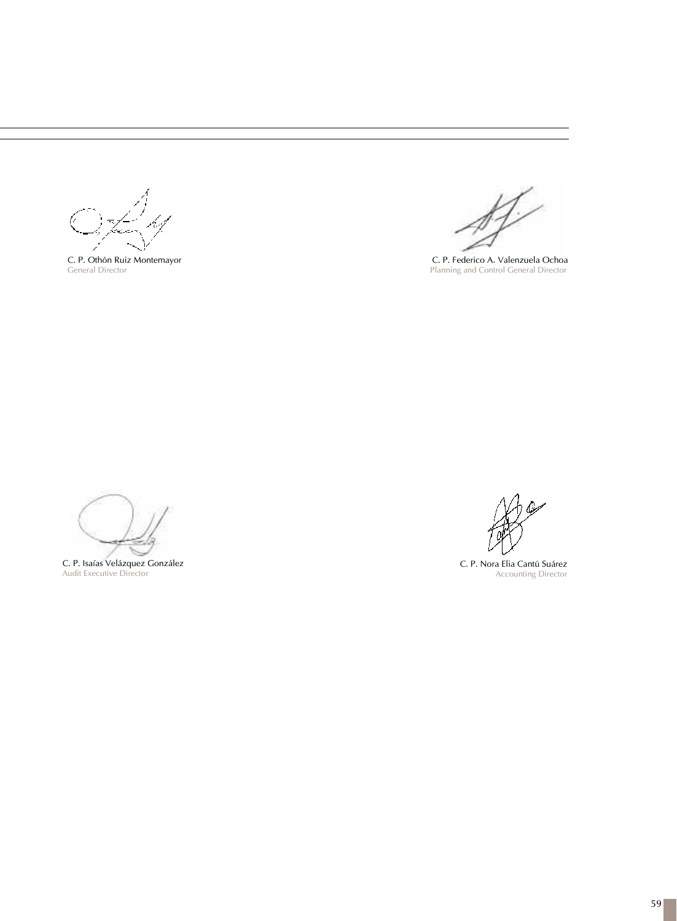C. P. Othón Ruiz Montemayor General Director

C. P. Federico A. Valenzuela Ochoa Planning and Control General Director

C. P. Isaías Velázquez González Audit Executive Director

C. P. Nora Elia Cantú Suárez Accounting Director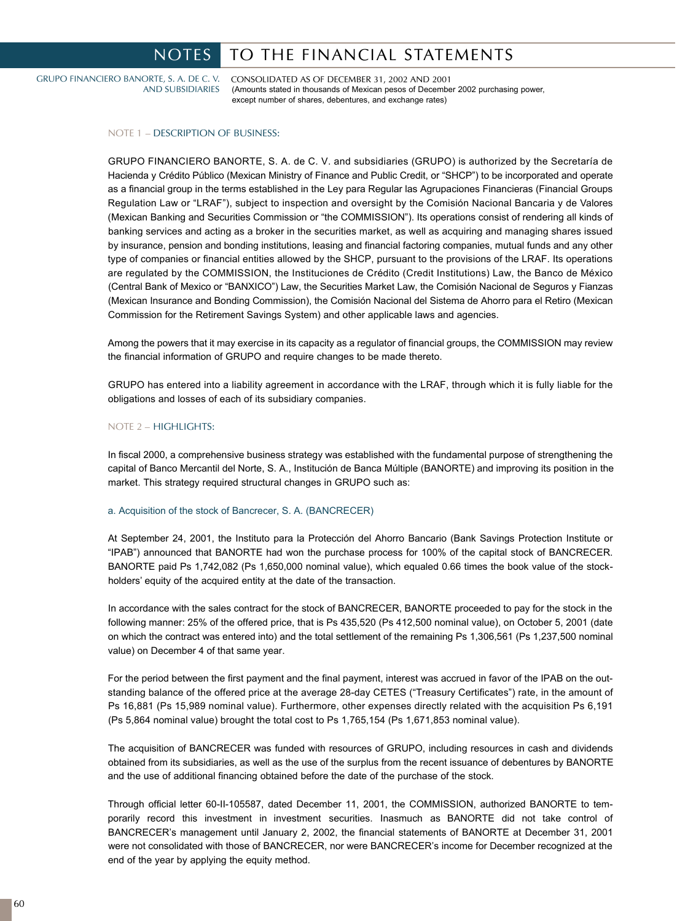## NOTES | TO THE FINANCIAL STATEMENTS

GRUPO FINANCIERO BANORTE, S. A. DE C. V. AND SUBSIDIARIES CONSOLIDATED AS OF DECEMBER 31, 2002 AND 2001 (Amounts stated in thousands of Mexican pesos of December 2002 purchasing power, except number of shares, debentures, and exchange rates)

NOTE 1 – DESCRIPTION OF BUSINESS:

GRUPO FINANCIERO BANORTE, S. A. de C. V. and subsidiaries (GRUPO) is authorized by the Secretaría de Hacienda y Crédito Público (Mexican Ministry of Finance and Public Credit, or "SHCP") to be incorporated and operate as a financial group in the terms established in the Ley para Regular las Agrupaciones Financieras (Financial Groups Regulation Law or "LRAF"), subject to inspection and oversight by the Comisión Nacional Bancaria y de Valores (Mexican Banking and Securities Commission or "the COMMISSION"). Its operations consist of rendering all kinds of banking services and acting as a broker in the securities market, as well as acquiring and managing shares issued by insurance, pension and bonding institutions, leasing and financial factoring companies, mutual funds and any other type of companies or financial entities allowed by the SHCP, pursuant to the provisions of the LRAF. Its operations are regulated by the COMMISSION, the Instituciones de Crédito (Credit Institutions) Law, the Banco de México (Central Bank of Mexico or "BANXICO") Law, the Securities Market Law, the Comisión Nacional de Seguros y Fianzas (Mexican Insurance and Bonding Commission), the Comisión Nacional del Sistema de Ahorro para el Retiro (Mexican Commission for the Retirement Savings System) and other applicable laws and agencies.

Among the powers that it may exercise in its capacity as a regulator of financial groups, the COMMISSION may review the financial information of GRUPO and require changes to be made thereto.

GRUPO has entered into a liability agreement in accordance with the LRAF, through which it is fully liable for the obligations and losses of each of its subsidiary companies.

## NOTE 2 – HIGHLIGHTS:

In fiscal 2000, a comprehensive business strategy was established with the fundamental purpose of strengthening the capital of Banco Mercantil del Norte, S. A., Institución de Banca Múltiple (BANORTE) and improving its position in the market. This strategy required structural changes in GRUPO such as:

## a. Acquisition of the stock of Bancrecer, S. A. (BANCRECER)

At September 24, 2001, the Instituto para la Protección del Ahorro Bancario (Bank Savings Protection Institute or "IPAB") announced that BANORTE had won the purchase process for 100% of the capital stock of BANCRECER. BANORTE paid Ps 1,742,082 (Ps 1,650,000 nominal value), which equaled 0.66 times the book value of the stockholders' equity of the acquired entity at the date of the transaction.

In accordance with the sales contract for the stock of BANCRECER, BANORTE proceeded to pay for the stock in the following manner: 25% of the offered price, that is Ps 435,520 (Ps 412,500 nominal value), on October 5, 2001 (date on which the contract was entered into) and the total settlement of the remaining Ps 1,306,561 (Ps 1,237,500 nominal value) on December 4 of that same year.

For the period between the first payment and the final payment, interest was accrued in favor of the IPAB on the outstanding balance of the offered price at the average 28-day CETES ("Treasury Certificates") rate, in the amount of Ps 16,881 (Ps 15,989 nominal value). Furthermore, other expenses directly related with the acquisition Ps 6,191 (Ps 5,864 nominal value) brought the total cost to Ps 1,765,154 (Ps 1,671,853 nominal value).

The acquisition of BANCRECER was funded with resources of GRUPO, including resources in cash and dividends obtained from its subsidiaries, as well as the use of the surplus from the recent issuance of debentures by BANORTE and the use of additional financing obtained before the date of the purchase of the stock.

Through official letter 60-II-105587, dated December 11, 2001, the COMMISSION, authorized BANORTE to temporarily record this investment in investment securities. Inasmuch as BANORTE did not take control of BANCRECER's management until January 2, 2002, the financial statements of BANORTE at December 31, 2001 were not consolidated with those of BANCRECER, nor were BANCRECER's income for December recognized at the end of the year by applying the equity method.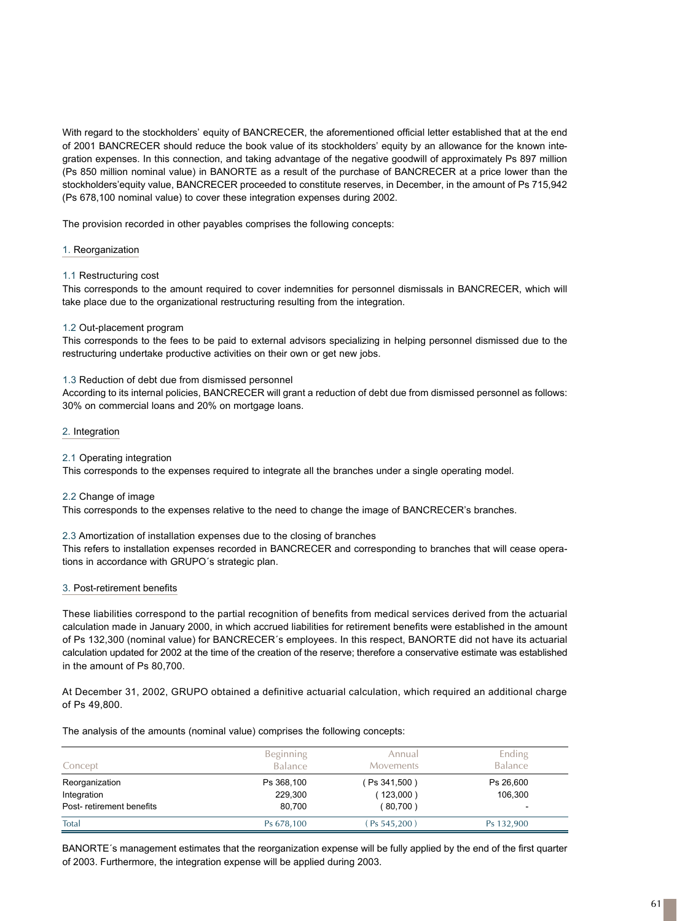With regard to the stockholders' equity of BANCRECER, the aforementioned official letter established that at the end of 2001 BANCRECER should reduce the book value of its stockholders' equity by an allowance for the known integration expenses. In this connection, and taking advantage of the negative goodwill of approximately Ps 897 million (Ps 850 million nominal value) in BANORTE as a result of the purchase of BANCRECER at a price lower than the stockholders'equity value, BANCRECER proceeded to constitute reserves, in December, in the amount of Ps 715,942 (Ps 678,100 nominal value) to cover these integration expenses during 2002.

The provision recorded in other payables comprises the following concepts:

## 1. Reorganization

## 1.1 Restructuring cost

This corresponds to the amount required to cover indemnities for personnel dismissals in BANCRECER, which will take place due to the organizational restructuring resulting from the integration.

## 1.2 Out-placement program

This corresponds to the fees to be paid to external advisors specializing in helping personnel dismissed due to the restructuring undertake productive activities on their own or get new jobs.

## 1.3 Reduction of debt due from dismissed personnel

According to its internal policies, BANCRECER will grant a reduction of debt due from dismissed personnel as follows: 30% on commercial loans and 20% on mortgage loans.

## 2. Integration

## 2.1 Operating integration

This corresponds to the expenses required to integrate all the branches under a single operating model.

## 2.2 Change of image

This corresponds to the expenses relative to the need to change the image of BANCRECER's branches.

## 2.3 Amortization of installation expenses due to the closing of branches

This refers to installation expenses recorded in BANCRECER and corresponding to branches that will cease operations in accordance with GRUPO´s strategic plan.

## 3. Post-retirement benefits

These liabilities correspond to the partial recognition of benefits from medical services derived from the actuarial calculation made in January 2000, in which accrued liabilities for retirement benefits were established in the amount of Ps 132,300 (nominal value) for BANCRECER´s employees. In this respect, BANORTE did not have its actuarial calculation updated for 2002 at the time of the creation of the reserve; therefore a conservative estimate was established in the amount of Ps 80,700.

At December 31, 2002, GRUPO obtained a definitive actuarial calculation, which required an additional charge of Ps 49,800.

The analysis of the amounts (nominal value) comprises the following concepts:

| Concept                                                   | <b>Beginning</b><br><b>Balance</b> | Annual<br><b>Movements</b>            | Ending<br><b>Balance</b> |
|-----------------------------------------------------------|------------------------------------|---------------------------------------|--------------------------|
| Reorganization<br>Integration<br>Post-retirement benefits | Ps 368,100<br>229,300<br>80,700    | (Ps 341,500)<br>(123,000)<br>(80,700) | Ps 26,600<br>106,300     |
| Total                                                     | Ps 678,100                         | $PS 545,200$ )                        | Ps 132,900               |

BANORTE's management estimates that the reorganization expense will be fully applied by the end of the first quarter of 2003. Furthermore, the integration expense will be applied during 2003.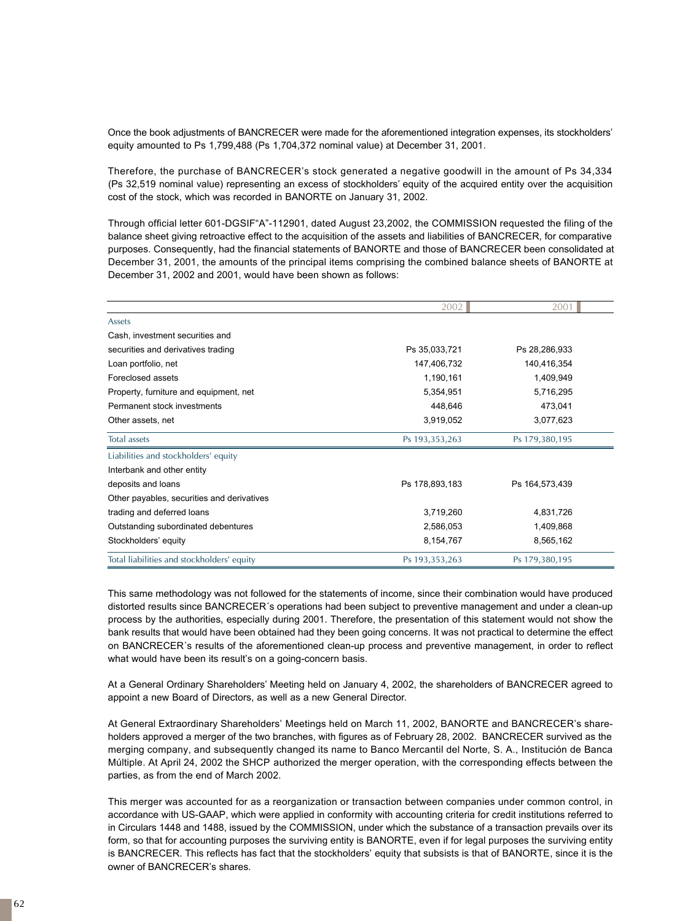Once the book adjustments of BANCRECER were made for the aforementioned integration expenses, its stockholders' equity amounted to Ps 1,799,488 (Ps 1,704,372 nominal value) at December 31, 2001.

Therefore, the purchase of BANCRECER's stock generated a negative goodwill in the amount of Ps 34,334 (Ps 32,519 nominal value) representing an excess of stockholders' equity of the acquired entity over the acquisition cost of the stock, which was recorded in BANORTE on January 31, 2002.

Through official letter 601-DGSIF"A"-112901, dated August 23,2002, the COMMISSION requested the filing of the balance sheet giving retroactive effect to the acquisition of the assets and liabilities of BANCRECER, for comparative purposes. Consequently, had the financial statements of BANORTE and those of BANCRECER been consolidated at December 31, 2001, the amounts of the principal items comprising the combined balance sheets of BANORTE at December 31, 2002 and 2001, would have been shown as follows:

|                                            | 2002           | 2001           |
|--------------------------------------------|----------------|----------------|
| Assets                                     |                |                |
| Cash, investment securities and            |                |                |
| securities and derivatives trading         | Ps 35,033,721  | Ps 28,286,933  |
| Loan portfolio, net                        | 147,406,732    | 140,416,354    |
| Foreclosed assets                          | 1,190,161      | 1,409,949      |
| Property, furniture and equipment, net     | 5,354,951      | 5,716,295      |
| Permanent stock investments                | 448,646        | 473,041        |
| Other assets, net                          | 3,919,052      | 3,077,623      |
| Total assets                               | Ps 193,353,263 | Ps 179,380,195 |
| Liabilities and stockholders' equity       |                |                |
| Interbank and other entity                 |                |                |
| deposits and loans                         | Ps 178,893,183 | Ps 164,573,439 |
| Other payables, securities and derivatives |                |                |
| trading and deferred loans                 | 3,719,260      | 4,831,726      |
| Outstanding subordinated debentures        | 2,586,053      | 1,409,868      |
| Stockholders' equity                       | 8,154,767      | 8,565,162      |
| Total liabilities and stockholders' equity | Ps 193,353,263 | Ps 179,380,195 |

This same methodology was not followed for the statements of income, since their combination would have produced distorted results since BANCRECER´s operations had been subject to preventive management and under a clean-up process by the authorities, especially during 2001. Therefore, the presentation of this statement would not show the bank results that would have been obtained had they been going concerns. It was not practical to determine the effect on BANCRECER´s results of the aforementioned clean-up process and preventive management, in order to reflect what would have been its result's on a going-concern basis.

At a General Ordinary Shareholders' Meeting held on January 4, 2002, the shareholders of BANCRECER agreed to appoint a new Board of Directors, as well as a new General Director.

At General Extraordinary Shareholders' Meetings held on March 11, 2002, BANORTE and BANCRECER's shareholders approved a merger of the two branches, with figures as of February 28, 2002. BANCRECER survived as the merging company, and subsequently changed its name to Banco Mercantil del Norte, S. A., Institución de Banca Múltiple. At April 24, 2002 the SHCP authorized the merger operation, with the corresponding effects between the parties, as from the end of March 2002.

This merger was accounted for as a reorganization or transaction between companies under common control, in accordance with US-GAAP, which were applied in conformity with accounting criteria for credit institutions referred to in Circulars 1448 and 1488, issued by the COMMISSION, under which the substance of a transaction prevails over its form, so that for accounting purposes the surviving entity is BANORTE, even if for legal purposes the surviving entity is BANCRECER. This reflects has fact that the stockholders' equity that subsists is that of BANORTE, since it is the owner of BANCRECER's shares.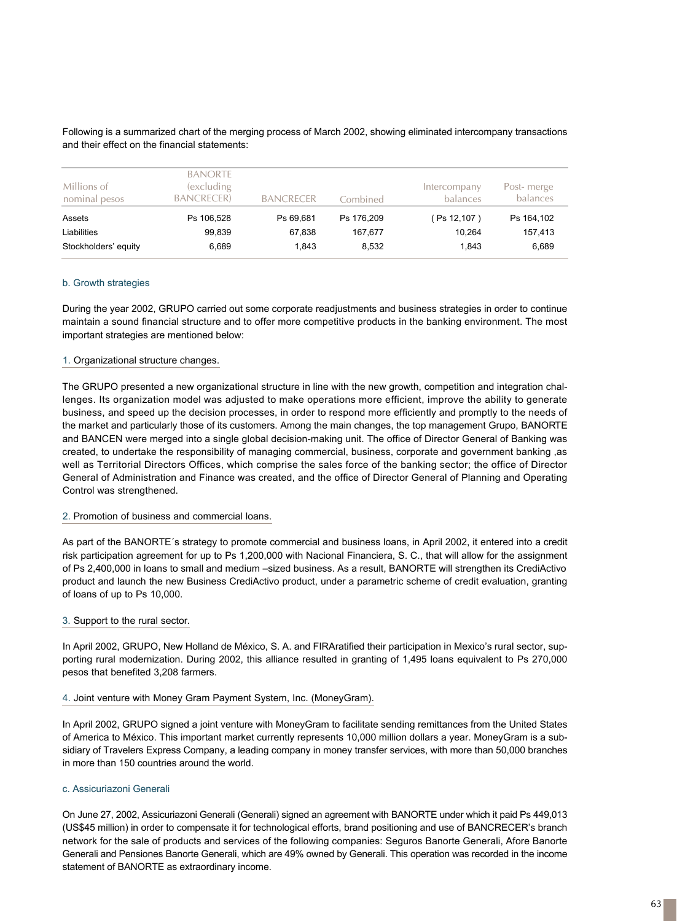| Millions of<br>nominal pesos | <b>BANORTE</b><br>(excluding<br><b>BANCRECER</b> | <b>BANCRECER</b> | Combined   | Intercompany<br>balances | Post-merge<br><b>balances</b> |
|------------------------------|--------------------------------------------------|------------------|------------|--------------------------|-------------------------------|
| Assets                       | Ps 106,528                                       | Ps 69.681        | Ps 176,209 | (Ps 12,107)              | Ps 164,102                    |
| Liabilities                  | 99.839                                           | 67,838           | 167.677    | 10.264                   | 157,413                       |
| Stockholders' equity         | 6.689                                            | 1.843            | 8,532      | 1.843                    | 6,689                         |

Following is a summarized chart of the merging process of March 2002, showing eliminated intercompany transactions and their effect on the financial statements:

## b. Growth strategies

During the year 2002, GRUPO carried out some corporate readjustments and business strategies in order to continue maintain a sound financial structure and to offer more competitive products in the banking environment. The most important strategies are mentioned below:

## 1. Organizational structure changes.

The GRUPO presented a new organizational structure in line with the new growth, competition and integration challenges. Its organization model was adjusted to make operations more efficient, improve the ability to generate business, and speed up the decision processes, in order to respond more efficiently and promptly to the needs of the market and particularly those of its customers. Among the main changes, the top management Grupo, BANORTE and BANCEN were merged into a single global decision-making unit. The office of Director General of Banking was created, to undertake the responsibility of managing commercial, business, corporate and government banking ,as well as Territorial Directors Offices, which comprise the sales force of the banking sector; the office of Director General of Administration and Finance was created, and the office of Director General of Planning and Operating Control was strengthened.

## 2. Promotion of business and commercial loans.

As part of the BANORTE´s strategy to promote commercial and business loans, in April 2002, it entered into a credit risk participation agreement for up to Ps 1,200,000 with Nacional Financiera, S. C., that will allow for the assignment of Ps 2,400,000 in loans to small and medium –sized business. As a result, BANORTE will strengthen its CrediActivo product and launch the new Business CrediActivo product, under a parametric scheme of credit evaluation, granting of loans of up to Ps 10,000.

## 3. Support to the rural sector.

In April 2002, GRUPO, New Holland de México, S. A. and FIRAratified their participation in Mexico's rural sector, supporting rural modernization. During 2002, this alliance resulted in granting of 1,495 loans equivalent to Ps 270,000 pesos that benefited 3,208 farmers.

## 4. Joint venture with Money Gram Payment System, Inc. (MoneyGram).

In April 2002, GRUPO signed a joint venture with MoneyGram to facilitate sending remittances from the United States of America to México. This important market currently represents 10,000 million dollars a year. MoneyGram is a subsidiary of Travelers Express Company, a leading company in money transfer services, with more than 50,000 branches in more than 150 countries around the world.

## c. Assicuriazoni Generali

On June 27, 2002, Assicuriazoni Generali (Generali) signed an agreement with BANORTE under which it paid Ps 449,013 (US\$45 million) in order to compensate it for technological efforts, brand positioning and use of BANCRECER's branch network for the sale of products and services of the following companies: Seguros Banorte Generali, Afore Banorte Generali and Pensiones Banorte Generali, which are 49% owned by Generali. This operation was recorded in the income statement of BANORTE as extraordinary income.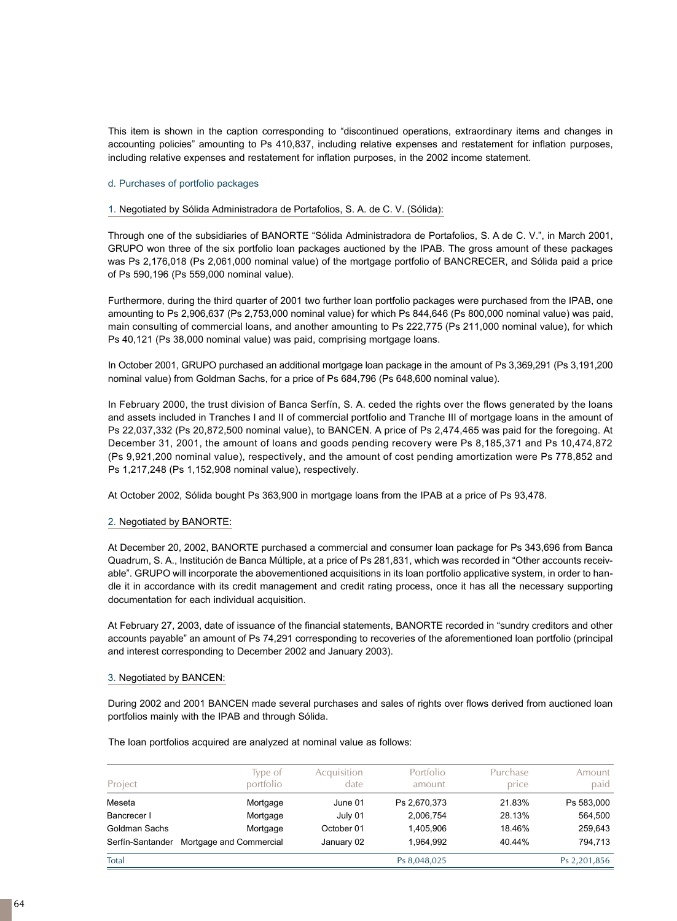This item is shown in the caption corresponding to "discontinued operations, extraordinary items and changes in accounting policies" amounting to Ps 410,837, including relative expenses and restatement for inflation purposes, including relative expenses and restatement for inflation purposes, in the 2002 income statement.

## d. Purchases of portfolio packages

## 1. Negotiated by Sólida Administradora de Portafolios, S. A. de C. V. (Sólida):

Through one of the subsidiaries of BANORTE "Sólida Administradora de Portafolios, S. A de C. V.", in March 2001, GRUPO won three of the six portfolio loan packages auctioned by the IPAB. The gross amount of these packages was Ps 2,176,018 (Ps 2,061,000 nominal value) of the mortgage portfolio of BANCRECER, and Sólida paid a price of Ps 590,196 (Ps 559,000 nominal value).

Furthermore, during the third quarter of 2001 two further loan portfolio packages were purchased from the IPAB, one amounting to Ps 2,906,637 (Ps 2,753,000 nominal value) for which Ps 844,646 (Ps 800,000 nominal value) was paid, main consulting of commercial loans, and another amounting to Ps 222,775 (Ps 211,000 nominal value), for which Ps 40,121 (Ps 38,000 nominal value) was paid, comprising mortgage loans.

In October 2001, GRUPO purchased an additional mortgage loan package in the amount of Ps 3,369,291 (Ps 3,191,200 nominal value) from Goldman Sachs, for a price of Ps 684,796 (Ps 648,600 nominal value).

In February 2000, the trust division of Banca Serfín, S. A. ceded the rights over the flows generated by the loans and assets included in Tranches I and II of commercial portfolio and Tranche III of mortgage loans in the amount of Ps 22,037,332 (Ps 20,872,500 nominal value), to BANCEN. A price of Ps 2,474,465 was paid for the foregoing. At December 31, 2001, the amount of loans and goods pending recovery were Ps 8,185,371 and Ps 10,474,872 (Ps 9,921,200 nominal value), respectively, and the amount of cost pending amortization were Ps 778,852 and Ps 1,217,248 (Ps 1,152,908 nominal value), respectively.

At October 2002, Sólida bought Ps 363,900 in mortgage loans from the IPAB at a price of Ps 93,478.

## 2. Negotiated by BANORTE:

At December 20, 2002, BANORTE purchased a commercial and consumer loan package for Ps 343,696 from Banca Quadrum, S. A., Institución de Banca Múltiple, at a price of Ps 281,831, which was recorded in "Other accounts receivable". GRUPO will incorporate the abovementioned acquisitions in its loan portfolio applicative system, in order to handle it in accordance with its credit management and credit rating process, once it has all the necessary supporting documentation for each individual acquisition.

At February 27, 2003, date of issuance of the financial statements, BANORTE recorded in "sundry creditors and other accounts payable" an amount of Ps 74,291 corresponding to recoveries of the aforementioned loan portfolio (principal and interest corresponding to December 2002 and January 2003).

## 3. Negotiated by BANCEN:

During 2002 and 2001 BANCEN made several purchases and sales of rights over flows derived from auctioned loan portfolios mainly with the IPAB and through Sólida.

The loan portfolios acquired are analyzed at nominal value as follows:

| Project          | Type of<br>portfolio    | Acquisition<br>date | Portfolio<br>amount | Purchase<br>price | Amount<br>paid |
|------------------|-------------------------|---------------------|---------------------|-------------------|----------------|
| Meseta           | Mortgage                | June 01             | Ps 2,670,373        | 21.83%            | Ps 583,000     |
| Bancrecer I      | Mortgage                | July 01             | 2,006,754           | 28.13%            | 564.500        |
| Goldman Sachs    | Mortgage                | October 01          | 1.405.906           | 18.46%            | 259,643        |
| Serfín-Santander | Mortgage and Commercial | January 02          | 1.964.992           | 40.44%            | 794.713        |
| Total            |                         |                     | Ps 8,048,025        |                   | Ps 2,201,856   |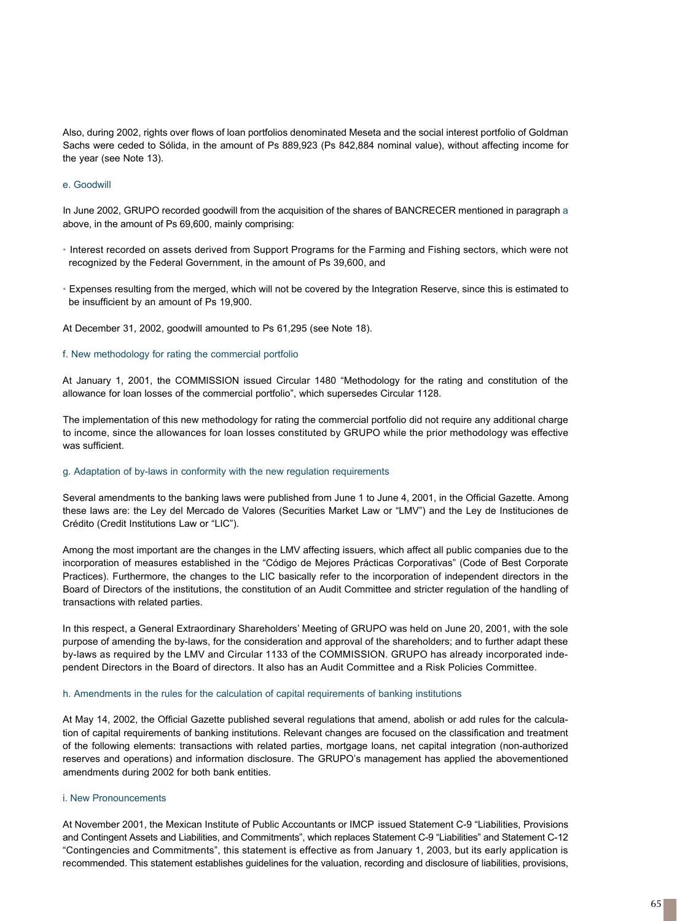Also, during 2002, rights over flows of loan portfolios denominated Meseta and the social interest portfolio of Goldman Sachs were ceded to Sólida, in the amount of Ps 889,923 (Ps 842,884 nominal value), without affecting income for the year (see Note 13).

## e. Goodwill

In June 2002, GRUPO recorded goodwill from the acquisition of the shares of BANCRECER mentioned in paragraph a above, in the amount of Ps 69,600, mainly comprising:

- Interest recorded on assets derived from Support Programs for the Farming and Fishing sectors, which were not recognized by the Federal Government, in the amount of Ps 39,600, and
- Expenses resulting from the merged, which will not be covered by the Integration Reserve, since this is estimated to be insufficient by an amount of Ps 19,900.

At December 31, 2002, goodwill amounted to Ps 61,295 (see Note 18).

#### f. New methodology for rating the commercial portfolio

At January 1, 2001, the COMMISSION issued Circular 1480 "Methodology for the rating and constitution of the allowance for loan losses of the commercial portfolio", which supersedes Circular 1128.

The implementation of this new methodology for rating the commercial portfolio did not require any additional charge to income, since the allowances for loan losses constituted by GRUPO while the prior methodology was effective was sufficient.

#### g. Adaptation of by-laws in conformity with the new regulation requirements

Several amendments to the banking laws were published from June 1 to June 4, 2001, in the Official Gazette. Among these laws are: the Ley del Mercado de Valores (Securities Market Law or "LMV") and the Ley de Instituciones de Crédito (Credit Institutions Law or "LIC").

Among the most important are the changes in the LMV affecting issuers, which affect all public companies due to the incorporation of measures established in the "Código de Mejores Prácticas Corporativas" (Code of Best Corporate Practices). Furthermore, the changes to the LIC basically refer to the incorporation of independent directors in the Board of Directors of the institutions, the constitution of an Audit Committee and stricter regulation of the handling of transactions with related parties.

In this respect, a General Extraordinary Shareholders' Meeting of GRUPO was held on June 20, 2001, with the sole purpose of amending the by-laws, for the consideration and approval of the shareholders; and to further adapt these by-laws as required by the LMV and Circular 1133 of the COMMISSION. GRUPO has already incorporated independent Directors in the Board of directors. It also has an Audit Committee and a Risk Policies Committee.

#### h. Amendments in the rules for the calculation of capital requirements of banking institutions

At May 14, 2002, the Official Gazette published several regulations that amend, abolish or add rules for the calculation of capital requirements of banking institutions. Relevant changes are focused on the classification and treatment of the following elements: transactions with related parties, mortgage loans, net capital integration (non-authorized reserves and operations) and information disclosure. The GRUPO's management has applied the abovementioned amendments during 2002 for both bank entities.

## i. New Pronouncements

At November 2001, the Mexican Institute of Public Accountants or IMCP issued Statement C-9 "Liabilities, Provisions and Contingent Assets and Liabilities, and Commitments", which replaces Statement C-9 "Liabilities" and Statement C-12 "Contingencies and Commitments", this statement is effective as from January 1, 2003, but its early application is recommended. This statement establishes quidelines for the valuation, recording and disclosure of liabilities, provisions,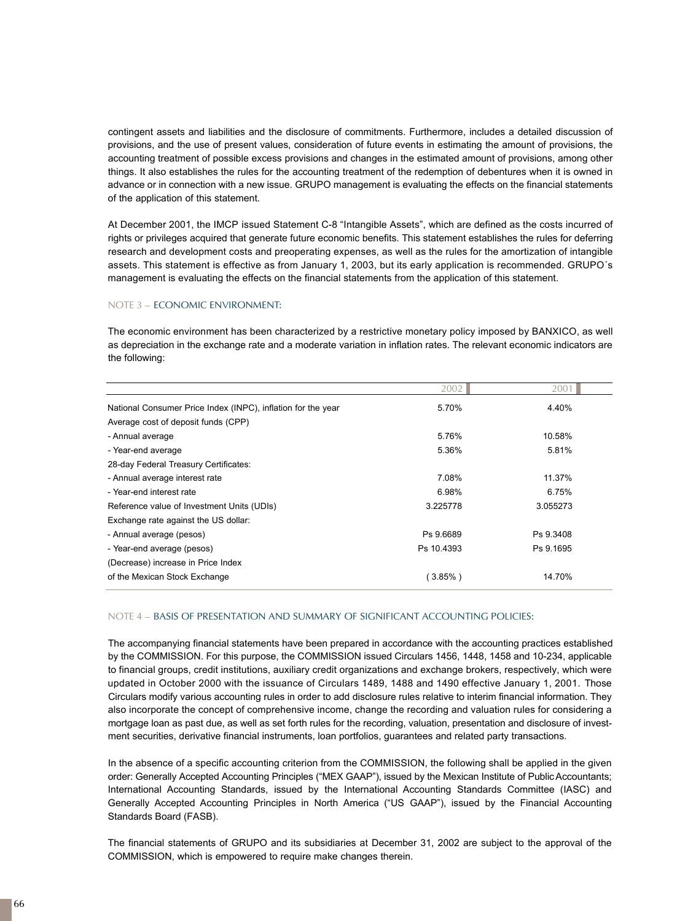contingent assets and liabilities and the disclosure of commitments. Furthermore, includes a detailed discussion of provisions, and the use of present values, consideration of future events in estimating the amount of provisions, the accounting treatment of possible excess provisions and changes in the estimated amount of provisions, among other things. It also establishes the rules for the accounting treatment of the redemption of debentures when it is owned in advance or in connection with a new issue. GRUPO management is evaluating the effects on the financial statements of the application of this statement.

At December 2001, the IMCP issued Statement C-8 "Intangible Assets", which are defined as the costs incurred of rights or privileges acquired that generate future economic benefits. This statement establishes the rules for deferring research and development costs and preoperating expenses, as well as the rules for the amortization of intangible assets. This statement is effective as from January 1, 2003, but its early application is recommended. GRUPO´s management is evaluating the effects on the financial statements from the application of this statement.

## NOTE 3 – ECONOMIC ENVIRONMENT:

The economic environment has been characterized by a restrictive monetary policy imposed by BANXICO, as well as depreciation in the exchange rate and a moderate variation in inflation rates. The relevant economic indicators are the following:

|                                                              | 2002       | 2001      |
|--------------------------------------------------------------|------------|-----------|
| National Consumer Price Index (INPC), inflation for the year | 5.70%      | 4.40%     |
| Average cost of deposit funds (CPP)                          |            |           |
| - Annual average                                             | 5.76%      | 10.58%    |
| - Year-end average                                           | 5.36%      | 5.81%     |
| 28-day Federal Treasury Certificates:                        |            |           |
| - Annual average interest rate                               | 7.08%      | 11.37%    |
| - Year-end interest rate                                     | 6.98%      | 6.75%     |
| Reference value of Investment Units (UDIs)                   | 3.225778   | 3.055273  |
| Exchange rate against the US dollar:                         |            |           |
| - Annual average (pesos)                                     | Ps 9.6689  | Ps 9.3408 |
| - Year-end average (pesos)                                   | Ps 10.4393 | Ps 9.1695 |
| (Decrease) increase in Price Index                           |            |           |
| of the Mexican Stock Exchange                                | $(3.85\%)$ | 14.70%    |

#### NOTE 4 – BASIS OF PRESENTATION AND SUMMARY OF SIGNIFICANT ACCOUNTING POLICIES:

The accompanying financial statements have been prepared in accordance with the accounting practices established by the COMMISSION. For this purpose, the COMMISSION issued Circulars 1456, 1448, 1458 and 10-234, applicable to financial groups, credit institutions, auxiliary credit organizations and exchange brokers, respectively, which were updated in October 2000 with the issuance of Circulars 1489, 1488 and 1490 effective January 1, 2001. Those Circulars modify various accounting rules in order to add disclosure rules relative to interim financial information. They also incorporate the concept of comprehensive income, change the recording and valuation rules for considering a mortgage loan as past due, as well as set forth rules for the recording, valuation, presentation and disclosure of investment securities, derivative financial instruments, loan portfolios, guarantees and related party transactions.

In the absence of a specific accounting criterion from the COMMISSION, the following shall be applied in the given order: Generally Accepted Accounting Principles ("MEX GAAP"), issued by the Mexican Institute of Public Accountants; International Accounting Standards, issued by the International Accounting Standards Committee (IASC) and Generally Accepted Accounting Principles in North America ("US GAAP"), issued by the Financial Accounting Standards Board (FASB).

The financial statements of GRUPO and its subsidiaries at December 31, 2002 are subject to the approval of the COMMISSION, which is empowered to require make changes therein.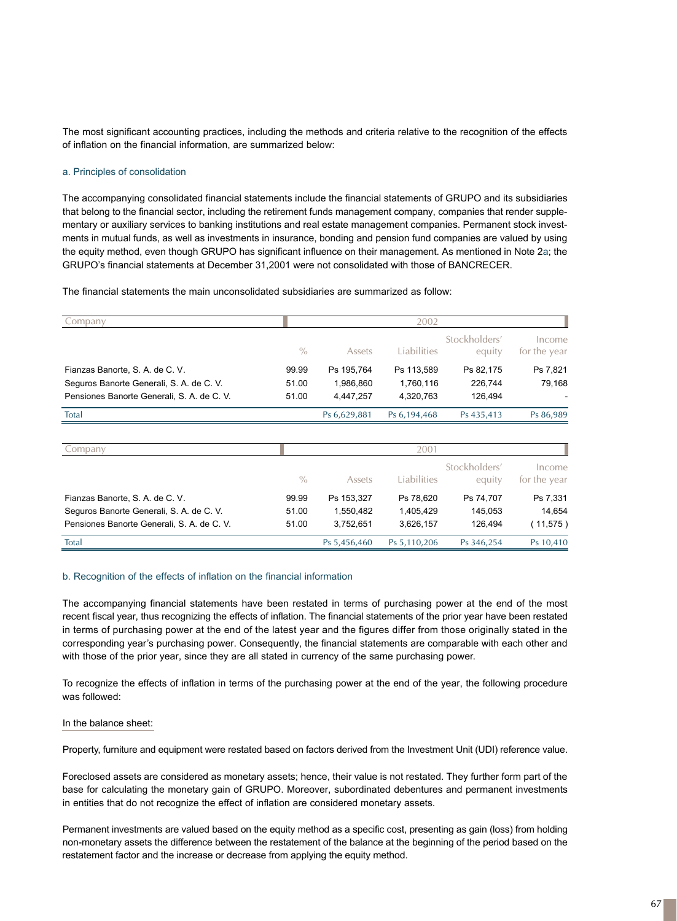The most significant accounting practices, including the methods and criteria relative to the recognition of the effects of inflation on the financial information, are summarized below:

#### a. Principles of consolidation

The accompanying consolidated financial statements include the financial statements of GRUPO and its subsidiaries that belong to the financial sector, including the retirement funds management company, companies that render supplementary or auxiliary services to banking institutions and real estate management companies. Permanent stock investments in mutual funds, as well as investments in insurance, bonding and pension fund companies are valued by using the equity method, even though GRUPO has significant influence on their management. As mentioned in Note 2a; the GRUPO's financial statements at December 31,2001 were not consolidated with those of BANCRECER.

The financial statements the main unconsolidated subsidiaries are summarized as follow:

| Company                                                                                                                   |                         |                                      | 2002                                 |                                 |                                |
|---------------------------------------------------------------------------------------------------------------------------|-------------------------|--------------------------------------|--------------------------------------|---------------------------------|--------------------------------|
|                                                                                                                           | $\frac{0}{0}$           | Assets                               | Liabilities                          | Stockholders'<br>equity         | Income<br>for the year         |
| Fianzas Banorte, S. A. de C. V.<br>Seguros Banorte Generali, S. A. de C. V.<br>Pensiones Banorte Generali, S. A. de C. V. | 99.99<br>51.00<br>51.00 | Ps 195,764<br>1,986,860<br>4,447,257 | Ps 113,589<br>1,760,116<br>4,320,763 | Ps 82,175<br>226,744<br>126,494 | Ps 7,821<br>79,168             |
| Total                                                                                                                     |                         | Ps 6,629,881                         | Ps 6,194,468                         | Ps 435,413                      | Ps 86,989                      |
| Company                                                                                                                   |                         |                                      | 2001                                 |                                 |                                |
|                                                                                                                           | $\frac{0}{0}$           | Assets                               | Liabilities                          | Stockholders'<br>equity         | Income<br>for the year         |
| Fianzas Banorte, S. A. de C. V.<br>Seguros Banorte Generali, S. A. de C. V.<br>Pensiones Banorte Generali, S. A. de C. V. | 99.99<br>51.00<br>51.00 | Ps 153,327<br>1,550,482<br>3,752,651 | Ps 78,620<br>1,405,429<br>3,626,157  | Ps 74,707<br>145,053<br>126,494 | Ps 7,331<br>14,654<br>(11,575) |
| Total                                                                                                                     |                         | Ps 5,456,460                         | Ps 5,110,206                         | Ps 346,254                      | Ps 10,410                      |

#### b. Recognition of the effects of inflation on the financial information

The accompanying financial statements have been restated in terms of purchasing power at the end of the most recent fiscal year, thus recognizing the effects of inflation. The financial statements of the prior year have been restated in terms of purchasing power at the end of the latest year and the figures differ from those originally stated in the corresponding year's purchasing power. Consequently, the financial statements are comparable with each other and with those of the prior year, since they are all stated in currency of the same purchasing power.

To recognize the effects of inflation in terms of the purchasing power at the end of the year, the following procedure was followed:

#### In the balance sheet:

Property, furniture and equipment were restated based on factors derived from the Investment Unit (UDI) reference value.

Foreclosed assets are considered as monetary assets; hence, their value is not restated. They further form part of the base for calculating the monetary gain of GRUPO. Moreover, subordinated debentures and permanent investments in entities that do not recognize the effect of inflation are considered monetary assets.

Permanent investments are valued based on the equity method as a specific cost, presenting as gain (loss) from holding non-monetary assets the difference between the restatement of the balance at the beginning of the period based on the restatement factor and the increase or decrease from applying the equity method.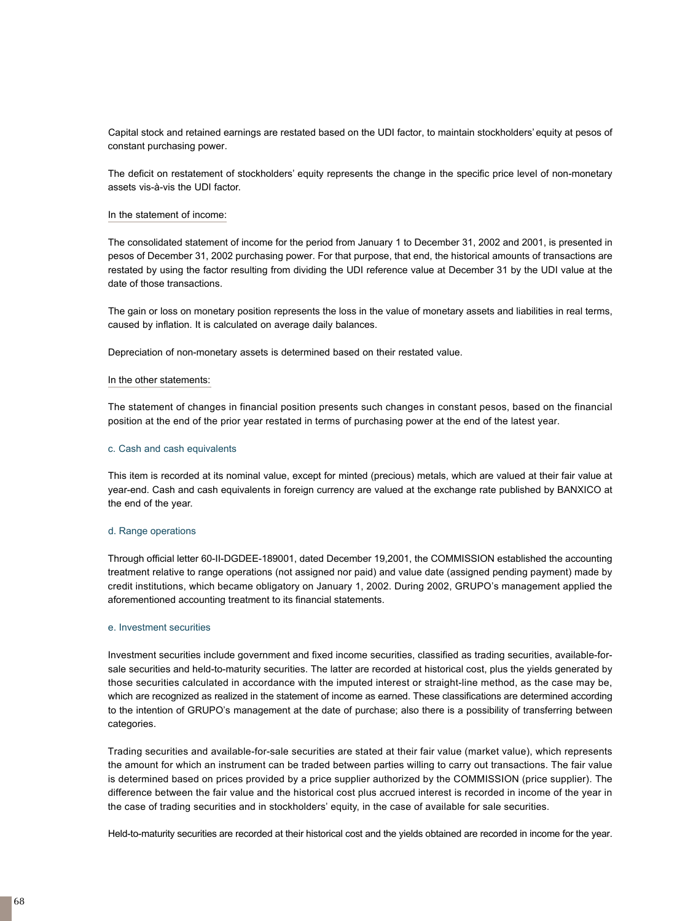Capital stock and retained earnings are restated based on the UDI factor, to maintain stockholders' equity at pesos of constant purchasing power.

The deficit on restatement of stockholders' equity represents the change in the specific price level of non-monetary assets vis-à-vis the UDI factor.

#### In the statement of income:

The consolidated statement of income for the period from January 1 to December 31, 2002 and 2001, is presented in pesos of December 31, 2002 purchasing power. For that purpose, that end, the historical amounts of transactions are restated by using the factor resulting from dividing the UDI reference value at December 31 by the UDI value at the date of those transactions.

The gain or loss on monetary position represents the loss in the value of monetary assets and liabilities in real terms, caused by inflation. It is calculated on average daily balances.

Depreciation of non-monetary assets is determined based on their restated value.

#### In the other statements:

The statement of changes in financial position presents such changes in constant pesos, based on the financial position at the end of the prior year restated in terms of purchasing power at the end of the latest year.

#### c. Cash and cash equivalents

This item is recorded at its nominal value, except for minted (precious) metals, which are valued at their fair value at year-end. Cash and cash equivalents in foreign currency are valued at the exchange rate published by BANXICO at the end of the year.

#### d. Range operations

Through official letter 60-II-DGDEE-189001, dated December 19,2001, the COMMISSION established the accounting treatment relative to range operations (not assigned nor paid) and value date (assigned pending payment) made by credit institutions, which became obligatory on January 1, 2002. During 2002, GRUPO's management applied the aforementioned accounting treatment to its financial statements.

#### e. Investment securities

Investment securities include government and fixed income securities, classified as trading securities, available-forsale securities and held-to-maturity securities. The latter are recorded at historical cost, plus the yields generated by those securities calculated in accordance with the imputed interest or straight-line method, as the case may be, which are recognized as realized in the statement of income as earned. These classifications are determined according to the intention of GRUPO's management at the date of purchase; also there is a possibility of transferring between categories.

Trading securities and available-for-sale securities are stated at their fair value (market value), which represents the amount for which an instrument can be traded between parties willing to carry out transactions. The fair value is determined based on prices provided by a price supplier authorized by the COMMISSION (price supplier). The difference between the fair value and the historical cost plus accrued interest is recorded in income of the year in the case of trading securities and in stockholders' equity, in the case of available for sale securities.

Held-to-maturity securities are recorded at their historical cost and the yields obtained are recorded in income for the year.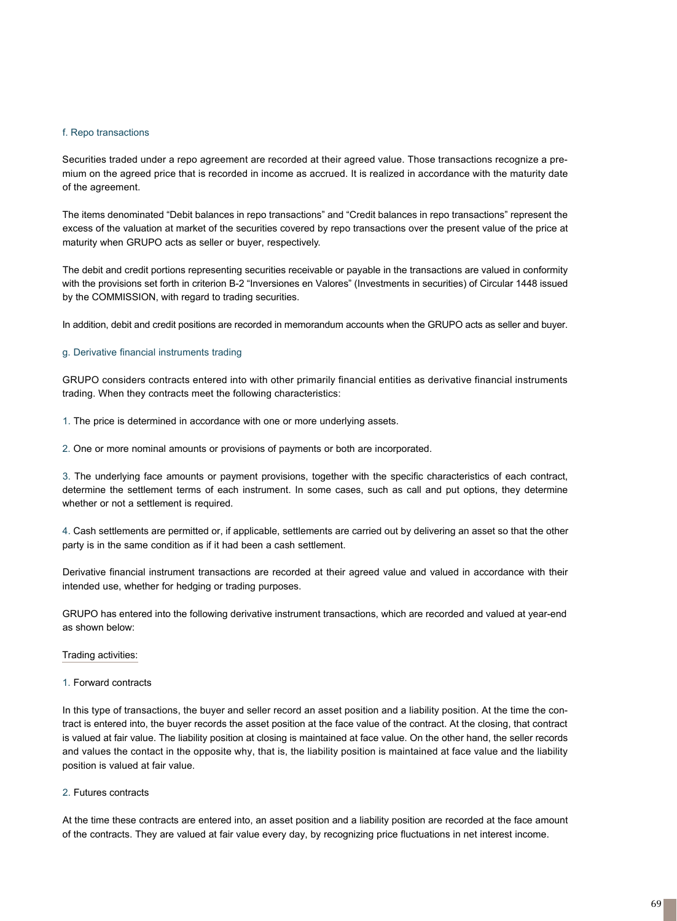#### f. Repo transactions

Securities traded under a repo agreement are recorded at their agreed value. Those transactions recognize a premium on the agreed price that is recorded in income as accrued. It is realized in accordance with the maturity date of the agreement.

The items denominated "Debit balances in repo transactions" and "Credit balances in repo transactions" represent the excess of the valuation at market of the securities covered by repo transactions over the present value of the price at maturity when GRUPO acts as seller or buyer, respectively.

The debit and credit portions representing securities receivable or payable in the transactions are valued in conformity with the provisions set forth in criterion B-2 "Inversiones en Valores" (Investments in securities) of Circular 1448 issued by the COMMISSION, with regard to trading securities.

In addition, debit and credit positions are recorded in memorandum accounts when the GRUPO acts as seller and buyer.

## g. Derivative financial instruments trading

GRUPO considers contracts entered into with other primarily financial entities as derivative financial instruments trading. When they contracts meet the following characteristics:

1. The price is determined in accordance with one or more underlying assets.

2. One or more nominal amounts or provisions of payments or both are incorporated.

3. The underlying face amounts or payment provisions, together with the specific characteristics of each contract, determine the settlement terms of each instrument. In some cases, such as call and put options, they determine whether or not a settlement is required.

4. Cash settlements are permitted or, if applicable, settlements are carried out by delivering an asset so that the other party is in the same condition as if it had been a cash settlement.

Derivative financial instrument transactions are recorded at their agreed value and valued in accordance with their intended use, whether for hedging or trading purposes.

GRUPO has entered into the following derivative instrument transactions, which are recorded and valued at year-end as shown below:

#### Trading activities:

#### 1. Forward contracts

In this type of transactions, the buyer and seller record an asset position and a liability position. At the time the contract is entered into, the buyer records the asset position at the face value of the contract. At the closing, that contract is valued at fair value. The liability position at closing is maintained at face value. On the other hand, the seller records and values the contact in the opposite why, that is, the liability position is maintained at face value and the liability position is valued at fair value.

## 2. Futures contracts

At the time these contracts are entered into, an asset position and a liability position are recorded at the face amount of the contracts. They are valued at fair value every day, by recognizing price fluctuations in net interest income.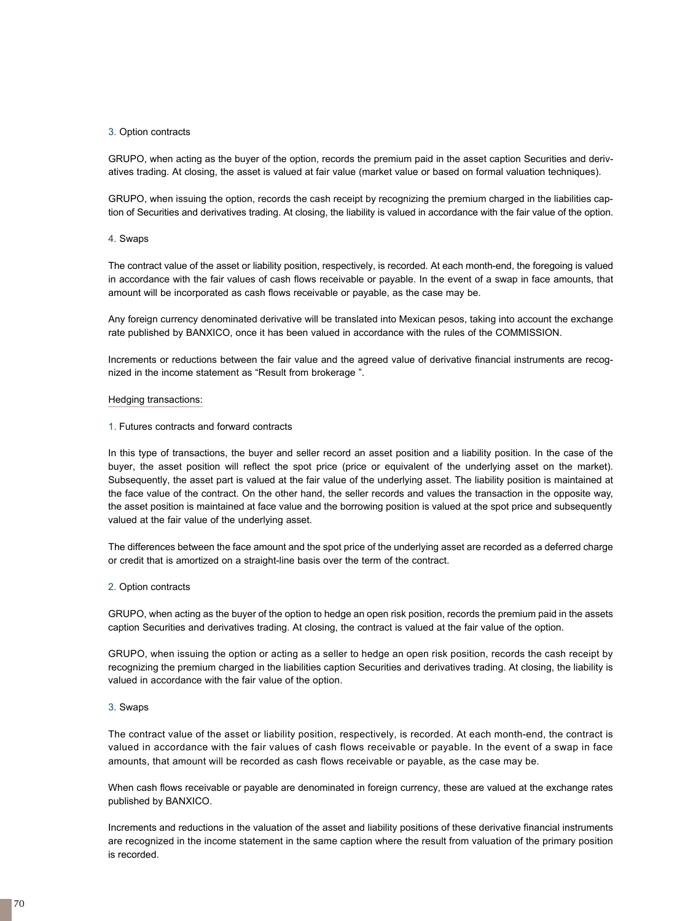#### 3. Option contracts

GRUPO, when acting as the buyer of the option, records the premium paid in the asset caption Securities and derivatives trading. At closing, the asset is valued at fair value (market value or based on formal valuation techniques).

GRUPO, when issuing the option, records the cash receipt by recognizing the premium charged in the liabilities caption of Securities and derivatives trading. At closing, the liability is valued in accordance with the fair value of the option.

#### 4. Swaps

The contract value of the asset or liability position, respectively, is recorded. At each month-end, the foregoing is valued in accordance with the fair values of cash flows receivable or payable. In the event of a swap in face amounts, that amount will be incorporated as cash flows receivable or payable, as the case may be.

Any foreign currency denominated derivative will be translated into Mexican pesos, taking into account the exchange rate published by BANXICO, once it has been valued in accordance with the rules of the COMMISSION.

Increments or reductions between the fair value and the agreed value of derivative financial instruments are recognized in the income statement as "Result from brokerage ".

#### Hedging transactions:

1. Futures contracts and forward contracts

In this type of transactions, the buyer and seller record an asset position and a liability position. In the case of the buyer, the asset position will reflect the spot price (price or equivalent of the underlying asset on the market). Subsequently, the asset part is valued at the fair value of the underlying asset. The liability position is maintained at the face value of the contract. On the other hand, the seller records and values the transaction in the opposite way, the asset position is maintained at face value and the borrowing position is valued at the spot price and subsequently valued at the fair value of the underlying asset.

The differences between the face amount and the spot price of the underlying asset are recorded as a deferred charge or credit that is amortized on a straight-line basis over the term of the contract.

#### 2. Option contracts

GRUPO, when acting as the buyer of the option to hedge an open risk position, records the premium paid in the assets caption Securities and derivatives trading. At closing, the contract is valued at the fair value of the option.

GRUPO, when issuing the option or acting as a seller to hedge an open risk position, records the cash receipt by recognizing the premium charged in the liabilities caption Securities and derivatives trading. At closing, the liability is valued in accordance with the fair value of the option.

#### 3. Swaps

The contract value of the asset or liability position, respectively, is recorded. At each month-end, the contract is valued in accordance with the fair values of cash flows receivable or payable. In the event of a swap in face amounts, that amount will be recorded as cash flows receivable or payable, as the case may be.

When cash flows receivable or payable are denominated in foreign currency, these are valued at the exchange rates published by BANXICO.

Increments and reductions in the valuation of the asset and liability positions of these derivative financial instruments are recognized in the income statement in the same caption where the result from valuation of the primary position is recorded.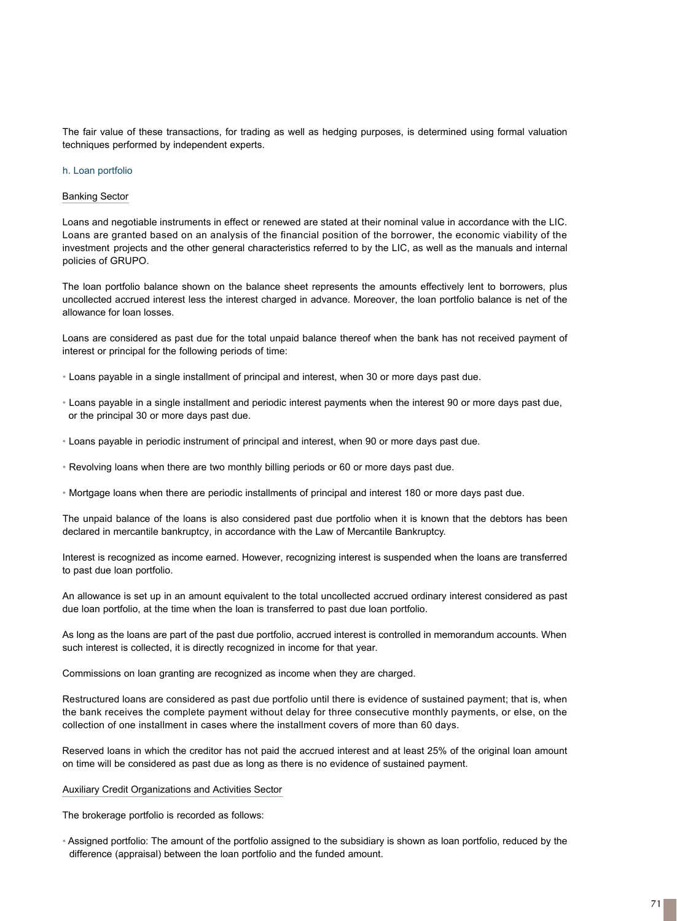The fair value of these transactions, for trading as well as hedging purposes, is determined using formal valuation techniques performed by independent experts.

#### h. Loan portfolio

#### Banking Sector

Loans and negotiable instruments in effect or renewed are stated at their nominal value in accordance with the LIC. Loans are granted based on an analysis of the financial position of the borrower, the economic viability of the investment projects and the other general characteristics referred to by the LIC, as well as the manuals and internal policies of GRUPO.

The loan portfolio balance shown on the balance sheet represents the amounts effectively lent to borrowers, plus uncollected accrued interest less the interest charged in advance. Moreover, the loan portfolio balance is net of the allowance for loan losses.

Loans are considered as past due for the total unpaid balance thereof when the bank has not received payment of interest or principal for the following periods of time:

- Loans payable in a single installment of principal and interest, when 30 or more days past due.
- Loans payable in a single installment and periodic interest payments when the interest 90 or more days past due, or the principal 30 or more days past due.
- Loans payable in periodic instrument of principal and interest, when 90 or more days past due.
- Revolving loans when there are two monthly billing periods or 60 or more days past due.
- Mortgage loans when there are periodic installments of principal and interest 180 or more days past due.

The unpaid balance of the loans is also considered past due portfolio when it is known that the debtors has been declared in mercantile bankruptcy, in accordance with the Law of Mercantile Bankruptcy.

Interest is recognized as income earned. However, recognizing interest is suspended when the loans are transferred to past due loan portfolio.

An allowance is set up in an amount equivalent to the total uncollected accrued ordinary interest considered as past due loan portfolio, at the time when the loan is transferred to past due loan portfolio.

As long as the loans are part of the past due portfolio, accrued interest is controlled in memorandum accounts. When such interest is collected, it is directly recognized in income for that year.

Commissions on loan granting are recognized as income when they are charged.

Restructured loans are considered as past due portfolio until there is evidence of sustained payment; that is, when the bank receives the complete payment without delay for three consecutive monthly payments, or else, on the collection of one installment in cases where the installment covers of more than 60 days.

Reserved loans in which the creditor has not paid the accrued interest and at least 25% of the original loan amount on time will be considered as past due as long as there is no evidence of sustained payment.

Auxiliary Credit Organizations and Activities Sector

The brokerage portfolio is recorded as follows:

• Assigned portfolio: The amount of the portfolio assigned to the subsidiary is shown as loan portfolio, reduced by the difference (appraisal) between the loan portfolio and the funded amount.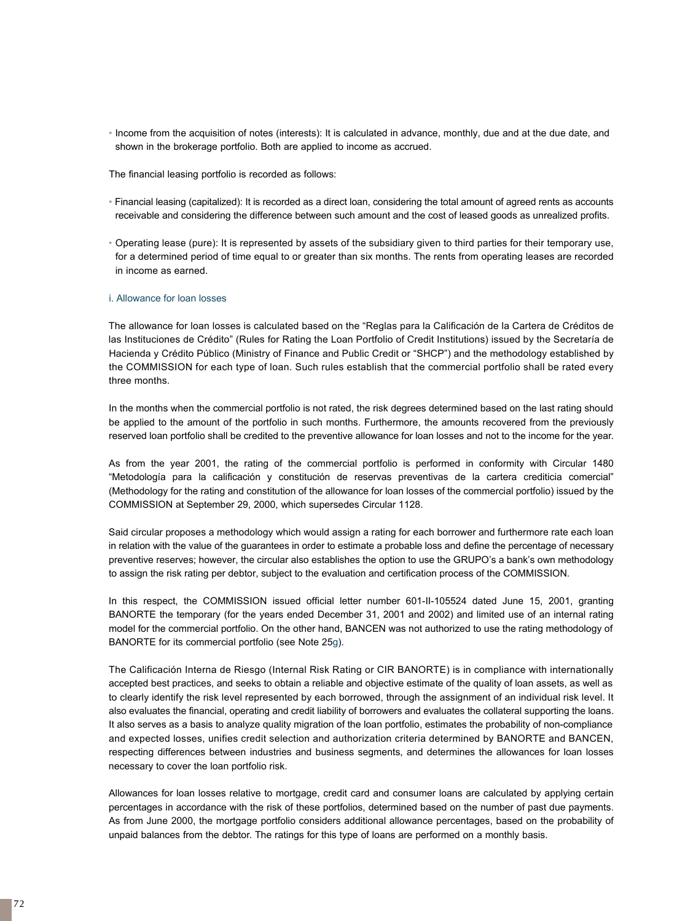• Income from the acquisition of notes (interests): It is calculated in advance, monthly, due and at the due date, and shown in the brokerage portfolio. Both are applied to income as accrued.

The financial leasing portfolio is recorded as follows:

- Financial leasing (capitalized): It is recorded as a direct loan, considering the total amount of agreed rents as accounts receivable and considering the difference between such amount and the cost of leased goods as unrealized profits.
- Operating lease (pure): It is represented by assets of the subsidiary given to third parties for their temporary use, for a determined period of time equal to or greater than six months. The rents from operating leases are recorded in income as earned.

## i. Allowance for loan losses

The allowance for loan losses is calculated based on the "Reglas para la Calificación de la Cartera de Créditos de las Instituciones de Crédito" (Rules for Rating the Loan Portfolio of Credit Institutions) issued by the Secretaría de Hacienda y Crédito Público (Ministry of Finance and Public Credit or "SHCP") and the methodology established by the COMMISSION for each type of loan. Such rules establish that the commercial portfolio shall be rated every three months.

In the months when the commercial portfolio is not rated, the risk degrees determined based on the last rating should be applied to the amount of the portfolio in such months. Furthermore, the amounts recovered from the previously reserved loan portfolio shall be credited to the preventive allowance for loan losses and not to the income for the year.

As from the year 2001, the rating of the commercial portfolio is performed in conformity with Circular 1480 "Metodología para la calificación y constitución de reservas preventivas de la cartera crediticia comercial" (Methodology for the rating and constitution of the allowance for loan losses of the commercial portfolio) issued by the COMMISSION at September 29, 2000, which supersedes Circular 1128.

Said circular proposes a methodology which would assign a rating for each borrower and furthermore rate each loan in relation with the value of the guarantees in order to estimate a probable loss and define the percentage of necessary preventive reserves; however, the circular also establishes the option to use the GRUPO's a bank's own methodology to assign the risk rating per debtor, subject to the evaluation and certification process of the COMMISSION.

In this respect, the COMMISSION issued official letter number 601-II-105524 dated June 15, 2001, granting BANORTE the temporary (for the years ended December 31, 2001 and 2002) and limited use of an internal rating model for the commercial portfolio. On the other hand, BANCEN was not authorized to use the rating methodology of BANORTE for its commercial portfolio (see Note 25g).

The Calificación Interna de Riesgo (Internal Risk Rating or CIR BANORTE) is in compliance with internationally accepted best practices, and seeks to obtain a reliable and objective estimate of the quality of loan assets, as well as to clearly identify the risk level represented by each borrowed, through the assignment of an individual risk level. It also evaluates the financial, operating and credit liability of borrowers and evaluates the collateral supporting the loans. It also serves as a basis to analyze quality migration of the loan portfolio, estimates the probability of non-compliance and expected losses, unifies credit selection and authorization criteria determined by BANORTE and BANCEN, respecting differences between industries and business segments, and determines the allowances for loan losses necessary to cover the loan portfolio risk.

Allowances for loan losses relative to mortgage, credit card and consumer loans are calculated by applying certain percentages in accordance with the risk of these portfolios, determined based on the number of past due payments. As from June 2000, the mortgage portfolio considers additional allowance percentages, based on the probability of unpaid balances from the debtor. The ratings for this type of loans are performed on a monthly basis.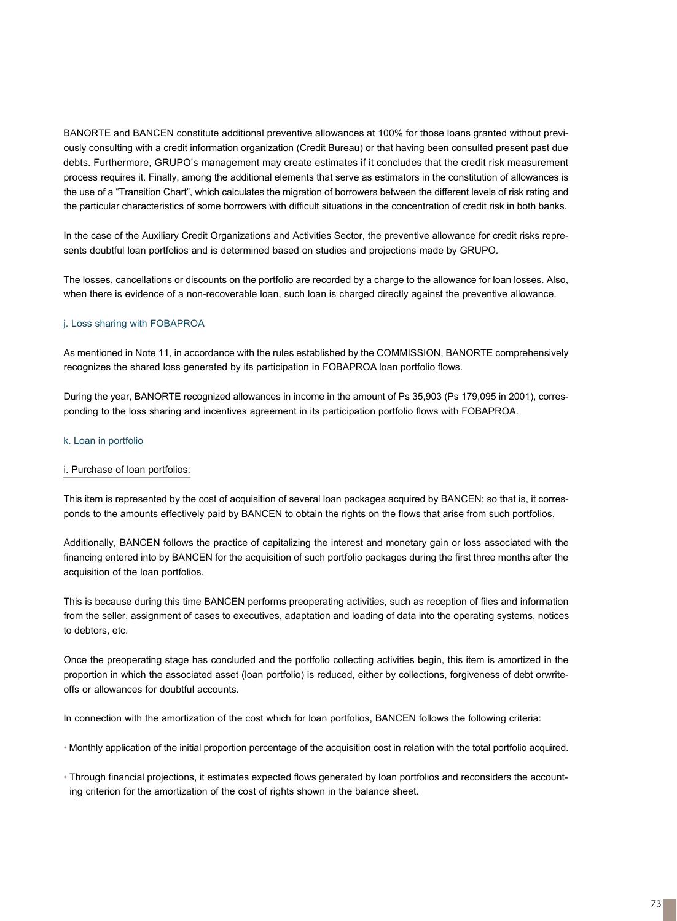BANORTE and BANCEN constitute additional preventive allowances at 100% for those loans granted without previously consulting with a credit information organization (Credit Bureau) or that having been consulted present past due debts. Furthermore, GRUPO's management may create estimates if it concludes that the credit risk measurement process requires it. Finally, among the additional elements that serve as estimators in the constitution of allowances is the use of a "Transition Chart", which calculates the migration of borrowers between the different levels of risk rating and the particular characteristics of some borrowers with difficult situations in the concentration of credit risk in both banks.

In the case of the Auxiliary Credit Organizations and Activities Sector, the preventive allowance for credit risks represents doubtful loan portfolios and is determined based on studies and projections made by GRUPO.

The losses, cancellations or discounts on the portfolio are recorded by a charge to the allowance for loan losses. Also, when there is evidence of a non-recoverable loan, such loan is charged directly against the preventive allowance.

## j. Loss sharing with FOBAPROA

As mentioned in Note 11, in accordance with the rules established by the COMMISSION, BANORTE comprehensively recognizes the shared loss generated by its participation in FOBAPROA loan portfolio flows.

During the year, BANORTE recognized allowances in income in the amount of Ps 35,903 (Ps 179,095 in 2001), corresponding to the loss sharing and incentives agreement in its participation portfolio flows with FOBAPROA.

## k. Loan in portfolio

## i. Purchase of loan portfolios:

This item is represented by the cost of acquisition of several loan packages acquired by BANCEN; so that is, it corresponds to the amounts effectively paid by BANCEN to obtain the rights on the flows that arise from such portfolios.

Additionally, BANCEN follows the practice of capitalizing the interest and monetary gain or loss associated with the financing entered into by BANCEN for the acquisition of such portfolio packages during the first three months after the acquisition of the loan portfolios.

This is because during this time BANCEN performs preoperating activities, such as reception of files and information from the seller, assignment of cases to executives, adaptation and loading of data into the operating systems, notices to debtors, etc.

Once the preoperating stage has concluded and the portfolio collecting activities begin, this item is amortized in the proportion in which the associated asset (loan portfolio) is reduced, either by collections, forgiveness of debt orwriteoffs or allowances for doubtful accounts.

In connection with the amortization of the cost which for loan portfolios, BANCEN follows the following criteria:

• Monthly application of the initial proportion percentage of the acquisition cost in relation with the total portfolio acquired.

• Through financial projections, it estimates expected flows generated by loan portfolios and reconsiders the accounting criterion for the amortization of the cost of rights shown in the balance sheet.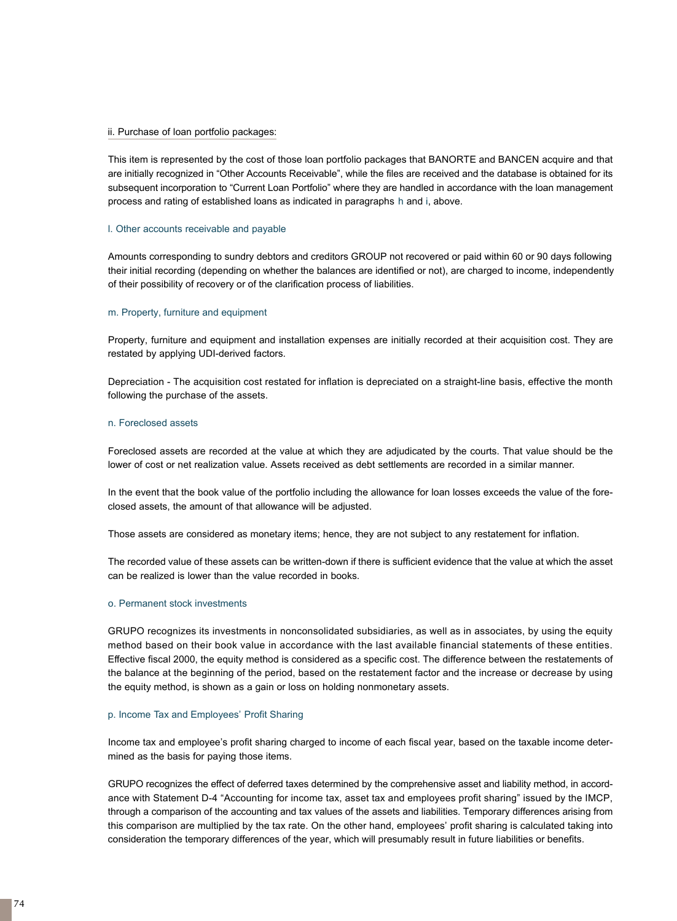#### ii. Purchase of loan portfolio packages:

This item is represented by the cost of those loan portfolio packages that BANORTE and BANCEN acquire and that are initially recognized in "Other Accounts Receivable", while the files are received and the database is obtained for its subsequent incorporation to "Current Loan Portfolio" where they are handled in accordance with the loan management process and rating of established loans as indicated in paragraphs h and i, above.

#### l. Other accounts receivable and payable

Amounts corresponding to sundry debtors and creditors GROUP not recovered or paid within 60 or 90 days following their initial recording (depending on whether the balances are identified or not), are charged to income, independently of their possibility of recovery or of the clarification process of liabilities.

#### m. Property, furniture and equipment

Property, furniture and equipment and installation expenses are initially recorded at their acquisition cost. They are restated by applying UDI-derived factors.

Depreciation - The acquisition cost restated for inflation is depreciated on a straight-line basis, effective the month following the purchase of the assets.

#### n. Foreclosed assets

Foreclosed assets are recorded at the value at which they are adjudicated by the courts. That value should be the lower of cost or net realization value. Assets received as debt settlements are recorded in a similar manner.

In the event that the book value of the portfolio including the allowance for loan losses exceeds the value of the foreclosed assets, the amount of that allowance will be adjusted.

Those assets are considered as monetary items; hence, they are not subject to any restatement for inflation.

The recorded value of these assets can be written-down if there is sufficient evidence that the value at which the asset can be realized is lower than the value recorded in books.

#### o. Permanent stock investments

GRUPO recognizes its investments in nonconsolidated subsidiaries, as well as in associates, by using the equity method based on their book value in accordance with the last available financial statements of these entities. Effective fiscal 2000, the equity method is considered as a specific cost. The difference between the restatements of the balance at the beginning of the period, based on the restatement factor and the increase or decrease by using the equity method, is shown as a gain or loss on holding nonmonetary assets.

#### p. Income Tax and Employees' Profit Sharing

Income tax and employee's profit sharing charged to income of each fiscal year, based on the taxable income determined as the basis for paying those items.

GRUPO recognizes the effect of deferred taxes determined by the comprehensive asset and liability method, in accordance with Statement D-4 "Accounting for income tax, asset tax and employees profit sharing" issued by the IMCP, through a comparison of the accounting and tax values of the assets and liabilities. Temporary differences arising from this comparison are multiplied by the tax rate. On the other hand, employees' profit sharing is calculated taking into consideration the temporary differences of the year, which will presumably result in future liabilities or benefits.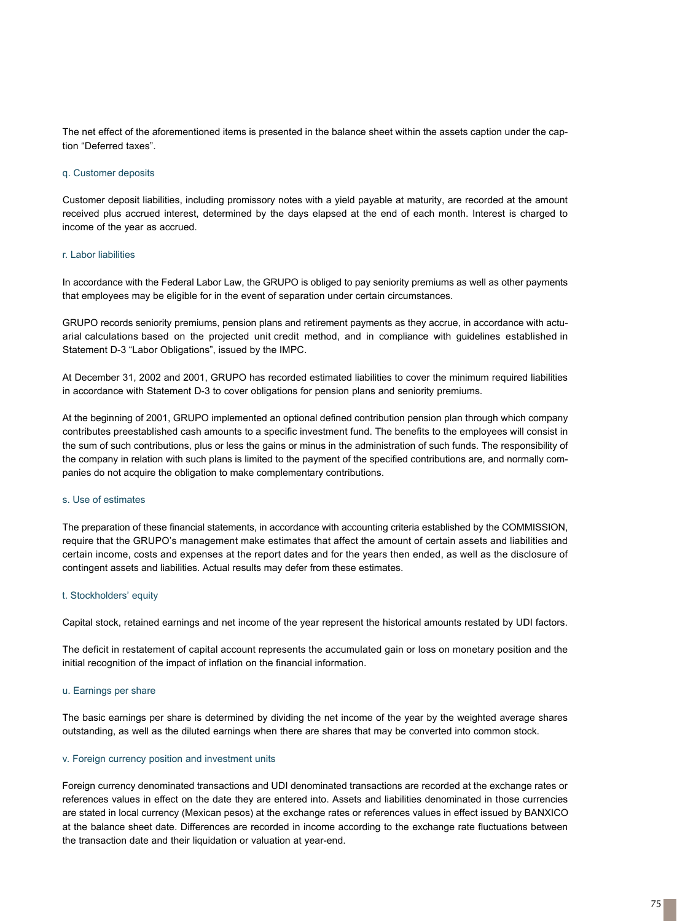The net effect of the aforementioned items is presented in the balance sheet within the assets caption under the caption "Deferred taxes".

#### q. Customer deposits

Customer deposit liabilities, including promissory notes with a yield payable at maturity, are recorded at the amount received plus accrued interest, determined by the days elapsed at the end of each month. Interest is charged to income of the year as accrued.

#### r. Labor liabilities

In accordance with the Federal Labor Law, the GRUPO is obliged to pay seniority premiums as well as other payments that employees may be eligible for in the event of separation under certain circumstances.

GRUPO records seniority premiums, pension plans and retirement payments as they accrue, in accordance with actuarial calculations based on the projected unit credit method, and in compliance with guidelines established in Statement D-3 "Labor Obligations", issued by the IMPC.

At December 31, 2002 and 2001, GRUPO has recorded estimated liabilities to cover the minimum required liabilities in accordance with Statement D-3 to cover obligations for pension plans and seniority premiums.

At the beginning of 2001, GRUPO implemented an optional defined contribution pension plan through which company contributes preestablished cash amounts to a specific investment fund. The benefits to the employees will consist in the sum of such contributions, plus or less the gains or minus in the administration of such funds. The responsibility of the company in relation with such plans is limited to the payment of the specified contributions are, and normally companies do not acquire the obligation to make complementary contributions.

#### s. Use of estimates

The preparation of these financial statements, in accordance with accounting criteria established by the COMMISSION, require that the GRUPO's management make estimates that affect the amount of certain assets and liabilities and certain income, costs and expenses at the report dates and for the years then ended, as well as the disclosure of contingent assets and liabilities. Actual results may defer from these estimates.

#### t. Stockholders' equity

Capital stock, retained earnings and net income of the year represent the historical amounts restated by UDI factors.

The deficit in restatement of capital account represents the accumulated gain or loss on monetary position and the initial recognition of the impact of inflation on the financial information.

## u. Earnings per share

The basic earnings per share is determined by dividing the net income of the year by the weighted average shares outstanding, as well as the diluted earnings when there are shares that may be converted into common stock.

## v. Foreign currency position and investment units

Foreign currency denominated transactions and UDI denominated transactions are recorded at the exchange rates or references values in effect on the date they are entered into. Assets and liabilities denominated in those currencies are stated in local currency (Mexican pesos) at the exchange rates or references values in effect issued by BANXICO at the balance sheet date. Differences are recorded in income according to the exchange rate fluctuations between the transaction date and their liquidation or valuation at year-end.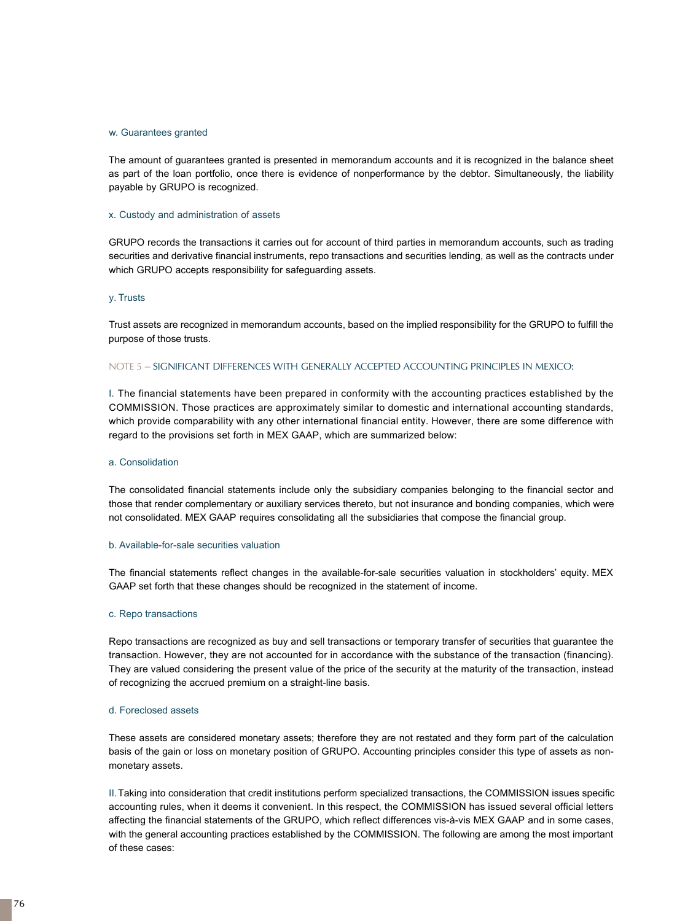#### w. Guarantees granted

The amount of guarantees granted is presented in memorandum accounts and it is recognized in the balance sheet as part of the loan portfolio, once there is evidence of nonperformance by the debtor. Simultaneously, the liability payable by GRUPO is recognized.

#### x. Custody and administration of assets

GRUPO records the transactions it carries out for account of third parties in memorandum accounts, such as trading securities and derivative financial instruments, repo transactions and securities lending, as well as the contracts under which GRUPO accepts responsibility for safeguarding assets.

#### y. Trusts

Trust assets are recognized in memorandum accounts, based on the implied responsibility for the GRUPO to fulfill the purpose of those trusts.

#### NOTE 5 – SIGNIFICANT DIFFERENCES WITH GENERALLY ACCEPTED ACCOUNTING PRINCIPLES IN MEXICO:

I. The financial statements have been prepared in conformity with the accounting practices established by the COMMISSION. Those practices are approximately similar to domestic and international accounting standards, which provide comparability with any other international financial entity. However, there are some difference with regard to the provisions set forth in MEX GAAP, which are summarized below:

#### a. Consolidation

The consolidated financial statements include only the subsidiary companies belonging to the financial sector and those that render complementary or auxiliary services thereto, but not insurance and bonding companies, which were not consolidated. MEX GAAP requires consolidating all the subsidiaries that compose the financial group.

#### b. Available-for-sale securities valuation

The financial statements reflect changes in the available-for-sale securities valuation in stockholders' equity. MEX GAAP set forth that these changes should be recognized in the statement of income.

#### c. Repo transactions

Repo transactions are recognized as buy and sell transactions or temporary transfer of securities that guarantee the transaction. However, they are not accounted for in accordance with the substance of the transaction (financing). They are valued considering the present value of the price of the security at the maturity of the transaction, instead of recognizing the accrued premium on a straight-line basis.

#### d. Foreclosed assets

These assets are considered monetary assets; therefore they are not restated and they form part of the calculation basis of the gain or loss on monetary position of GRUPO. Accounting principles consider this type of assets as nonmonetary assets.

II.Taking into consideration that credit institutions perform specialized transactions, the COMMISSION issues specific accounting rules, when it deems it convenient. In this respect, the COMMISSION has issued several official letters affecting the financial statements of the GRUPO, which reflect differences vis-à-vis MEX GAAP and in some cases, with the general accounting practices established by the COMMISSION. The following are among the most important of these cases: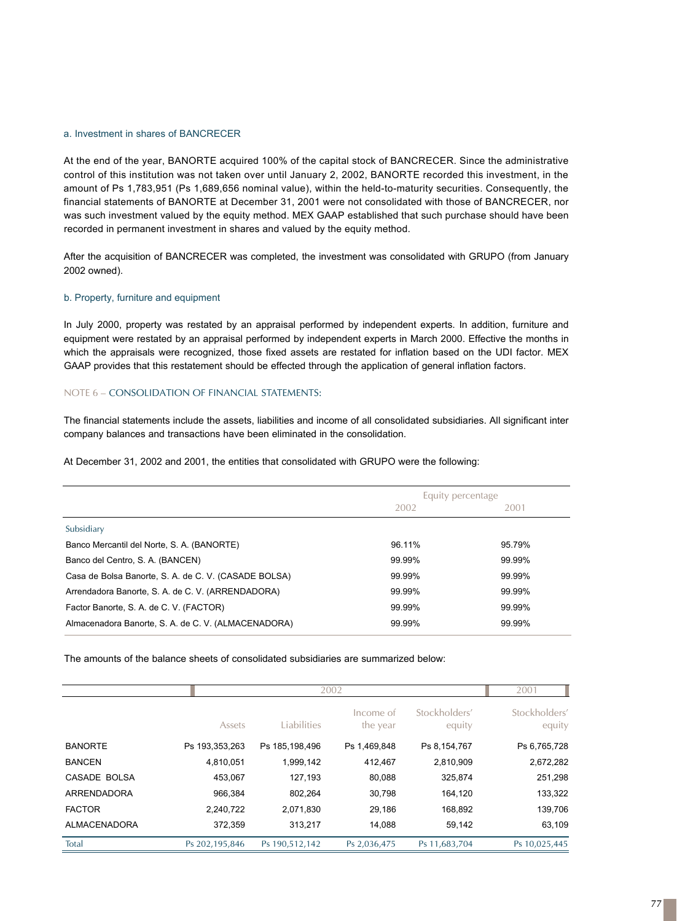## a. Investment in shares of BANCRECER

At the end of the year, BANORTE acquired 100% of the capital stock of BANCRECER. Since the administrative control of this institution was not taken over until January 2, 2002, BANORTE recorded this investment, in the amount of Ps 1,783,951 (Ps 1,689,656 nominal value), within the held-to-maturity securities. Consequently, the financial statements of BANORTE at December 31, 2001 were not consolidated with those of BANCRECER, nor was such investment valued by the equity method. MEX GAAP established that such purchase should have been recorded in permanent investment in shares and valued by the equity method.

After the acquisition of BANCRECER was completed, the investment was consolidated with GRUPO (from January 2002 owned).

## b. Property, furniture and equipment

In July 2000, property was restated by an appraisal performed by independent experts. In addition, furniture and equipment were restated by an appraisal performed by independent experts in March 2000. Effective the months in which the appraisals were recognized, those fixed assets are restated for inflation based on the UDI factor. MEX GAAP provides that this restatement should be effected through the application of general inflation factors.

#### NOTE 6 – CONSOLIDATION OF FINANCIAL STATEMENTS:

The financial statements include the assets, liabilities and income of all consolidated subsidiaries. All significant inter company balances and transactions have been eliminated in the consolidation.

At December 31, 2002 and 2001, the entities that consolidated with GRUPO were the following:

|                                                      | Equity percentage |        |  |
|------------------------------------------------------|-------------------|--------|--|
|                                                      | 2002              | 2001   |  |
| Subsidiary                                           |                   |        |  |
| Banco Mercantil del Norte, S. A. (BANORTE)           | 96.11%            | 95.79% |  |
| Banco del Centro, S. A. (BANCEN)                     | 99.99%            | 99.99% |  |
| Casa de Bolsa Banorte, S. A. de C. V. (CASADE BOLSA) | 99.99%            | 99.99% |  |
| Arrendadora Banorte, S. A. de C. V. (ARRENDADORA)    | 99.99%            | 99.99% |  |
| Factor Banorte, S. A. de C. V. (FACTOR)              | 99.99%            | 99.99% |  |
| Almacenadora Banorte, S. A. de C. V. (ALMACENADORA)  | 99.99%            | 99.99% |  |
|                                                      |                   |        |  |

The amounts of the balance sheets of consolidated subsidiaries are summarized below:

|                |                | 2002             |                       |                         |                         |  |
|----------------|----------------|------------------|-----------------------|-------------------------|-------------------------|--|
|                | Assets         | Liabilities      | Income of<br>the year | Stockholders'<br>equity | Stockholders'<br>equity |  |
| <b>BANORTE</b> | Ps 193,353,263 | Ps 185, 198, 496 | Ps 1,469,848          | Ps 8,154,767            | Ps 6,765,728            |  |
| <b>BANCEN</b>  | 4,810,051      | 1,999,142        | 412,467               | 2,810,909               | 2,672,282               |  |
| CASADE BOLSA   | 453,067        | 127,193          | 80,088                | 325,874                 | 251,298                 |  |
| ARRENDADORA    | 966,384        | 802,264          | 30,798                | 164,120                 | 133,322                 |  |
| <b>FACTOR</b>  | 2,240,722      | 2,071,830        | 29,186                | 168,892                 | 139,706                 |  |
| ALMACENADORA   | 372,359        | 313,217          | 14,088                | 59,142                  | 63,109                  |  |
| Total          | Ps 202,195,846 | Ps 190,512,142   | Ps 2,036,475          | Ps 11,683,704           | Ps 10,025,445           |  |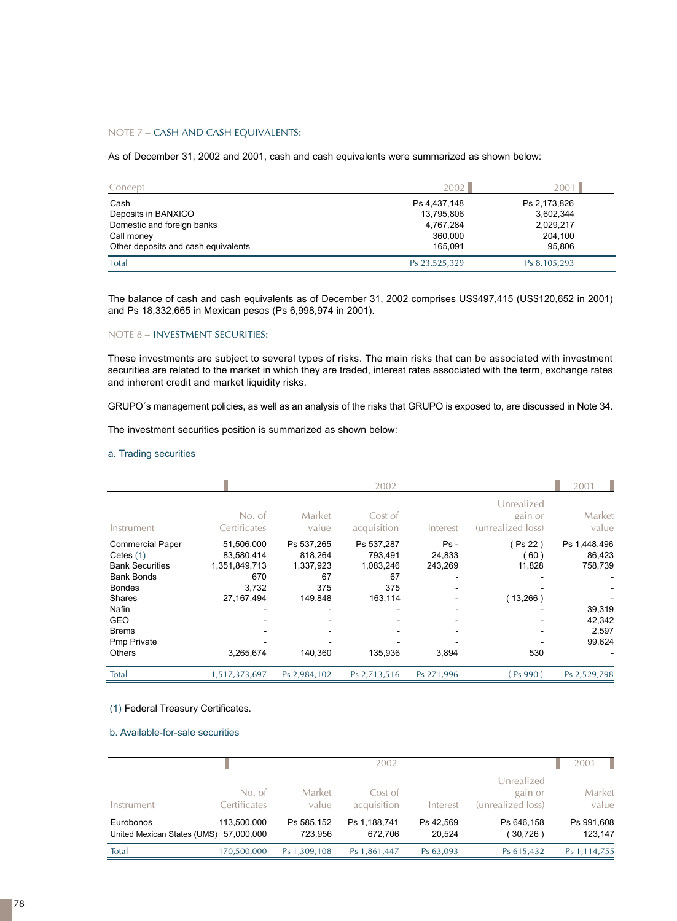## NOTE 7 – CASH AND CASH EQUIVALENTS:

As of December 31, 2002 and 2001, cash and cash equivalents were summarized as shown below:

| Concept                             | 2002          | 200          |
|-------------------------------------|---------------|--------------|
| Cash                                | Ps 4,437,148  | Ps 2,173,826 |
| Deposits in BANXICO                 | 13,795,806    | 3.602.344    |
| Domestic and foreign banks          | 4,767,284     | 2,029,217    |
| Call money                          | 360,000       | 204.100      |
| Other deposits and cash equivalents | 165.091       | 95.806       |
| Total                               | Ps 23,525,329 | Ps 8,105,293 |

The balance of cash and cash equivalents as of December 31, 2002 comprises US\$497,415 (US\$120,652 in 2001) and Ps 18,332,665 in Mexican pesos (Ps 6,998,974 in 2001).

### NOTE 8 – INVESTMENT SECURITIES:

These investments are subject to several types of risks. The main risks that can be associated with investment securities are related to the market in which they are traded, interest rates associated with the term, exchange rates and inherent credit and market liquidity risks.

GRUPO´s management policies, as well as an analysis of the risks that GRUPO is exposed to, are discussed in Note 34.

The investment securities position is summarized as shown below:

## a. Trading securities

|                                                                                                                                                                                                |                                                                                        | 2002                                                                  |                                                                       |                                      |                                             |                                                                          |  |
|------------------------------------------------------------------------------------------------------------------------------------------------------------------------------------------------|----------------------------------------------------------------------------------------|-----------------------------------------------------------------------|-----------------------------------------------------------------------|--------------------------------------|---------------------------------------------|--------------------------------------------------------------------------|--|
| Instrument                                                                                                                                                                                     | No. of<br>Certificates                                                                 | Market<br>value                                                       | Cost of<br>acquisition                                                | Interest                             | Unrealized<br>gain or<br>(unrealized loss)  | Market<br>value                                                          |  |
| <b>Commercial Paper</b><br>Cetes $(1)$<br><b>Bank Securities</b><br><b>Bank Bonds</b><br><b>Bondes</b><br><b>Shares</b><br>Nafin<br><b>GEO</b><br><b>Brems</b><br>Pmp Private<br><b>Others</b> | 51,506,000<br>83,580,414<br>1,351,849,713<br>670<br>3.732<br>27, 167, 494<br>3,265,674 | Ps 537,265<br>818,264<br>1,337,923<br>67<br>375<br>149,848<br>140,360 | Ps 537,287<br>793,491<br>1,083,246<br>67<br>375<br>163,114<br>135,936 | $Ps -$<br>24,833<br>243,269<br>3,894 | Ps 22)<br>(60)<br>11,828<br>(13,266)<br>530 | Ps 1,448,496<br>86,423<br>758,739<br>39,319<br>42,342<br>2,597<br>99,624 |  |
| Total                                                                                                                                                                                          | 1,517,373,697                                                                          | Ps 2,984,102                                                          | Ps 2,713,516                                                          | Ps 271,996                           | Ps990)                                      | Ps 2,529,798                                                             |  |

## (1) Federal Treasury Certificates.

## b. Available-for-sale securities

|                                          | 2002                      |                       |                         |                     |                                            | 2001                  |
|------------------------------------------|---------------------------|-----------------------|-------------------------|---------------------|--------------------------------------------|-----------------------|
| Instrument                               | No. of<br>Certificates    | Market<br>value       | Cost of<br>acquisition  | Interest            | Unrealized<br>gain or<br>(unrealized loss) | Market<br>value       |
| Eurobonos<br>United Mexican States (UMS) | 113.500.000<br>57.000.000 | Ps 585,152<br>723.956 | Ps 1,188,741<br>672.706 | Ps 42.569<br>20,524 | Ps 646.158<br>( 30,726 )                   | Ps 991,608<br>123.147 |
| Total                                    | 170,500,000               | Ps 1,309,108          | Ps 1,861,447            | Ps 63,093           | Ps 615,432                                 | Ps 1, 114, 755        |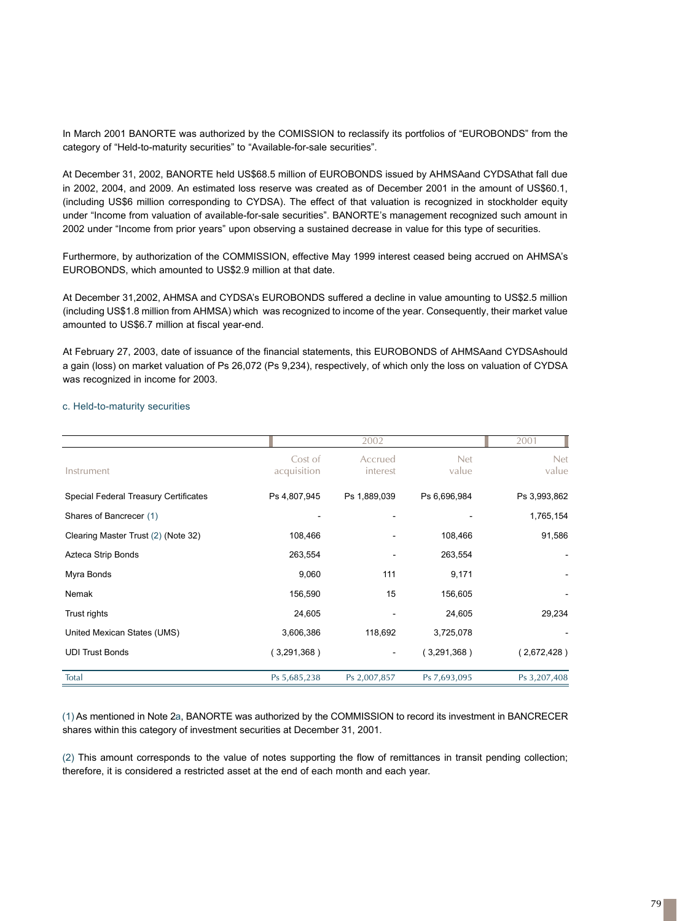In March 2001 BANORTE was authorized by the COMISSION to reclassify its portfolios of "EUROBONDS" from the category of "Held-to-maturity securities" to "Available-for-sale securities".

At December 31, 2002, BANORTE held US\$68.5 million of EUROBONDS issued by AHMSAand CYDSAthat fall due in 2002, 2004, and 2009. An estimated loss reserve was created as of December 2001 in the amount of US\$60.1, (including US\$6 million corresponding to CYDSA). The effect of that valuation is recognized in stockholder equity under "Income from valuation of available-for-sale securities". BANORTE's management recognized such amount in 2002 under "Income from prior years" upon observing a sustained decrease in value for this type of securities.

Furthermore, by authorization of the COMMISSION, effective May 1999 interest ceased being accrued on AHMSA's EUROBONDS, which amounted to US\$2.9 million at that date.

At December 31,2002, AHMSA and CYDSA's EUROBONDS suffered a decline in value amounting to US\$2.5 million (including US\$1.8 million from AHMSA) which was recognized to income of the year. Consequently, their market value amounted to US\$6.7 million at fiscal year-end.

At February 27, 2003, date of issuance of the financial statements, this EUROBONDS of AHMSAand CYDSAshould a gain (loss) on market valuation of Ps 26,072 (Ps 9,234), respectively, of which only the loss on valuation of CYDSA was recognized in income for 2003.

#### c. Held-to-maturity securities

|                                       |                        | 2002                |                     | 2001                |
|---------------------------------------|------------------------|---------------------|---------------------|---------------------|
| Instrument                            | Cost of<br>acquisition | Accrued<br>interest | <b>Net</b><br>value | <b>Net</b><br>value |
| Special Federal Treasury Certificates | Ps 4,807,945           | Ps 1,889,039        | Ps 6,696,984        | Ps 3,993,862        |
| Shares of Bancrecer (1)               |                        |                     |                     | 1,765,154           |
| Clearing Master Trust (2) (Note 32)   | 108,466                |                     | 108,466             | 91,586              |
| Azteca Strip Bonds                    | 263,554                |                     | 263,554             |                     |
| Myra Bonds                            | 9,060                  | 111                 | 9,171               |                     |
| Nemak                                 | 156,590                | 15                  | 156,605             |                     |
| Trust rights                          | 24,605                 |                     | 24,605              | 29,234              |
| United Mexican States (UMS)           | 3,606,386              | 118,692             | 3,725,078           |                     |
| <b>UDI Trust Bonds</b>                | (3,291,368)            | -                   | (3,291,368)         | (2,672,428)         |
| Total                                 | Ps 5,685,238           | Ps 2,007,857        | Ps 7,693,095        | Ps 3,207,408        |

(1) As mentioned in Note 2a, BANORTE was authorized by the COMMISSION to record its investment in BANCRECER shares within this category of investment securities at December 31, 2001.

(2) This amount corresponds to the value of notes supporting the flow of remittances in transit pending collection; therefore, it is considered a restricted asset at the end of each month and each year.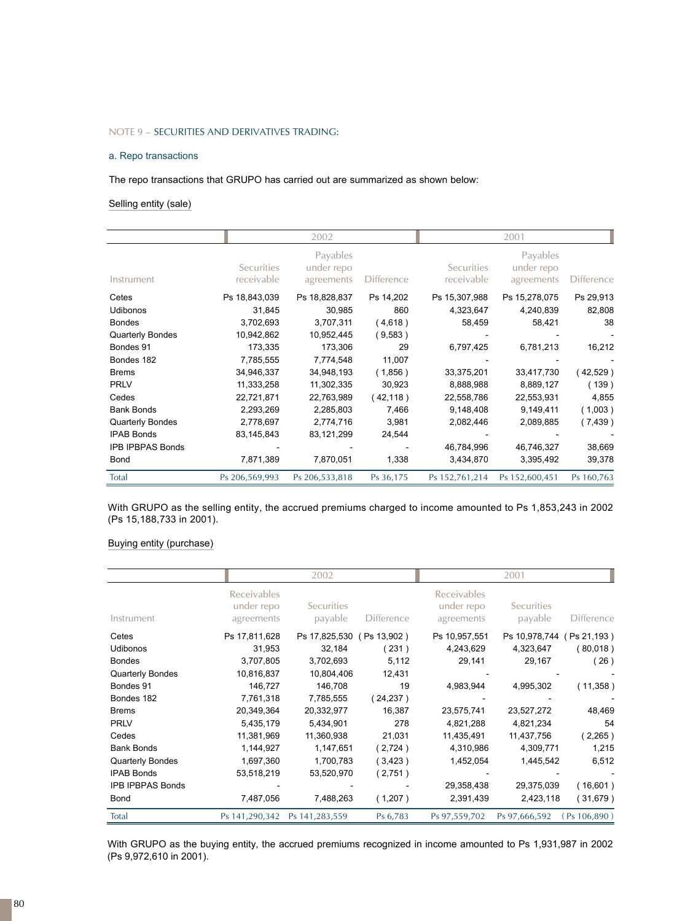## NOTE 9 – SECURITIES AND DERIVATIVES TRADING:

#### a. Repo transactions

The repo transactions that GRUPO has carried out are summarized as shown below:

## Selling entity (sale)

|                         |                                 | 2002                                 |                   |                                 | 2001                                 |                   |
|-------------------------|---------------------------------|--------------------------------------|-------------------|---------------------------------|--------------------------------------|-------------------|
| Instrument              | <b>Securities</b><br>receivable | Payables<br>under repo<br>agreements | <b>Difference</b> | <b>Securities</b><br>receivable | Payables<br>under repo<br>agreements | <b>Difference</b> |
| Cetes                   | Ps 18,843,039                   | Ps 18,828,837                        | Ps 14,202         | Ps 15,307,988                   | Ps 15,278,075                        | Ps 29,913         |
| <b>Udibonos</b>         | 31,845                          | 30,985                               | 860               | 4,323,647                       | 4,240,839                            | 82,808            |
| <b>Bondes</b>           | 3,702,693                       | 3,707,311                            | (4,618)           | 58,459                          | 58,421                               | 38                |
| Quarterly Bondes        | 10,942,862                      | 10,952,445                           | (9,583)           |                                 |                                      |                   |
| Bondes 91               | 173,335                         | 173,306                              | 29                | 6,797,425                       | 6,781,213                            | 16,212            |
| Bondes 182              | 7,785,555                       | 7,774,548                            | 11,007            |                                 |                                      |                   |
| <b>Brems</b>            | 34,946,337                      | 34,948,193                           | (1,856)           | 33,375,201                      | 33,417,730                           | (42,529)          |
| <b>PRLV</b>             | 11,333,258                      | 11,302,335                           | 30,923            | 8,888,988                       | 8,889,127                            | (139)             |
| Cedes                   | 22,721,871                      | 22,763,989                           | (42, 118)         | 22,558,786                      | 22,553,931                           | 4,855             |
| <b>Bank Bonds</b>       | 2,293,269                       | 2,285,803                            | 7,466             | 9,148,408                       | 9,149,411                            | (1,003)           |
| <b>Quarterly Bondes</b> | 2,778,697                       | 2,774,716                            | 3,981             | 2,082,446                       | 2,089,885                            | (7, 439)          |
| <b>IPAB Bonds</b>       | 83,145,843                      | 83,121,299                           | 24,544            |                                 |                                      |                   |
| <b>IPB IPBPAS Bonds</b> |                                 |                                      |                   | 46,784,996                      | 46,746,327                           | 38,669            |
| Bond                    | 7,871,389                       | 7,870,051                            | 1,338             | 3,434,870                       | 3,395,492                            | 39,378            |
| Total                   | Ps 206,569,993                  | Ps 206,533,818                       | Ps 36,175         | Ps 152,761,214                  | Ps 152,600,451                       | Ps 160,763        |

With GRUPO as the selling entity, the accrued premiums charged to income amounted to Ps 1,853,243 in 2002 (Ps 15,188,733 in 2001).

## Buying entity (purchase)

|                                              |                                                | 2002                                             |                      |                                                | 2001                                             |                      |  |
|----------------------------------------------|------------------------------------------------|--------------------------------------------------|----------------------|------------------------------------------------|--------------------------------------------------|----------------------|--|
| Instrument                                   | <b>Receivables</b><br>under repo<br>agreements | <b>Securities</b><br>payable                     | <b>Difference</b>    | <b>Receivables</b><br>under repo<br>agreements | <b>Securities</b><br>payable                     | <b>Difference</b>    |  |
| Cetes<br>Udibonos<br><b>Bondes</b>           | Ps 17,811,628<br>31,953<br>3,707,805           | Ps 17,825,530 (Ps 13,902)<br>32,184<br>3,702,693 | (231)<br>5,112       | Ps 10,957,551<br>4,243,629<br>29,141           | Ps 10,978,744 (Ps 21,193)<br>4,323,647<br>29,167 | (80,018)<br>(26)     |  |
| Quarterly Bondes                             | 10,816,837                                     | 10,804,406                                       | 12,431               |                                                |                                                  |                      |  |
| Bondes 91<br>Bondes 182                      | 146,727<br>7,761,318                           | 146,708<br>7,785,555                             | 19<br>(24, 237)      | 4,983,944                                      | 4,995,302                                        | (11,358)             |  |
| <b>Brems</b>                                 | 20,349,364                                     | 20,332,977                                       | 16,387               | 23,575,741                                     | 23,527,272                                       | 48,469               |  |
| <b>PRLV</b><br>Cedes                         | 5,435,179<br>11,381,969                        | 5,434,901<br>11,360,938                          | 278<br>21,031        | 4,821,288<br>11,435,491                        | 4,821,234<br>11,437,756                          | 54<br>(2,265)        |  |
| <b>Bank Bonds</b>                            | 1,144,927                                      | 1,147,651                                        | (2,724)              | 4,310,986<br>1,452,054                         | 4,309,771<br>1,445,542                           | 1,215                |  |
| <b>Quarterly Bondes</b><br><b>IPAB Bonds</b> | 1,697,360<br>53,518,219                        | 1,700,783<br>53,520,970                          | $3,423$ )<br>(2,751) |                                                |                                                  | 6,512                |  |
| <b>IPB IPBPAS Bonds</b><br><b>Bond</b>       | 7,487,056                                      | 7,488,263                                        | (1,207)              | 29,358,438<br>2,391,439                        | 29,375,039<br>2,423,118                          | (16,601)<br>(31,679) |  |
| Total                                        |                                                | Ps 141,290,342 Ps 141,283,559                    | Ps 6,783             | Ps 97,559,702                                  | Ps 97,666,592 (Ps 106,890)                       |                      |  |

With GRUPO as the buying entity, the accrued premiums recognized in income amounted to Ps 1,931,987 in 2002 (Ps 9,972,610 in 2001).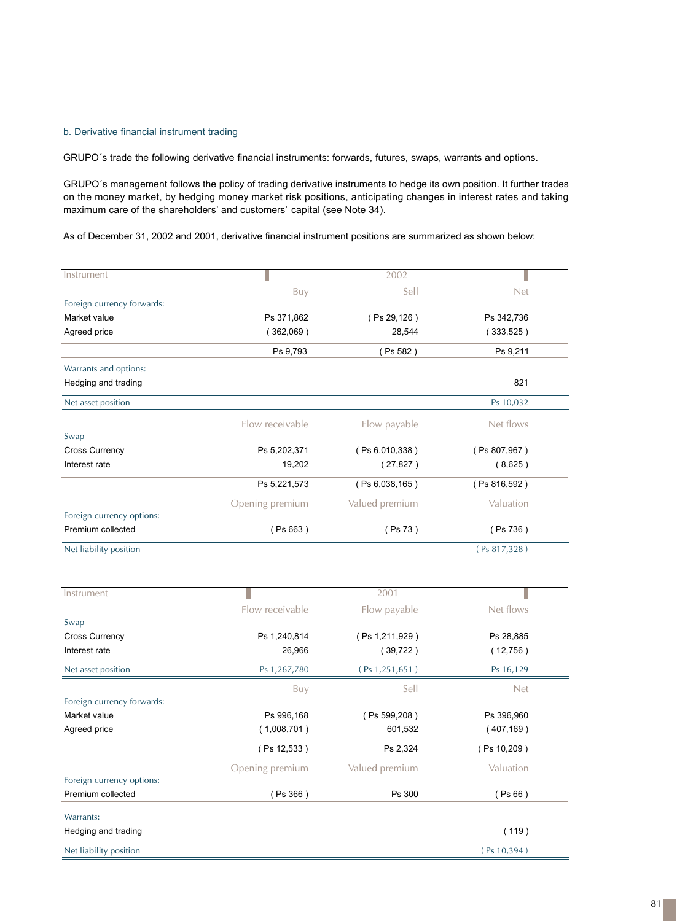## b. Derivative financial instrument trading

GRUPO´s trade the following derivative financial instruments: forwards, futures, swaps, warrants and options.

GRUPO´s management follows the policy of trading derivative instruments to hedge its own position. It further trades on the money market, by hedging money market risk positions, anticipating changes in interest rates and taking maximum care of the shareholders' and customers' capital (see Note 34).

As of December 31, 2002 and 2001, derivative financial instrument positions are summarized as shown below:

| Instrument                 |                 | 2002             |              |  |
|----------------------------|-----------------|------------------|--------------|--|
|                            | Buy             | Sell             | Net          |  |
| Foreign currency forwards: |                 |                  |              |  |
| Market value               | Ps 371,862      | (Ps 29,126)      | Ps 342,736   |  |
| Agreed price               | (362,069)       | 28,544           | (333,525)    |  |
|                            | Ps 9,793        | (Ps 582)         | Ps 9,211     |  |
| Warrants and options:      |                 |                  |              |  |
| Hedging and trading        |                 |                  | 821          |  |
| Net asset position         |                 |                  | Ps 10,032    |  |
|                            | Flow receivable | Flow payable     | Net flows    |  |
| Swap                       |                 |                  |              |  |
| <b>Cross Currency</b>      | Ps 5,202,371    | (Ps 6,010,338)   | (Ps 807,967) |  |
| Interest rate              | 19,202          | (27, 827)        | (8,625)      |  |
|                            | Ps 5,221,573    | (Ps 6,038,165)   | (Ps 816,592) |  |
|                            | Opening premium | Valued premium   | Valuation    |  |
| Foreign currency options:  |                 |                  |              |  |
| Premium collected          | (Ps 663)        | (Ps 73)          | (Ps 736)     |  |
| Net liability position     |                 |                  | (Ps 817,328) |  |
|                            |                 |                  |              |  |
|                            |                 |                  |              |  |
| Instrument                 |                 | 2001             |              |  |
|                            | Flow receivable | Flow payable     | Net flows    |  |
| Swap                       |                 |                  |              |  |
| <b>Cross Currency</b>      | Ps 1,240,814    | (Ps 1,211,929)   | Ps 28,885    |  |
| Interest rate              | 26,966          | (39,722)         | (12,756)     |  |
| Net asset position         | Ps 1,267,780    | (Ps 1, 251, 651) | Ps 16,129    |  |
|                            | Buy             | Sell             | Net          |  |
| Foreign currency forwards: |                 |                  |              |  |
| Market value               | Ps 996,168      | (Ps 599,208)     | Ps 396,960   |  |
| Agreed price               | (1,008,701)     | 601,532          | (407, 169)   |  |
|                            | (Ps 12,533)     | Ps 2,324         | (Ps 10,209)  |  |
|                            | Opening premium | Valued premium   | Valuation    |  |
| Foreign currency options:  |                 |                  |              |  |
| Premium collected          | (Ps 366)        | Ps 300           | (Ps 66)      |  |
| Warrants:                  |                 |                  |              |  |
| Hedging and trading        |                 |                  | (119)        |  |
| Net liability position     |                 |                  | (Ps 10, 394) |  |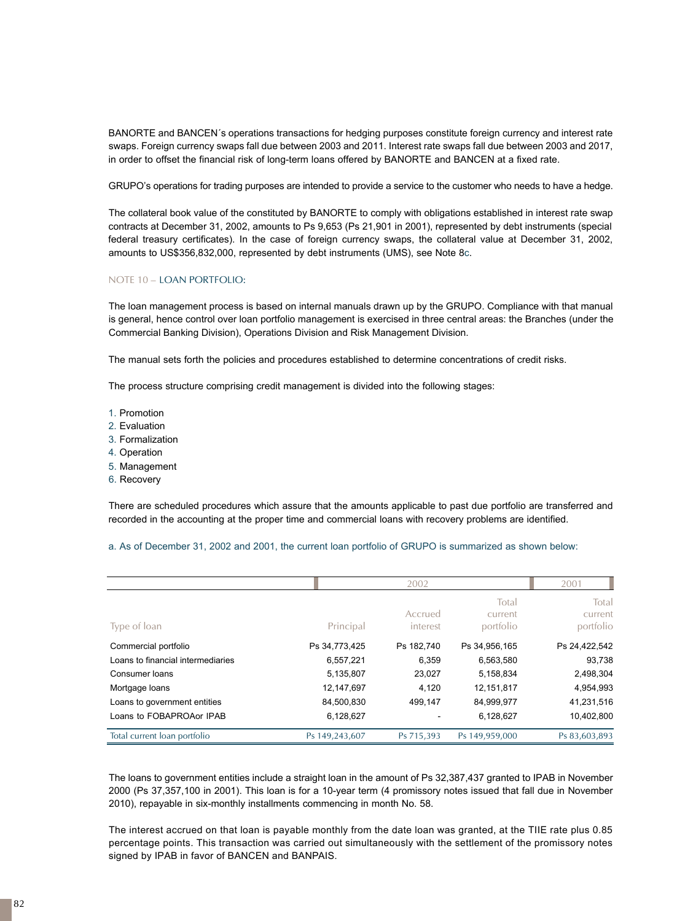BANORTE and BANCEN´s operations transactions for hedging purposes constitute foreign currency and interest rate swaps. Foreign currency swaps fall due between 2003 and 2011. Interest rate swaps fall due between 2003 and 2017, in order to offset the financial risk of long-term loans offered by BANORTE and BANCEN at a fixed rate.

GRUPO's operations for trading purposes are intended to provide a service to the customer who needs to have a hedge.

The collateral book value of the constituted by BANORTE to comply with obligations established in interest rate swap contracts at December 31, 2002, amounts to Ps 9,653 (Ps 21,901 in 2001), represented by debt instruments (special federal treasury certificates). In the case of foreign currency swaps, the collateral value at December 31, 2002, amounts to US\$356,832,000, represented by debt instruments (UMS), see Note 8c.

#### NOTE 10 – LOAN PORTFOLIO:

The loan management process is based on internal manuals drawn up by the GRUPO. Compliance with that manual is general, hence control over loan portfolio management is exercised in three central areas: the Branches (under the Commercial Banking Division), Operations Division and Risk Management Division.

The manual sets forth the policies and procedures established to determine concentrations of credit risks.

The process structure comprising credit management is divided into the following stages:

- 1. Promotion
- 2. Evaluation
- 3. Formalization
- 4. Operation
- 5. Management
- 6. Recovery

There are scheduled procedures which assure that the amounts applicable to past due portfolio are transferred and recorded in the accounting at the proper time and commercial loans with recovery problems are identified.

|                                   |                | 2002                |                               | 2001                          |
|-----------------------------------|----------------|---------------------|-------------------------------|-------------------------------|
| Type of loan                      | Principal      | Accrued<br>interest | Total<br>current<br>portfolio | Total<br>current<br>portfolio |
| Commercial portfolio              | Ps 34,773,425  | Ps 182.740          | Ps 34.956.165                 | Ps 24,422,542                 |
| Loans to financial intermediaries | 6,557,221      | 6,359               | 6,563,580                     | 93,738                        |
| Consumer loans                    | 5,135,807      | 23.027              | 5,158,834                     | 2,498,304                     |
| Mortgage loans                    | 12,147,697     | 4,120               | 12,151,817                    | 4,954,993                     |
| Loans to government entities      | 84,500,830     | 499,147             | 84,999,977                    | 41,231,516                    |
| Loans to FOBAPROAor IPAB          | 6,128,627      |                     | 6,128,627                     | 10,402,800                    |
| Total current loan portfolio      | Ps 149,243,607 | Ps 715,393          | Ps 149,959,000                | Ps 83,603,893                 |

The loans to government entities include a straight loan in the amount of Ps 32,387,437 granted to IPAB in November 2000 (Ps 37,357,100 in 2001). This loan is for a 10-year term (4 promissory notes issued that fall due in November 2010), repayable in six-monthly installments commencing in month No. 58.

The interest accrued on that loan is payable monthly from the date loan was granted, at the TIIE rate plus 0.85 percentage points. This transaction was carried out simultaneously with the settlement of the promissory notes signed by IPAB in favor of BANCEN and BANPAIS.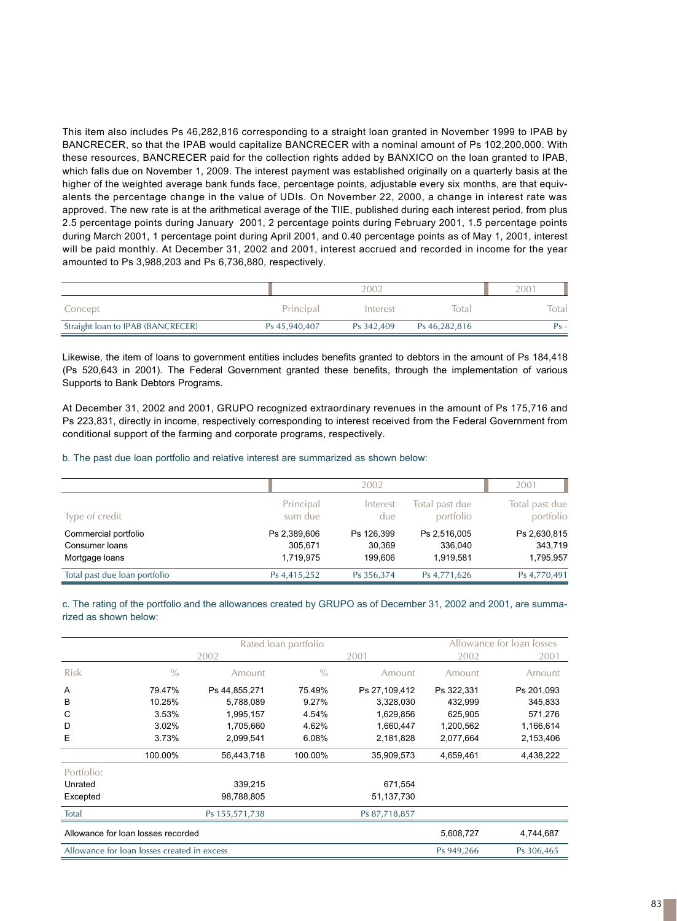This item also includes Ps 46,282,816 corresponding to a straight loan granted in November 1999 to IPAB by BANCRECER, so that the IPAB would capitalize BANCRECER with a nominal amount of Ps 102,200,000. With these resources, BANCRECER paid for the collection rights added by BANXICO on the loan granted to IPAB, which falls due on November 1, 2009. The interest payment was established originally on a quarterly basis at the higher of the weighted average bank funds face, percentage points, adjustable every six months, are that equivalents the percentage change in the value of UDIs. On November 22, 2000, a change in interest rate was approved. The new rate is at the arithmetical average of the TIIE, published during each interest period, from plus 2.5 percentage points during January 2001, 2 percentage points during February 2001, 1.5 percentage points during March 2001, 1 percentage point during April 2001, and 0.40 percentage points as of May 1, 2001, interest will be paid monthly. At December 31, 2002 and 2001, interest accrued and recorded in income for the year amounted to Ps 3,988,203 and Ps 6,736,880, respectively.

|                                   |               | 2002       |               | 2001  |
|-----------------------------------|---------------|------------|---------------|-------|
| Concept                           | Principal     | Interest   | Total         | Total |
| Straight loan to IPAB (BANCRECER) | Ps 45,940,407 | Ps 342.409 | Ps 46,282,816 | Ps -  |

Likewise, the item of loans to government entities includes benefits granted to debtors in the amount of Ps 184,418 (Ps 520,643 in 2001). The Federal Government granted these benefits, through the implementation of various Supports to Bank Debtors Programs.

At December 31, 2002 and 2001, GRUPO recognized extraordinary revenues in the amount of Ps 175,716 and Ps 223,831, directly in income, respectively corresponding to interest received from the Federal Government from conditional support of the farming and corporate programs, respectively.

b. The past due loan portfolio and relative interest are summarized as shown below:

|                               |              | 2002       |                | 2001           |
|-------------------------------|--------------|------------|----------------|----------------|
| Type of credit                | Principal    | Interest   | Total past due | Total past due |
|                               | sum due      | due        | portfolio      | portfolio      |
| Commercial portfolio          | Ps 2,389,606 | Ps 126,399 | Ps 2,516,005   | Ps 2,630,815   |
| Consumer loans                | 305.671      | 30.369     | 336,040        | 343,719        |
| Mortgage loans                | 1.719.975    | 199.606    | 1,919,581      | 1,795,957      |
| Total past due loan portfolio | Ps 4,415,252 | Ps 356,374 | Ps 4,771,626   | Ps 4,770,491   |

c. The rating of the portfolio and the allowances created by GRUPO as of December 31, 2002 and 2001, are summarized as shown below:

|             |                                             |                | Rated loan portfolio |               |            | Allowance for loan losses |
|-------------|---------------------------------------------|----------------|----------------------|---------------|------------|---------------------------|
|             |                                             | 2002           |                      | 2001          | 2002       | 2001                      |
| <b>Risk</b> | $\%$                                        | Amount         | $\frac{0}{0}$        | Amount        | Amount     | Amount                    |
| A           | 79.47%                                      | Ps 44,855,271  | 75.49%               | Ps 27,109,412 | Ps 322,331 | Ps 201,093                |
| В           | 10.25%                                      | 5,788,089      | 9.27%                | 3,328,030     | 432,999    | 345,833                   |
| C           | 3.53%                                       | 1,995,157      | 4.54%                | 1,629,856     | 625.905    | 571.276                   |
| D           | 3.02%                                       | 1,705,660      | 4.62%                | 1,660,447     | 1,200,562  | 1,166,614                 |
| E           | 3.73%                                       | 2,099,541      | 6.08%                | 2,181,828     | 2,077,664  | 2,153,406                 |
|             | 100.00%                                     | 56,443,718     | 100.00%              | 35,909,573    | 4,659,461  | 4,438,222                 |
| Portfolio:  |                                             |                |                      |               |            |                           |
| Unrated     |                                             | 339,215        |                      | 671,554       |            |                           |
| Excepted    |                                             | 98,788,805     |                      | 51,137,730    |            |                           |
| Total       |                                             | Ps 155,571,738 |                      | Ps 87,718,857 |            |                           |
|             | Allowance for loan losses recorded          |                |                      |               | 5,608,727  | 4,744,687                 |
|             | Allowance for loan losses created in excess |                |                      |               | Ps 949,266 | Ps 306,465                |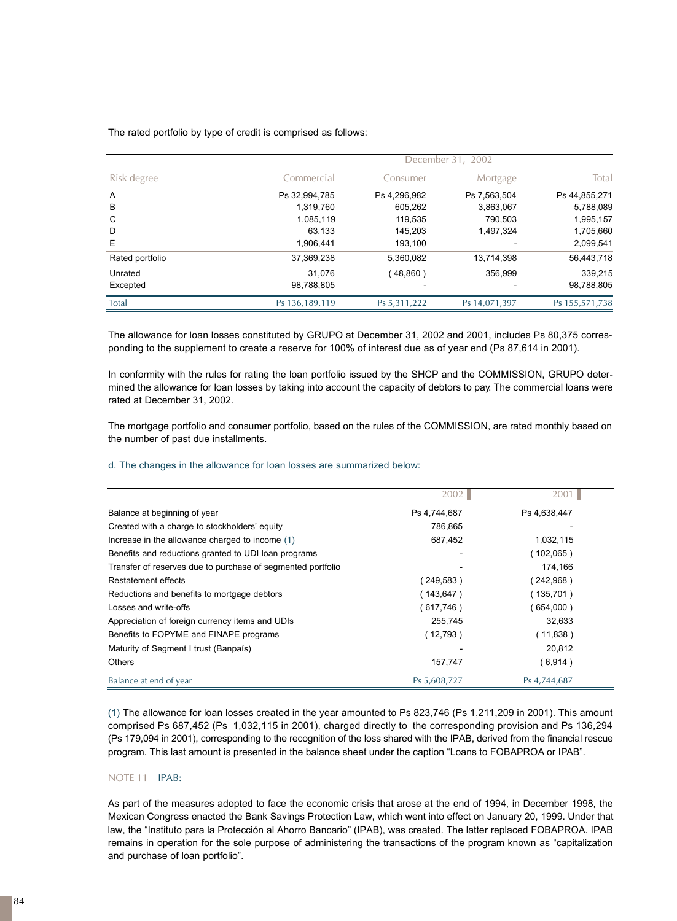The rated portfolio by type of credit is comprised as follows:

| Risk degree     |                | December 31,<br>2002 |               |                |  |  |
|-----------------|----------------|----------------------|---------------|----------------|--|--|
|                 | Commercial     | Consumer             | Mortgage      | Total          |  |  |
| Α               | Ps 32,994,785  | Ps 4,296,982         | Ps 7,563,504  | Ps 44,855,271  |  |  |
| B               | 1,319,760      | 605,262              | 3,863,067     | 5,788,089      |  |  |
| C               | 1,085,119      | 119,535              | 790.503       | 1,995,157      |  |  |
| D               | 63.133         | 145.203              | 1,497,324     | 1,705,660      |  |  |
| E               | 1.906.441      | 193.100              |               | 2,099,541      |  |  |
| Rated portfolio | 37,369,238     | 5,360,082            | 13.714.398    | 56,443,718     |  |  |
| Unrated         | 31.076         | (48,860)             | 356,999       | 339,215        |  |  |
| Excepted        | 98,788,805     |                      |               | 98,788,805     |  |  |
| Total           | Ps 136,189,119 | Ps 5,311,222         | Ps 14,071,397 | Ps 155,571,738 |  |  |

The allowance for loan losses constituted by GRUPO at December 31, 2002 and 2001, includes Ps 80,375 corresponding to the supplement to create a reserve for 100% of interest due as of year end (Ps 87,614 in 2001).

In conformity with the rules for rating the loan portfolio issued by the SHCP and the COMMISSION, GRUPO determined the allowance for loan losses by taking into account the capacity of debtors to pay. The commercial loans were rated at December 31, 2002.

The mortgage portfolio and consumer portfolio, based on the rules of the COMMISSION, are rated monthly based on the number of past due installments.

#### d. The changes in the allowance for loan losses are summarized below:

|                                                             | 2002         | 2001         |
|-------------------------------------------------------------|--------------|--------------|
| Balance at beginning of year                                | Ps 4,744,687 | Ps 4,638,447 |
| Created with a charge to stockholders' equity               | 786.865      |              |
| Increase in the allowance charged to income (1)             | 687,452      | 1,032,115    |
| Benefits and reductions granted to UDI loan programs        |              | (102,065)    |
| Transfer of reserves due to purchase of segmented portfolio |              | 174,166      |
| Restatement effects                                         | (249,583)    | (242,968)    |
| Reductions and benefits to mortgage debtors                 | (143,647)    | (135,701)    |
| Losses and write-offs                                       | (617,746)    | (654,000)    |
| Appreciation of foreign currency items and UDIs             | 255,745      | 32,633       |
| Benefits to FOPYME and FINAPE programs                      | (12,793)     | (11,838)     |
| Maturity of Segment I trust (Banpaís)                       |              | 20,812       |
| <b>Others</b>                                               | 157,747      | (6,914)      |
| Balance at end of year                                      | Ps 5,608,727 | Ps 4,744,687 |

( 1 ) The allowance for loan losses created in the year amounted to Ps 823,746 (Ps 1,211,209 in 2001). This amount comprised Ps 687,452 (Ps 1,032,115 in 2001), charged directly to the corresponding provision and Ps 136,294 (Ps 179,094 in 2001), corresponding to the recognition of the loss shared with the IPAB, derived from the financial rescue program. This last amount is presented in the balance sheet under the caption "Loans to FOBAPROA or IPAB".

## NOTE 11 – IPAB:

As part of the measures adopted to face the economic crisis that arose at the end of 1994, in December 1998, the Mexican Congress enacted the Bank Savings Protection Law, which went into effect on January 20, 1999. Under that law, the "Instituto para la Protección al Ahorro Bancario" (IPAB), was created. The latter replaced FOBAPROA. IPAB remains in operation for the sole purpose of administering the transactions of the program known as "capitalization and purchase of loan portfolio".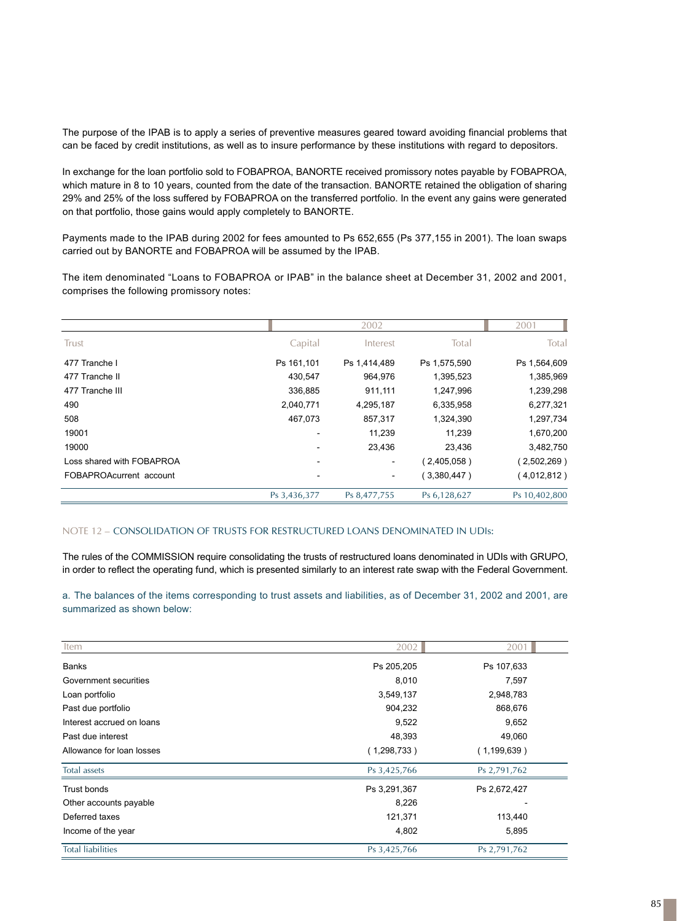The purpose of the IPAB is to apply a series of preventive measures geared toward avoiding financial problems that can be faced by credit institutions, as well as to insure performance by these institutions with regard to depositors.

In exchange for the loan portfolio sold to FOBAPROA, BANORTE received promissory notes payable by FOBAPROA, which mature in 8 to 10 years, counted from the date of the transaction. BANORTE retained the obligation of sharing 29% and 25% of the loss suffered by FOBAPROA on the transferred portfolio. In the event any gains were generated on that portfolio, those gains would apply completely to BANORTE.

Payments made to the IPAB during 2002 for fees amounted to Ps 652,655 (Ps 377,155 in 2001). The loan swaps carried out by BANORTE and FOBAPROA will be assumed by the IPAB.

The item denominated "Loans to FOBAPROA or IPAB" in the balance sheet at December 31, 2002 and 2001, comprises the following promissory notes:

|                           |              | 2002         |               | 2001          |
|---------------------------|--------------|--------------|---------------|---------------|
| Trust                     | Capital      | Interest     | Total         | Total         |
| 477 Tranche I             | Ps 161,101   | Ps 1,414,489 | Ps 1,575,590  | Ps 1,564,609  |
| 477 Tranche II            | 430,547      | 964,976      | 1,395,523     | 1,385,969     |
| 477 Tranche III           | 336,885      | 911,111      | 1,247,996     | 1,239,298     |
| 490                       | 2,040,771    | 4,295,187    | 6,335,958     | 6,277,321     |
| 508                       | 467,073      | 857,317      | 1,324,390     | 1,297,734     |
| 19001                     |              | 11,239       | 11,239        | 1,670,200     |
| 19000                     |              | 23,436       | 23,436        | 3,482,750     |
| Loss shared with FOBAPROA |              |              | (2,405,058)   | (2,502,269)   |
| FOBAPROAcurrent account   |              |              | $3,380,447$ ) | (4,012,812)   |
|                           | Ps 3,436,377 | Ps 8,477,755 | Ps 6,128,627  | Ps 10,402,800 |

#### NOTE 12 – CONSOLIDATION OF TRUSTS FOR RESTRUCTURED LOANS DENOMINATED IN UDIs:

The rules of the COMMISSION require consolidating the trusts of restructured loans denominated in UDIs with GRUPO, in order to reflect the operating fund, which is presented similarly to an interest rate swap with the Federal Government.

a. The balances of the items corresponding to trust assets and liabilities, as of December 31, 2002 and 2001, are summarized as shown below:

| Item                      | 2002         | 2001          |
|---------------------------|--------------|---------------|
| Banks                     | Ps 205,205   | Ps 107,633    |
| Government securities     | 8,010        | 7,597         |
| Loan portfolio            | 3,549,137    | 2,948,783     |
| Past due portfolio        | 904,232      | 868,676       |
| Interest accrued on loans | 9,522        | 9,652         |
| Past due interest         | 48,393       | 49,060        |
| Allowance for loan losses | (1,298,733)  | (1, 199, 639) |
| Total assets              | Ps 3,425,766 | Ps 2,791,762  |
| Trust bonds               | Ps 3,291,367 | Ps 2,672,427  |
| Other accounts payable    | 8,226        |               |
| Deferred taxes            | 121,371      | 113,440       |
| Income of the year        | 4,802        | 5,895         |
| <b>Total liabilities</b>  | Ps 3,425,766 | Ps 2,791,762  |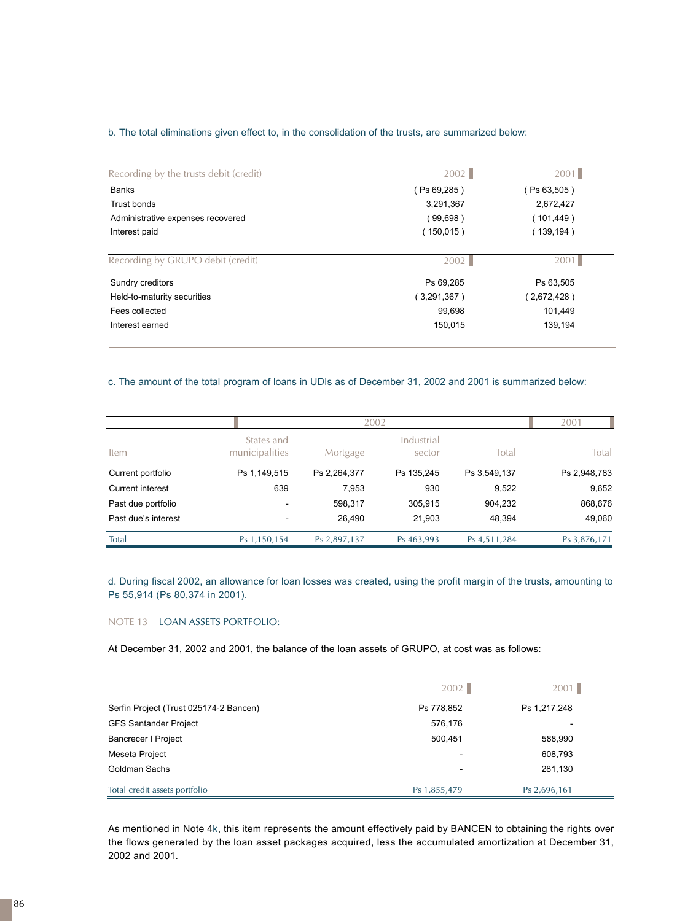## b. The total eliminations given effect to, in the consolidation of the trusts, are summarized below:

| Recording by the trusts debit (credit) | 2002        | 2001        |
|----------------------------------------|-------------|-------------|
| <b>Banks</b>                           | (Ps 69,285) | Ps 63,505)  |
| Trust bonds                            | 3,291,367   | 2,672,427   |
| Administrative expenses recovered      | (99,698)    | (101,449)   |
| Interest paid                          | (150,015)   | (139,194)   |
| Recording by GRUPO debit (credit)      | 2002        | 2001        |
| Sundry creditors                       | Ps 69,285   | Ps 63,505   |
| Held-to-maturity securities            | (3,291,367) | (2,672,428) |
| Fees collected                         | 99,698      | 101,449     |
| Interest earned                        | 150,015     | 139,194     |

## c. The amount of the total program of loans in UDIs as of December 31, 2002 and 2001 is summarized below:

|                     |                              | 2002         |                      |              | 2001         |
|---------------------|------------------------------|--------------|----------------------|--------------|--------------|
| Item                | States and<br>municipalities | Mortgage     | Industrial<br>sector | Total        | Total        |
| Current portfolio   | Ps 1,149,515                 | Ps 2,264,377 | Ps 135.245           | Ps 3,549,137 | Ps 2,948,783 |
| Current interest    | 639                          | 7,953        | 930                  | 9,522        | 9,652        |
| Past due portfolio  | $\overline{\phantom{0}}$     | 598,317      | 305,915              | 904,232      | 868,676      |
| Past due's interest | $\overline{\phantom{a}}$     | 26,490       | 21,903               | 48,394       | 49,060       |
| Total               | Ps 1,150,154                 | Ps 2,897,137 | Ps 463,993           | Ps 4,511,284 | Ps 3,876,171 |

d. During fiscal 2002, an allowance for loan losses was created, using the profit margin of the trusts, amounting to Ps 55,914 (Ps 80,374 in 2001).

## NOTE 13 – LOAN ASSETS PORTFOLIO:

At December 31, 2002 and 2001, the balance of the loan assets of GRUPO, at cost was as follows:

|                                        | 2002                     | 200                      |
|----------------------------------------|--------------------------|--------------------------|
| Serfin Project (Trust 025174-2 Bancen) | Ps 778,852               | Ps 1,217,248             |
| <b>GFS Santander Project</b>           | 576,176                  | $\overline{\phantom{0}}$ |
| <b>Bancrecer I Project</b>             | 500.451                  | 588,990                  |
| Meseta Project                         | $\overline{\phantom{0}}$ | 608,793                  |
| Goldman Sachs                          |                          | 281,130                  |
| Total credit assets portfolio          | Ps 1,855,479             | Ps 2,696,161             |

As mentioned in Note 4k, this item represents the amount effectively paid by BANCEN to obtaining the rights over the flows generated by the loan asset packages acquired, less the accumulated amortization at December 31, 2002 and 2001.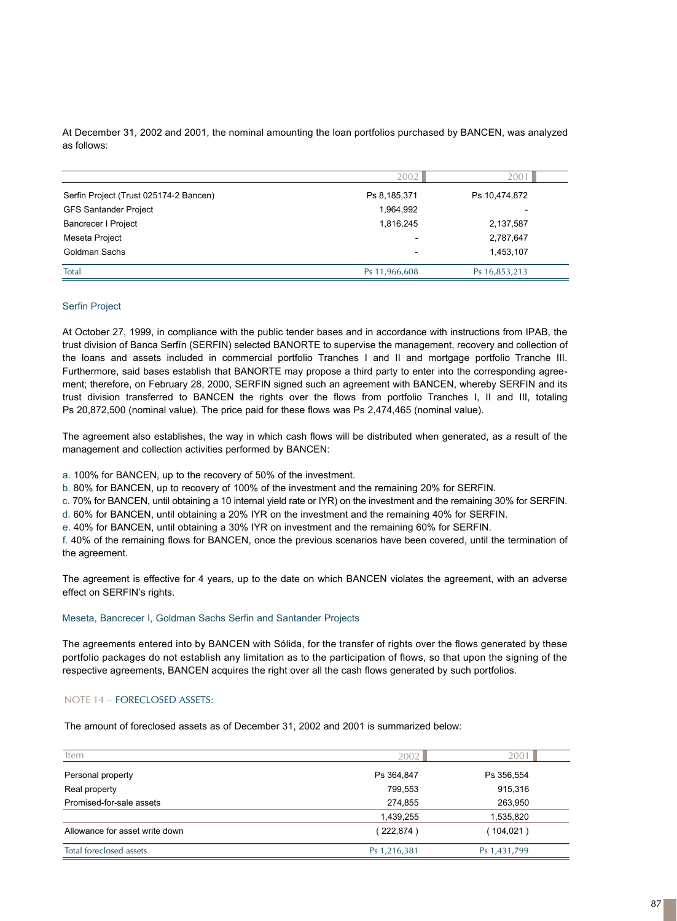At December 31, 2002 and 2001, the nominal amounting the loan portfolios purchased by BANCEN, was analyzed as follows:

|                                        | 2002          | $200^{\circ}$            |
|----------------------------------------|---------------|--------------------------|
| Serfin Project (Trust 025174-2 Bancen) | Ps 8,185,371  | Ps 10,474,872            |
| <b>GFS Santander Project</b>           | 1,964,992     | $\overline{\phantom{a}}$ |
| <b>Bancrecer I Project</b>             | 1,816,245     | 2,137,587                |
| Meseta Project                         |               | 2,787,647                |
| Goldman Sachs                          | ۰             | 1,453,107                |
| Total                                  | Ps 11,966,608 | Ps 16,853,213            |

#### Serfin Project

At October 27, 1999, in compliance with the public tender bases and in accordance with instructions from IPAB, the trust division of Banca Serfín (SERFIN) selected BANORTE to supervise the management, recovery and collection of the loans and assets included in commercial portfolio Tranches I and II and mortgage portfolio Tranche III. Furthermore, said bases establish that BANORTE may propose a third party to enter into the corresponding agreement; therefore, on February 28, 2000, SERFIN signed such an agreement with BANCEN, whereby SERFIN and its trust division transferred to BANCEN the rights over the flows from portfolio Tranches I, II and III, totaling Ps 20,872,500 (nominal value). The price paid for these flows was Ps 2,474,465 (nominal value).

The agreement also establishes, the way in which cash flows will be distributed when generated, as a result of the management and collection activities performed by BANCEN:

a. 100% for BANCEN, up to the recovery of 50% of the investment.

b. 80% for BANCEN, up to recovery of 100% of the investment and the remaining 20% for SERFIN.

c. 70% for BANCEN, until obtaining a 10 internal yield rate or IYR) on the investment and the remaining 30% for SERFIN.

d. 60% for BANCEN, until obtaining a 20% IYR on the investment and the remaining 40% for SERFIN.

e. 40% for BANCEN, until obtaining a 30% IYR on investment and the remaining 60% for SERFIN.

f . 40% of the remaining flows for BANCEN, once the previous scenarios have been covered, until the termination of the agreement.

The agreement is effective for 4 years, up to the date on which BANCEN violates the agreement, with an adverse effect on SERFIN's rights.

#### Meseta, Bancrecer I, Goldman Sachs Serfin and Santander Projects

The agreements entered into by BANCEN with Sólida, for the transfer of rights over the flows generated by these portfolio packages do not establish any limitation as to the participation of flows, so that upon the signing of the respective agreements, BANCEN acquires the right over all the cash flows generated by such portfolios.

## NOTE 14 – FORECLOSED ASSETS:

The amount of foreclosed assets as of December 31, 2002 and 2001 is summarized below:

| Item                           | 2002         | 2001         |
|--------------------------------|--------------|--------------|
| Personal property              | Ps 364,847   | Ps 356,554   |
| Real property                  | 799,553      | 915,316      |
| Promised-for-sale assets       | 274,855      | 263,950      |
|                                | 1,439,255    | 1,535,820    |
| Allowance for asset write down | (222,874)    | 104,021)     |
| Total foreclosed assets        | Ps 1,216,381 | Ps 1,431,799 |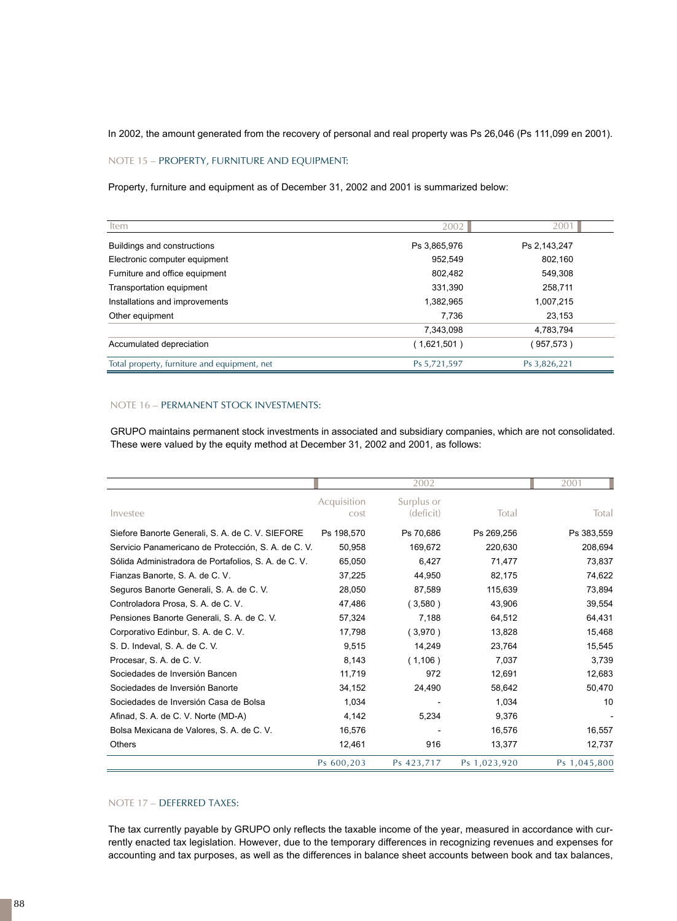In 2002, the amount generated from the recovery of personal and real property was Ps 26,046 (Ps 111,099 en 2001).

## NOTE 15 – PROPERTY, FURNITURE AND EQUIPMENT:

Property, furniture and equipment as of December 31, 2002 and 2001 is summarized below:

| Item                                         | 2002         | 2001         |
|----------------------------------------------|--------------|--------------|
| Buildings and constructions                  | Ps 3,865,976 | Ps 2,143,247 |
| Electronic computer equipment                | 952.549      | 802,160      |
| Furniture and office equipment               | 802,482      | 549.308      |
| Transportation equipment                     | 331,390      | 258,711      |
| Installations and improvements               | 1,382,965    | 1,007,215    |
| Other equipment                              | 7,736        | 23,153       |
|                                              | 7,343,098    | 4,783,794    |
| Accumulated depreciation                     | (1,621,501)  | (957, 573)   |
| Total property, furniture and equipment, net | Ps 5,721,597 | Ps 3,826,221 |

## NOTE 16 – PERMANENT STOCK INVESTMENTS:

GRUPO maintains permanent stock investments in associated and subsidiary companies, which are not consolidated. These were valued by the equity method at December 31, 2002 and 2001, as follows:

|                                                      |                     | 2002                    |              | 2001         |
|------------------------------------------------------|---------------------|-------------------------|--------------|--------------|
| Investee                                             | Acquisition<br>cost | Surplus or<br>(deficit) | Total        | Total        |
| Siefore Banorte Generali, S. A. de C. V. SIEFORE     | Ps 198,570          | Ps 70,686               | Ps 269,256   | Ps 383,559   |
| Servicio Panamericano de Protección, S. A. de C. V.  | 50,958              | 169,672                 | 220,630      | 208,694      |
| Sólida Administradora de Portafolios, S. A. de C. V. | 65,050              | 6,427                   | 71,477       | 73,837       |
| Fianzas Banorte, S. A. de C. V.                      | 37,225              | 44,950                  | 82,175       | 74,622       |
| Seguros Banorte Generali, S. A. de C. V.             | 28,050              | 87,589                  | 115,639      | 73,894       |
| Controladora Prosa, S. A. de C. V.                   | 47,486              | (3,580)                 | 43,906       | 39,554       |
| Pensiones Banorte Generali, S. A. de C. V.           | 57,324              | 7,188                   | 64,512       | 64,431       |
| Corporativo Edinbur, S. A. de C. V.                  | 17,798              | (3,970)                 | 13,828       | 15,468       |
| S. D. Indeval, S. A. de C. V.                        | 9,515               | 14,249                  | 23,764       | 15,545       |
| Procesar, S. A. de C. V.                             | 8,143               | (1,106)                 | 7,037        | 3,739        |
| Sociedades de Inversión Bancen                       | 11,719              | 972                     | 12,691       | 12,683       |
| Sociedades de Inversión Banorte                      | 34,152              | 24,490                  | 58,642       | 50,470       |
| Sociedades de Inversión Casa de Bolsa                | 1,034               |                         | 1,034        | 10           |
| Afinad, S. A. de C. V. Norte (MD-A)                  | 4,142               | 5,234                   | 9,376        |              |
| Bolsa Mexicana de Valores, S. A. de C. V.            | 16,576              |                         | 16,576       | 16,557       |
| <b>Others</b>                                        | 12,461              | 916                     | 13,377       | 12,737       |
|                                                      | Ps 600,203          | Ps 423,717              | Ps 1,023,920 | Ps 1,045,800 |

## NOTE 17 – DEFERRED TAXES:

The tax currently payable by GRUPO only reflects the taxable income of the year, measured in accordance with currently enacted tax legislation. However, due to the temporary differences in recognizing revenues and expenses for accounting and tax purposes, as well as the differences in balance sheet accounts between book and tax balances,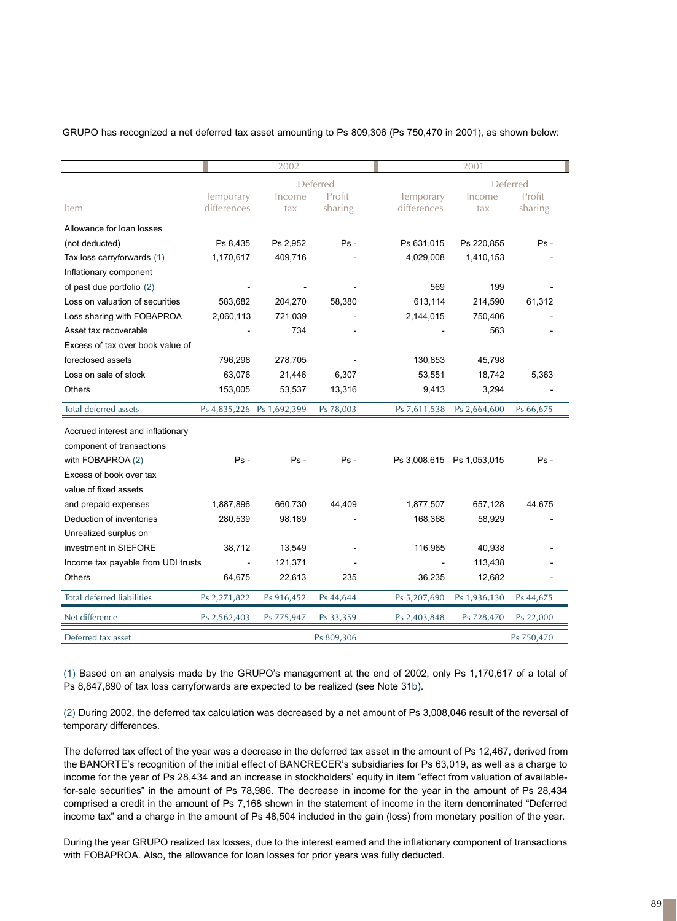GRUPO has recognized a net deferred tax asset amounting to Ps 809,306 (Ps 750,470 in 2001), as shown below:

|                                    |              | 2002                      |           |                           | 2001         |           |
|------------------------------------|--------------|---------------------------|-----------|---------------------------|--------------|-----------|
|                                    |              | Deferred                  |           |                           | Deferred     |           |
|                                    | Temporary    | Income                    | Profit    | Temporary                 | Income       | Profit    |
| Item                               | differences  | tax                       | sharing   | differences               | tax          | sharing   |
| Allowance for loan losses          |              |                           |           |                           |              |           |
| (not deducted)                     | Ps 8,435     | Ps 2,952                  | Ps -      | Ps 631,015                | Ps 220,855   | $Ps -$    |
| Tax loss carryforwards (1)         | 1,170,617    | 409,716                   |           | 4,029,008                 | 1,410,153    |           |
| Inflationary component             |              |                           |           |                           |              |           |
| of past due portfolio (2)          |              |                           |           | 569                       | 199          |           |
| Loss on valuation of securities    | 583,682      | 204,270                   | 58,380    | 613,114                   | 214,590      | 61,312    |
| Loss sharing with FOBAPROA         | 2,060,113    | 721,039                   |           | 2,144,015                 | 750,406      |           |
| Asset tax recoverable              |              | 734                       |           |                           | 563          |           |
| Excess of tax over book value of   |              |                           |           |                           |              |           |
| foreclosed assets                  | 796,298      | 278,705                   |           | 130,853                   | 45,798       |           |
| Loss on sale of stock              | 63,076       | 21,446                    | 6,307     | 53,551                    | 18,742       | 5,363     |
| <b>Others</b>                      | 153,005      | 53,537                    | 13,316    | 9,413                     | 3,294        |           |
| <b>Total deferred assets</b>       |              | Ps 4,835,226 Ps 1,692,399 | Ps 78,003 | Ps 7,611,538              | Ps 2,664,600 | Ps 66,675 |
|                                    |              |                           |           |                           |              |           |
| Accrued interest and inflationary  |              |                           |           |                           |              |           |
| component of transactions          |              |                           |           |                           |              |           |
| with FOBAPROA (2)                  | $Ps -$       | $Ps -$                    | $Ps -$    | Ps 3,008,615 Ps 1,053,015 |              | $Ps -$    |
| Excess of book over tax            |              |                           |           |                           |              |           |
| value of fixed assets              |              |                           |           |                           |              |           |
| and prepaid expenses               | 1,887,896    | 660,730                   | 44,409    | 1,877,507                 | 657,128      | 44,675    |
| Deduction of inventories           | 280,539      | 98,189                    |           | 168,368                   | 58,929       |           |
| Unrealized surplus on              |              |                           |           |                           |              |           |
| investment in SIEFORE              | 38,712       | 13,549                    |           | 116,965                   | 40,938       |           |
| Income tax payable from UDI trusts |              | 121,371                   |           |                           | 113,438      |           |
| Others                             | 64,675       | 22,613                    | 235       | 36,235                    | 12,682       |           |
| <b>Total deferred liabilities</b>  | Ps 2,271,822 | Ps 916,452                | Ps 44,644 | Ps 5,207,690              | Ps 1,936,130 | Ps 44,675 |
| Net difference                     | Ps 2,562,403 | Ps 775,947                | Ps 33,359 | Ps 2,403,848              | Ps 728,470   | Ps 22,000 |

(1) Based on an analysis made by the GRUPO's management at the end of 2002, only Ps 1,170,617 of a total of Ps 8,847,890 of tax loss carryforwards are expected to be realized (see Note 31b).

(2) During 2002, the deferred tax calculation was decreased by a net amount of Ps 3,008,046 result of the reversal of temporary differences.

The deferred tax effect of the year was a decrease in the deferred tax asset in the amount of Ps 12,467, derived from the BANORTE's recognition of the initial effect of BANCRECER's subsidiaries for Ps 63,019, as well as a charge to income for the year of Ps 28,434 and an increase in stockholders' equity in item "effect from valuation of availablefor-sale securities" in the amount of Ps 78,986. The decrease in income for the year in the amount of Ps 28,434 comprised a credit in the amount of Ps 7,168 shown in the statement of income in the item denominated "Deferred income tax" and a charge in the amount of Ps 48,504 included in the gain (loss) from monetary position of the year.

During the year GRUPO realized tax losses, due to the interest earned and the inflationary component of transactions with FOBAPROA. Also, the allowance for loan losses for prior years was fully deducted.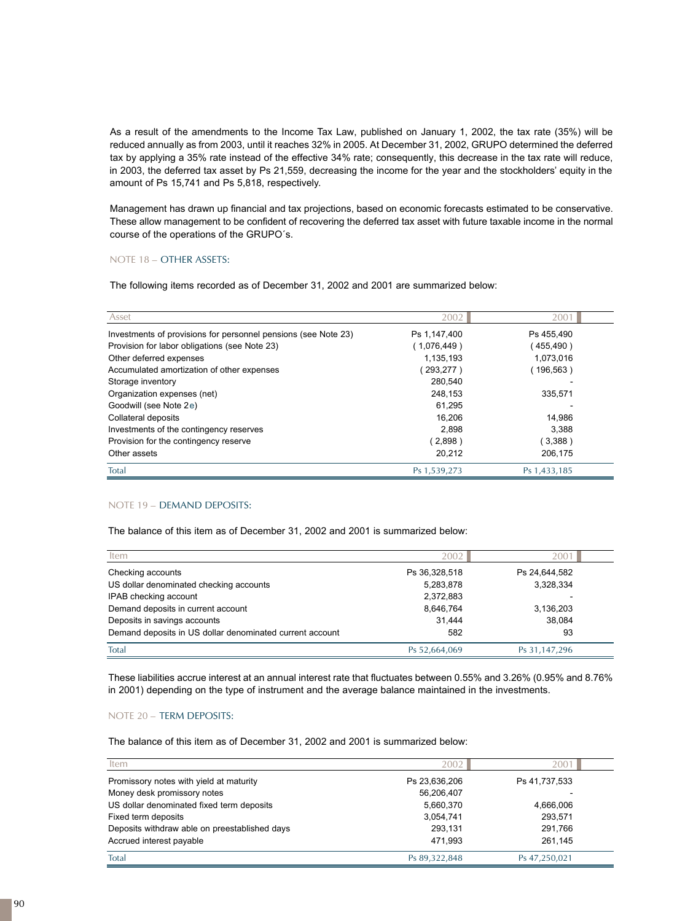As a result of the amendments to the Income Tax Law, published on January 1, 2002, the tax rate (35%) will be reduced annually as from 2003, until it reaches 32% in 2005. At December 31, 2002, GRUPO determined the deferred tax by applying a 35% rate instead of the effective 34% rate; consequently, this decrease in the tax rate will reduce, in 2003, the deferred tax asset by Ps 21,559, decreasing the income for the year and the stockholders' equity in the amount of Ps 15,741 and Ps 5,818, respectively.

Management has drawn up financial and tax projections, based on economic forecasts estimated to be conservative. These allow management to be confident of recovering the deferred tax asset with future taxable income in the normal course of the operations of the GRUPO´s.

## NOTE 18 – OTHER ASSETS:

The following items recorded as of December 31, 2002 and 2001 are summarized below:

| Asset                                                          | 2002         | $200^{\circ}$ |
|----------------------------------------------------------------|--------------|---------------|
| Investments of provisions for personnel pensions (see Note 23) | Ps 1,147,400 | Ps 455,490    |
| Provision for labor obligations (see Note 23)                  | (1,076,449)  | 455,490)      |
| Other deferred expenses                                        | 1,135,193    | 1,073,016     |
| Accumulated amortization of other expenses                     | 293,277)     | $196,563$ )   |
| Storage inventory                                              | 280,540      |               |
| Organization expenses (net)                                    | 248,153      | 335,571       |
| Goodwill (see Note 2e)                                         | 61.295       |               |
| Collateral deposits                                            | 16.206       | 14.986        |
| Investments of the contingency reserves                        | 2.898        | 3.388         |
| Provision for the contingency reserve                          | (2,898)      | (3,388)       |
| Other assets                                                   | 20,212       | 206,175       |
| Total                                                          | Ps 1,539,273 | Ps 1,433,185  |

## NOTE 19 – DEMAND DEPOSITS:

The balance of this item as of December 31, 2002 and 2001 is summarized below:

| Item                                                     | 2002          | $200^{\circ}$ |
|----------------------------------------------------------|---------------|---------------|
| Checking accounts                                        | Ps 36,328,518 | Ps 24,644,582 |
| US dollar denominated checking accounts                  | 5,283,878     | 3,328,334     |
| IPAB checking account                                    | 2,372,883     |               |
| Demand deposits in current account                       | 8,646,764     | 3,136,203     |
| Deposits in savings accounts                             | 31,444        | 38,084        |
| Demand deposits in US dollar denominated current account | 582           | 93            |
| Total                                                    | Ps 52,664,069 | Ps 31,147,296 |

These liabilities accrue interest at an annual interest rate that fluctuates between 0.55% and 3.26% (0.95% and 8.76% in 2001) depending on the type of instrument and the average balance maintained in the investments.

## NOTE 20 – TERM DEPOSITS:

The balance of this item as of December 31, 2002 and 2001 is summarized below:

| Item                                          | 2002          | 2001          |
|-----------------------------------------------|---------------|---------------|
| Promissory notes with yield at maturity       | Ps 23,636,206 | Ps 41,737,533 |
| Money desk promissory notes                   | 56,206,407    |               |
| US dollar denominated fixed term deposits     | 5,660,370     | 4.666.006     |
| Fixed term deposits                           | 3,054,741     | 293,571       |
| Deposits withdraw able on preestablished days | 293.131       | 291.766       |
| Accrued interest payable                      | 471.993       | 261,145       |
| Total                                         | Ps 89,322,848 | Ps 47,250,021 |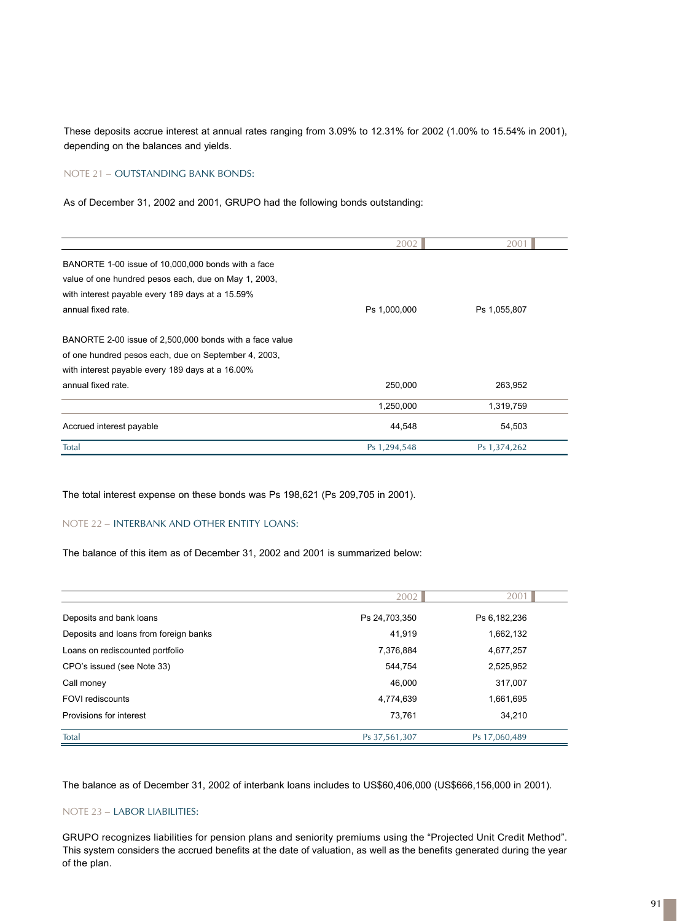These deposits accrue interest at annual rates ranging from 3.09% to 12.31% for 2002 (1.00% to 15.54% in 2001), depending on the balances and yields.

## NOTE 21 – OUTSTANDING BANK BONDS:

As of December 31, 2002 and 2001, GRUPO had the following bonds outstanding:

|                                                         | 2002         | 2001         |
|---------------------------------------------------------|--------------|--------------|
| BANORTE 1-00 issue of 10,000,000 bonds with a face      |              |              |
| value of one hundred pesos each, due on May 1, 2003,    |              |              |
| with interest payable every 189 days at a 15.59%        |              |              |
| annual fixed rate.                                      | Ps 1,000,000 | Ps 1,055,807 |
| BANORTE 2-00 issue of 2,500,000 bonds with a face value |              |              |
| of one hundred pesos each, due on September 4, 2003,    |              |              |
| with interest payable every 189 days at a 16.00%        |              |              |
| annual fixed rate.                                      | 250,000      | 263,952      |
|                                                         | 1,250,000    | 1,319,759    |
| Accrued interest payable                                | 44,548       | 54,503       |
| Total                                                   | Ps 1,294,548 | Ps 1,374,262 |

The total interest expense on these bonds was Ps 198,621 (Ps 209,705 in 2001).

## NOTE 22 – INTERBANK AND OTHER ENTITY LOANS:

The balance of this item as of December 31, 2002 and 2001 is summarized below:

|                                       | 2002          | 2001          |
|---------------------------------------|---------------|---------------|
| Deposits and bank loans               | Ps 24,703,350 | Ps 6,182,236  |
| Deposits and loans from foreign banks | 41,919        | 1,662,132     |
| Loans on rediscounted portfolio       | 7,376,884     | 4,677,257     |
| CPO's issued (see Note 33)            | 544.754       | 2,525,952     |
| Call money                            | 46,000        | 317,007       |
| <b>FOVI rediscounts</b>               | 4,774,639     | 1,661,695     |
| Provisions for interest               | 73,761        | 34,210        |
| Total                                 | Ps 37,561,307 | Ps 17,060,489 |

The balance as of December 31, 2002 of interbank loans includes to US\$60,406,000 (US\$666,156,000 in 2001).

## NOTE 23 – LABOR LIABILITIES:

GRUPO recognizes liabilities for pension plans and seniority premiums using the "Projected Unit Credit Method". This system considers the accrued benefits at the date of valuation, as well as the benefits generated during the year of the plan.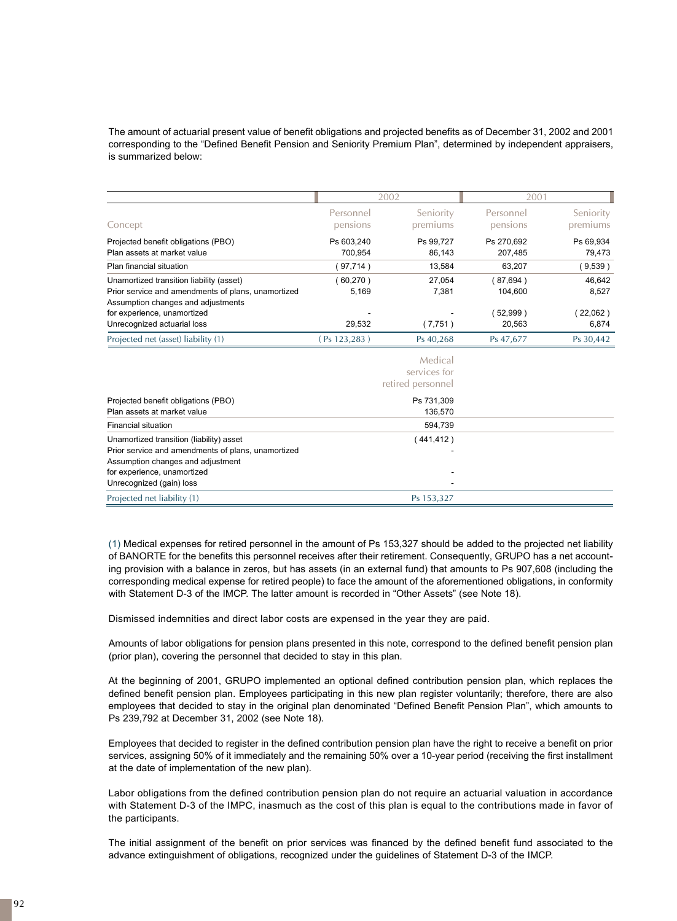The amount of actuarial present value of benefit obligations and projected benefits as of December 31, 2002 and 2001 corresponding to the "Defined Benefit Pension and Seniority Premium Plan", determined by independent appraisers, is summarized below:

|                                                                                                                                                                                                    | 2002                         |                                              | 2001                                        |                                     |
|----------------------------------------------------------------------------------------------------------------------------------------------------------------------------------------------------|------------------------------|----------------------------------------------|---------------------------------------------|-------------------------------------|
| Concept                                                                                                                                                                                            | Personnel<br>pensions        | Seniority<br>premiums                        | Personnel<br>pensions                       | Seniority<br>premiums               |
| Projected benefit obligations (PBO)<br>Plan assets at market value                                                                                                                                 | Ps 603,240<br>700,954        | Ps 99,727<br>86,143                          | Ps 270,692<br>207,485                       | Ps 69,934<br>79,473                 |
| Plan financial situation                                                                                                                                                                           | 97,714)                      | 13,584                                       | 63,207                                      | (9,539)                             |
| Unamortized transition liability (asset)<br>Prior service and amendments of plans, unamortized<br>Assumption changes and adjustments<br>for experience, unamortized<br>Unrecognized actuarial loss | (60, 270)<br>5,169<br>29,532 | 27,054<br>7,381<br>(7,751)                   | (87,694)<br>104,600<br>$52,999$ )<br>20,563 | 46,642<br>8,527<br>22,062)<br>6,874 |
| Projected net (asset) liability (1)                                                                                                                                                                | (Ps 123, 283)                | Ps 40,268                                    | Ps 47,677                                   | Ps 30,442                           |
|                                                                                                                                                                                                    |                              | Medical<br>services for<br>retired personnel |                                             |                                     |

(1) Medical expenses for retired personnel in the amount of Ps 153,327 should be added to the projected net liability of BANORTE for the benefits this personnel receives after their retirement. Consequently, GRUPO has a net accounting provision with a balance in zeros, but has assets (in an external fund) that amounts to Ps 907,608 (including the corresponding medical expense for retired people) to face the amount of the aforementioned obligations, in conformity with Statement D-3 of the IMCP. The latter amount is recorded in "Other Assets" (see Note 18).

Dismissed indemnities and direct labor costs are expensed in the year they are paid.

Projected benefit obligations (PBO) Ps 731,309 Plan assets at market value 136,570 Financial situation 594,739 Unamortized transition (liability) asset (441,412)

Projected net liability (1) Ps 153,327

Prior service and amendments of plans, unamortized

Assumption changes and adjustment for experience, unamortized Unrecognized (gain) loss

Amounts of labor obligations for pension plans presented in this note, correspond to the defined benefit pension plan (prior plan), covering the personnel that decided to stay in this plan.

At the beginning of 2001, GRUPO implemented an optional defined contribution pension plan, which replaces the defined benefit pension plan. Employees participating in this new plan register voluntarily; therefore, there are also employees that decided to stay in the original plan denominated "Defined Benefit Pension Plan", which amounts to Ps 239,792 at December 31, 2002 (see Note 18).

Employees that decided to register in the defined contribution pension plan have the right to receive a benefit on prior services, assigning 50% of it immediately and the remaining 50% over a 10-year period (receiving the first installment at the date of implementation of the new plan).

Labor obligations from the defined contribution pension plan do not require an actuarial valuation in accordance with Statement D-3 of the IMPC, inasmuch as the cost of this plan is equal to the contributions made in favor of the participants.

The initial assignment of the benefit on prior services was financed by the defined benefit fund associated to the advance extinguishment of obligations, recognized under the guidelines of Statement D-3 of the IMCP.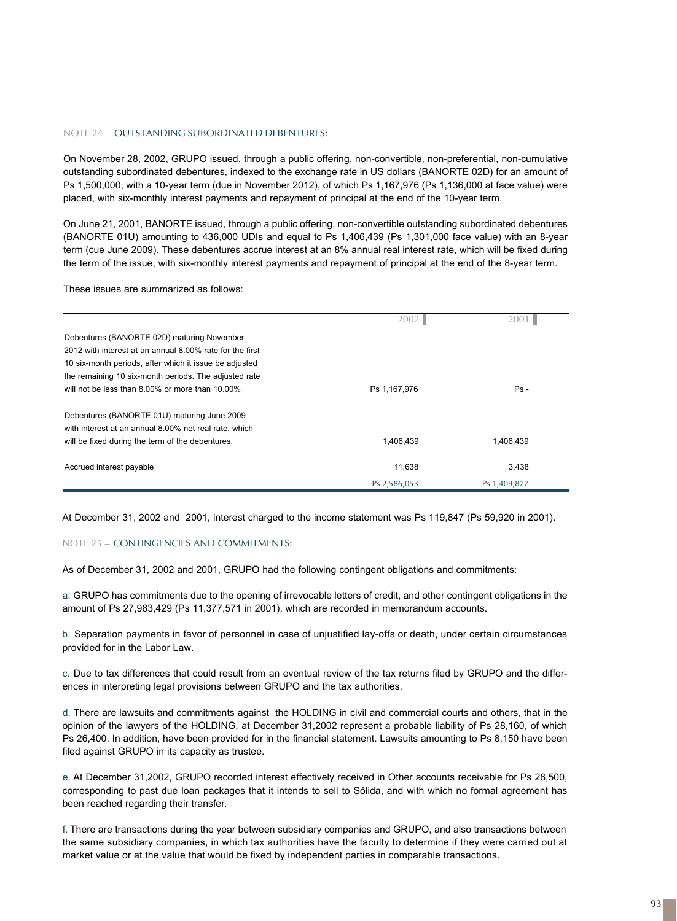## NOTE 24 – OUTSTANDING SUBORDINATED DEBENTURES:

On November 28, 2002, GRUPO issued, through a public offering, non-convertible, non-preferential, non-cumulative outstanding subordinated debentures, indexed to the exchange rate in US dollars (BANORTE 02D) for an amount of Ps 1,500,000, with a 10-year term (due in November 2012), of which Ps 1,167,976 (Ps 1,136,000 at face value) were placed, with six-monthly interest payments and repayment of principal at the end of the 10-year term.

On June 21, 2001, BANORTE issued, through a public offering, non-convertible outstanding subordinated debentures (BANORTE 01U) amounting to 436,000 UDIs and equal to Ps 1,406,439 (Ps 1,301,000 face value) with an 8-year term (cue June 2009). These debentures accrue interest at an 8% annual real interest rate, which will be fixed during the term of the issue, with six-monthly interest payments and repayment of principal at the end of the 8-year term.

These issues are summarized as follows:

|                                                          | 2002         | 2001         |
|----------------------------------------------------------|--------------|--------------|
| Debentures (BANORTE 02D) maturing November               |              |              |
| 2012 with interest at an annual 8,00% rate for the first |              |              |
| 10 six-month periods, after which it issue be adjusted   |              |              |
| the remaining 10 six-month periods. The adjusted rate    |              |              |
| will not be less than 8.00% or more than 10.00%          | Ps 1,167,976 | $Ps -$       |
| Debentures (BANORTE 01U) maturing June 2009              |              |              |
| with interest at an annual 8.00% net real rate, which    |              |              |
| will be fixed during the term of the debentures.         | 1,406,439    | 1,406,439    |
| Accrued interest payable                                 | 11,638       | 3,438        |
|                                                          | Ps 2,586,053 | Ps 1,409,877 |

At December 31, 2002 and 2001, interest charged to the income statement was Ps 119,847 (Ps 59,920 in 2001).

#### NOTE 25 – CONTINGENCIES AND COMMITMENTS:

As of December 31, 2002 and 2001, GRUPO had the following contingent obligations and commitments:

a. GRUPO has commitments due to the opening of irrevocable letters of credit, and other contingent obligations in the amount of Ps 27,983,429 (Ps 11,377,571 in 2001), which are recorded in memorandum accounts.

b. Separation payments in favor of personnel in case of unjustified lay-offs or death, under certain circumstances provided for in the Labor Law.

c. Due to tax differences that could result from an eventual review of the tax returns filed by GRUPO and the differences in interpreting legal provisions between GRUPO and the tax authorities.

d . There are lawsuits and commitments against the HOLDING in civil and commercial courts and others, that in the opinion of the lawyers of the HOLDING, at December 31,2002 represent a probable liability of Ps 28,160, of which Ps 26,400. In addition, have been provided for in the financial statement. Lawsuits amounting to Ps 8,150 have been filed against GRUPO in its capacity as trustee.

e. At December 31,2002, GRUPO recorded interest effectively received in Other accounts receivable for Ps 28,500, corresponding to past due loan packages that it intends to sell to Sólida, and with which no formal agreement has been reached regarding their transfer.

f. There are transactions during the year between subsidiary companies and GRUPO, and also transactions between the same subsidiary companies, in which tax authorities have the faculty to determine if they were carried out at market value or at the value that would be fixed by independent parties in comparable transactions.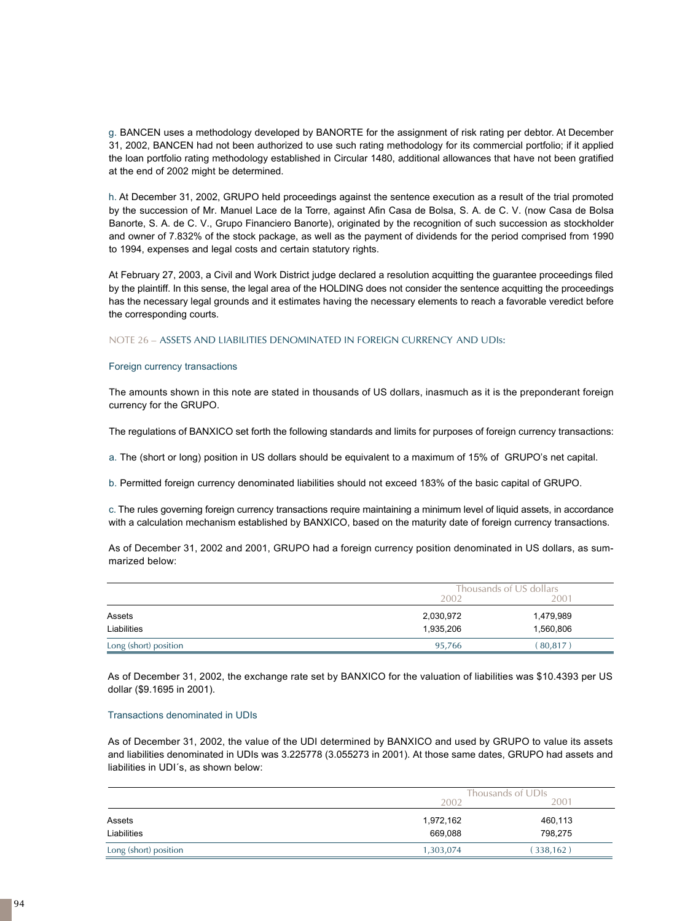g. BANCEN uses a methodology developed by BANORTE for the assignment of risk rating per debtor. At December 31, 2002, BANCEN had not been authorized to use such rating methodology for its commercial portfolio; if it applied the loan portfolio rating methodology established in Circular 1480, additional allowances that have not been gratified at the end of 2002 might be determined.

h. At December 31, 2002, GRUPO held proceedings against the sentence execution as a result of the trial promoted by the succession of Mr. Manuel Lace de la Torre, against Afin Casa de Bolsa, S. A. de C. V. (now Casa de Bolsa Banorte, S. A. de C. V., Grupo Financiero Banorte), originated by the recognition of such succession as stockholder and owner of 7.832% of the stock package, as well as the payment of dividends for the period comprised from 1990 to 1994, expenses and legal costs and certain statutory rights.

At February 27, 2003, a Civil and Work District judge declared a resolution acquitting the guarantee proceedings filed by the plaintiff. In this sense, the legal area of the HOLDING does not consider the sentence acquitting the proceedings has the necessary legal grounds and it estimates having the necessary elements to reach a favorable veredict before the corresponding courts.

NOTE 26 – ASSETS AND LIABILITIES DENOMINATED IN FOREIGN CURRENCY AND UDIs:

#### Foreign currency transactions

The amounts shown in this note are stated in thousands of US dollars, inasmuch as it is the preponderant foreign currency for the GRUPO.

The regulations of BANXICO set forth the following standards and limits for purposes of foreign currency transactions:

a. The (short or long) position in US dollars should be equivalent to a maximum of 15% of GRUPO's net capital.

b. Permitted foreign currency denominated liabilities should not exceed 183% of the basic capital of GRUPO.

c . The rules governing foreign currency transactions require maintaining a minimum level of liquid assets, in accordance with a calculation mechanism established by BANXICO, based on the maturity date of foreign currency transactions.

As of December 31, 2002 and 2001, GRUPO had a foreign currency position denominated in US dollars, as summarized below:

|                       |           | Thousands of US dollars |  |  |
|-----------------------|-----------|-------------------------|--|--|
|                       | 2002      | 2001                    |  |  |
| Assets                | 2,030,972 | 1,479,989               |  |  |
| Liabilities           | 1,935,206 | 1,560,806               |  |  |
| Long (short) position | 95,766    | $80,817$ )              |  |  |

As of December 31, 2002, the exchange rate set by BANXICO for the valuation of liabilities was \$10.4393 per US dollar (\$9.1695 in 2001).

#### Transactions denominated in UDIs

As of December 31, 2002, the value of the UDI determined by BANXICO and used by GRUPO to value its assets and liabilities denominated in UDIs was 3.225778 (3.055273 in 2001). At those same dates, GRUPO had assets and liabilities in UDI´s, as shown below:

|                       |           | Thousands of UDIs |  |  |
|-----------------------|-----------|-------------------|--|--|
|                       | 2002      | 2001              |  |  |
| Assets                | 1,972,162 | 460,113           |  |  |
| Liabilities           | 669,088   | 798,275           |  |  |
| Long (short) position | 1,303,074 | 338,162)          |  |  |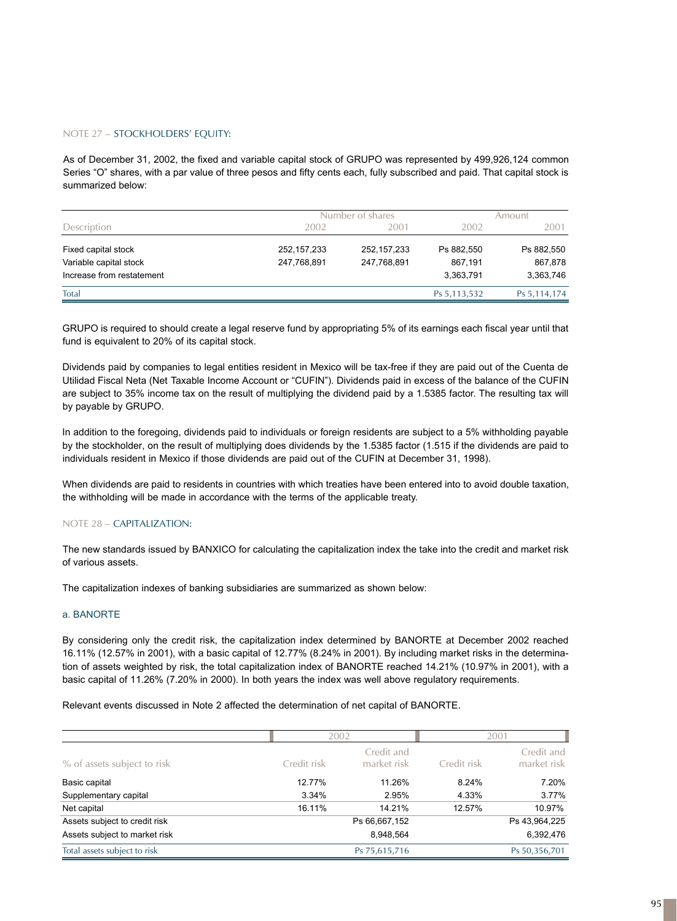## NOTE 27 – STOCKHOLDERS' EQUITY:

As of December 31, 2002, the fixed and variable capital stock of GRUPO was represented by 499,926,124 common Series "O" shares, with a par value of three pesos and fifty cents each, fully subscribed and paid. That capital stock is summarized below:

|                           |               | Number of shares | Amount         |                |
|---------------------------|---------------|------------------|----------------|----------------|
| Description               | 2002          | 2001             | 2002           | 2001           |
| Fixed capital stock       | 252, 157, 233 | 252,157,233      | Ps 882.550     | Ps 882,550     |
| Variable capital stock    | 247,768,891   | 247,768,891      | 867.191        | 867,878        |
| Increase from restatement |               |                  | 3,363,791      | 3,363,746      |
| Total                     |               |                  | Ps 5, 113, 532 | Ps 5, 114, 174 |

GRUPO is required to should create a legal reserve fund by appropriating 5% of its earnings each fiscal year until that fund is equivalent to 20% of its capital stock.

Dividends paid by companies to legal entities resident in Mexico will be tax-free if they are paid out of the Cuenta de Utilidad Fiscal Neta (Net Taxable Income Account or "CUFIN"). Dividends paid in excess of the balance of the CUFIN are subject to 35% income tax on the result of multiplying the dividend paid by a 1.5385 factor. The resulting tax will by payable by GRUPO.

In addition to the foregoing, dividends paid to individuals or foreign residents are subject to a 5% withholding payable by the stockholder, on the result of multiplying does dividends by the 1.5385 factor (1.515 if the dividends are paid to individuals resident in Mexico if those dividends are paid out of the CUFIN at December 31, 1998).

When dividends are paid to residents in countries with which treaties have been entered into to avoid double taxation, the withholding will be made in accordance with the terms of the applicable treaty.

## NOTE 28 – CAPITALIZATION:

The new standards issued by BANXICO for calculating the capitalization index the take into the credit and market risk of various assets.

The capitalization indexes of banking subsidiaries are summarized as shown below:

## a. BANORTE

By considering only the credit risk, the capitalization index determined by BANORTE at December 2002 reached 16.11% (12.57% in 2001), with a basic capital of 12.77% (8.24% in 2001). By including market risks in the determination of assets weighted by risk, the total capitalization index of BANORTE reached 14.21% (10.97% in 2001), with a basic capital of 11.26% (7.20% in 2000). In both years the index was well above regulatory requirements.

Relevant events discussed in Note 2 affected the determination of net capital of BANORTE.

|                               | 2002        |                           | 2001        |                           |
|-------------------------------|-------------|---------------------------|-------------|---------------------------|
| % of assets subject to risk   | Credit risk | Credit and<br>market risk | Credit risk | Credit and<br>market risk |
| Basic capital                 | 12.77%      | 11.26%                    | 8.24%       | 7.20%                     |
| Supplementary capital         | 3.34%       | 2.95%                     | 4.33%       | 3.77%                     |
| Net capital                   | 16.11%      | 14.21%                    | 12.57%      | 10.97%                    |
| Assets subject to credit risk |             | Ps 66,667,152             |             | Ps 43,964,225             |
| Assets subject to market risk |             | 8.948.564                 |             | 6,392,476                 |
| Total assets subject to risk  |             | Ps 75,615,716             |             | Ps 50,356,701             |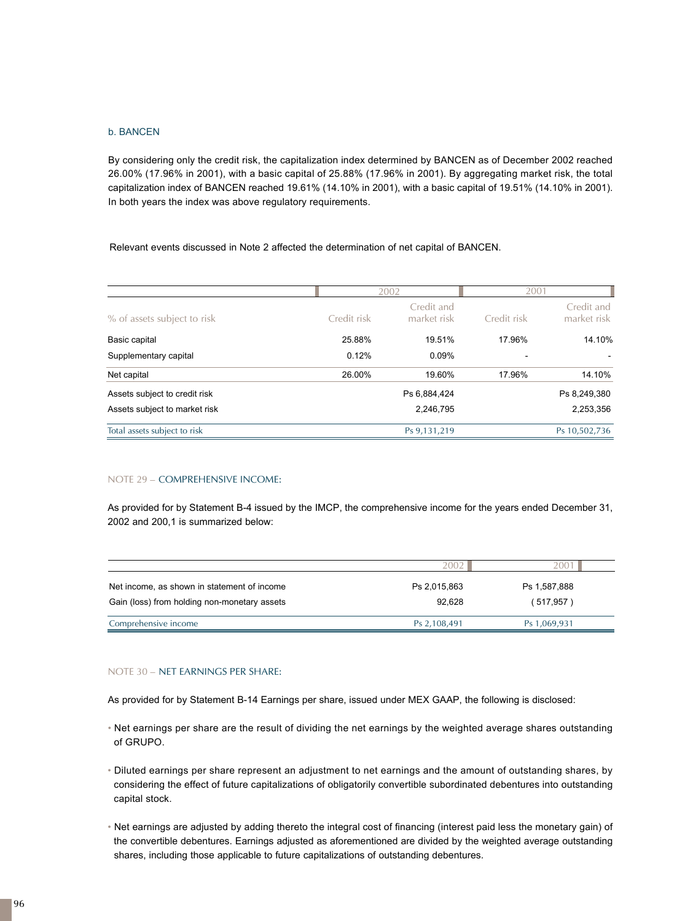## b. BANCEN

By considering only the credit risk, the capitalization index determined by BANCEN as of December 2002 reached 26.00% (17.96% in 2001), with a basic capital of 25.88% (17.96% in 2001). By aggregating market risk, the total capitalization index of BANCEN reached 19.61% (14.10% in 2001), with a basic capital of 19.51% (14.10% in 2001). In both years the index was above regulatory requirements.

Relevant events discussed in Note 2 affected the determination of net capital of BANCEN.

|                               |             | 2002                      | 2001        |                           |
|-------------------------------|-------------|---------------------------|-------------|---------------------------|
| % of assets subject to risk   | Credit risk | Credit and<br>market risk | Credit risk | Credit and<br>market risk |
| Basic capital                 | 25.88%      | 19.51%                    | 17.96%      | 14.10%                    |
| Supplementary capital         | 0.12%       | 0.09%                     |             |                           |
| Net capital                   | 26.00%      | 19.60%                    | 17.96%      | 14.10%                    |
| Assets subject to credit risk |             | Ps 6,884,424              |             | Ps 8,249,380              |
| Assets subject to market risk |             | 2,246,795                 |             | 2,253,356                 |
| Total assets subject to risk  |             | Ps 9, 131, 219            |             | Ps 10,502,736             |

#### NOTE 29 – COMPREHENSIVE INCOME:

As provided for by Statement B-4 issued by the IMCP, the comprehensive income for the years ended December 31, 2002 and 200,1 is summarized below:

|                                                                                             | 2002                   | ?OC                       |
|---------------------------------------------------------------------------------------------|------------------------|---------------------------|
| Net income, as shown in statement of income<br>Gain (loss) from holding non-monetary assets | Ps 2,015,863<br>92.628 | Ps 1,587,888<br>(517,957) |
|                                                                                             |                        |                           |
| Comprehensive income                                                                        | Ps 2,108,491           | Ps 1,069,931              |

#### NOTE 30 – NET EARNINGS PER SHARE:

As provided for by Statement B-14 Earnings per share, issued under MEX GAAP, the following is disclosed:

- Net earnings per share are the result of dividing the net earnings by the weighted average shares outstanding of GRUPO.
- Diluted earnings per share represent an adjustment to net earnings and the amount of outstanding shares, by considering the effect of future capitalizations of obligatorily convertible subordinated debentures into outstanding capital stock.
- Net earnings are adjusted by adding thereto the integral cost of financing (interest paid less the monetary gain) of the convertible debentures. Earnings adjusted as aforementioned are divided by the weighted average outstanding shares, including those applicable to future capitalizations of outstanding debentures.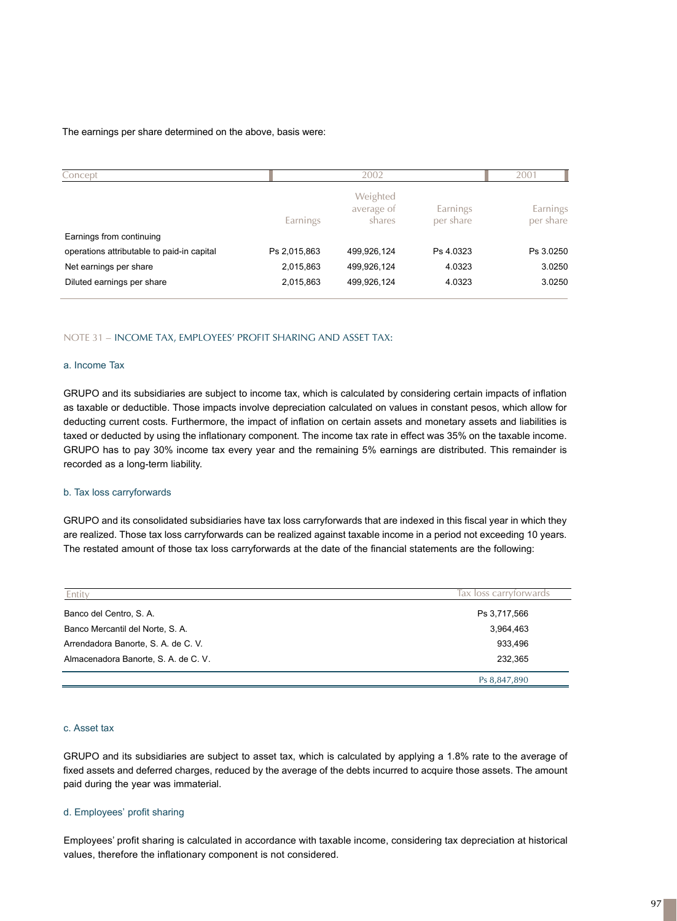#### The earnings per share determined on the above, basis were:

| Concept                                    |              | 2002                             |                       |                       |
|--------------------------------------------|--------------|----------------------------------|-----------------------|-----------------------|
|                                            | Earnings     | Weighted<br>average of<br>shares | Earnings<br>per share | Earnings<br>per share |
| Earnings from continuing                   |              |                                  |                       |                       |
| operations attributable to paid-in capital | Ps 2,015,863 | 499,926,124                      | Ps 4.0323             | Ps 3.0250             |
| Net earnings per share                     | 2,015,863    | 499,926,124                      | 4.0323                | 3.0250                |
| Diluted earnings per share                 | 2,015,863    | 499,926,124                      | 4.0323                | 3.0250                |

#### NOTE 31 – INCOME TAX, EMPLOYEES' PROFIT SHARING AND ASSET TAX:

#### a. Income Tax

GRUPO and its subsidiaries are subject to income tax, which is calculated by considering certain impacts of inflation as taxable or deductible. Those impacts involve depreciation calculated on values in constant pesos, which allow for deducting current costs. Furthermore, the impact of inflation on certain assets and monetary assets and liabilities is taxed or deducted by using the inflationary component. The income tax rate in effect was 35% on the taxable income. GRUPO has to pay 30% income tax every year and the remaining 5% earnings are distributed. This remainder is recorded as a long-term liability.

#### b. Tax loss carryforwards

GRUPO and its consolidated subsidiaries have tax loss carryforwards that are indexed in this fiscal year in which they are realized. Those tax loss carryforwards can be realized against taxable income in a period not exceeding 10 years. The restated amount of those tax loss carryforwards at the date of the financial statements are the following:

| Entity                               | lax loss carrytorwards |
|--------------------------------------|------------------------|
| Banco del Centro, S. A.              | Ps 3,717,566           |
| Banco Mercantil del Norte, S. A.     | 3,964,463              |
| Arrendadora Banorte, S. A. de C. V.  | 933,496                |
| Almacenadora Banorte, S. A. de C. V. | 232,365                |
|                                      | Ps 8,847,890           |

### c. Asset tax

GRUPO and its subsidiaries are subject to asset tax, which is calculated by applying a 1.8% rate to the average of fixed assets and deferred charges, reduced by the average of the debts incurred to acquire those assets. The amount paid during the year was immaterial.

#### d. Employees' profit sharing

Employees' profit sharing is calculated in accordance with taxable income, considering tax depreciation at historical values, therefore the inflationary component is not considered.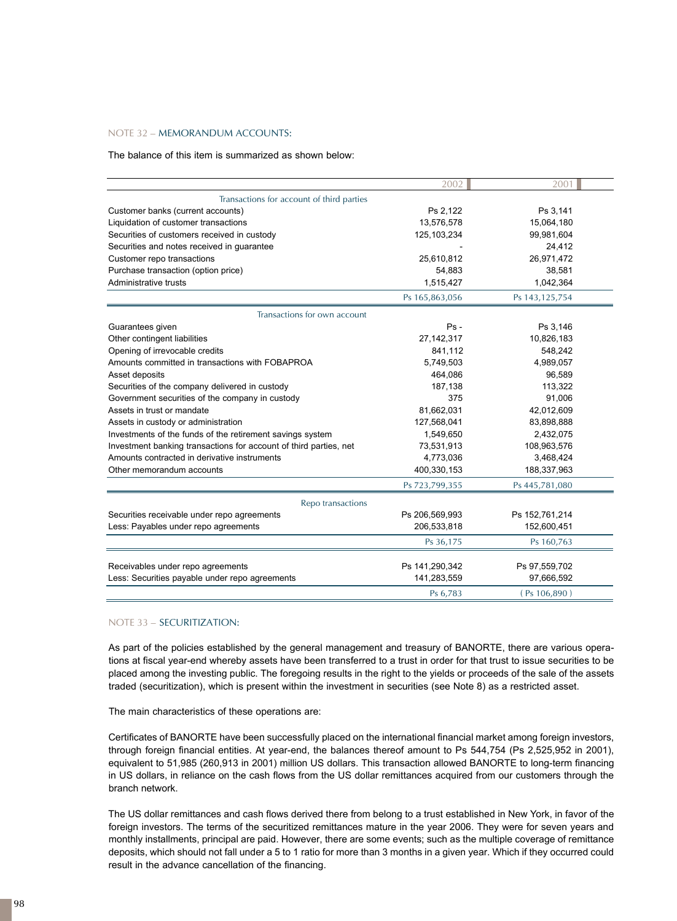## NOTE 32 – MEMORANDUM ACCOUNTS:

The balance of this item is summarized as shown below:

|                                                                   | 2002           | 2001           |
|-------------------------------------------------------------------|----------------|----------------|
| Transactions for account of third parties                         |                |                |
| Customer banks (current accounts)                                 | Ps 2,122       | Ps 3,141       |
| Liquidation of customer transactions                              | 13,576,578     | 15,064,180     |
| Securities of customers received in custody                       | 125, 103, 234  | 99,981,604     |
| Securities and notes received in guarantee                        |                | 24,412         |
| Customer repo transactions                                        | 25,610,812     | 26,971,472     |
| Purchase transaction (option price)                               | 54,883         | 38,581         |
| Administrative trusts                                             | 1,515,427      | 1,042,364      |
|                                                                   | Ps 165,863,056 | Ps 143,125,754 |
| Transactions for own account                                      |                |                |
| Guarantees given                                                  | $Ps -$         | Ps 3,146       |
| Other contingent liabilities                                      | 27, 142, 317   | 10,826,183     |
| Opening of irrevocable credits                                    | 841,112        | 548,242        |
| Amounts committed in transactions with FOBAPROA                   | 5,749,503      | 4,989,057      |
| Asset deposits                                                    | 464,086        | 96,589         |
| Securities of the company delivered in custody                    | 187,138        | 113,322        |
| Government securities of the company in custody                   | 375            | 91,006         |
| Assets in trust or mandate                                        | 81,662,031     | 42,012,609     |
| Assets in custody or administration                               | 127,568,041    | 83,898,888     |
| Investments of the funds of the retirement savings system         | 1,549,650      | 2,432,075      |
| Investment banking transactions for account of third parties, net | 73,531,913     | 108,963,576    |
| Amounts contracted in derivative instruments                      | 4,773,036      | 3,468,424      |
| Other memorandum accounts                                         | 400,330,153    | 188,337,963    |
|                                                                   | Ps 723,799,355 | Ps 445,781,080 |
| Repo transactions                                                 |                |                |
| Securities receivable under repo agreements                       | Ps 206,569,993 | Ps 152,761,214 |
| Less: Payables under repo agreements                              | 206,533,818    | 152,600,451    |
|                                                                   | Ps 36,175      | Ps 160,763     |
| Receivables under repo agreements                                 | Ps 141,290,342 | Ps 97,559,702  |
| Less: Securities payable under repo agreements                    | 141,283,559    | 97,666,592     |
|                                                                   | Ps 6,783       | (Ps 106, 890)  |

## NOTE 33 – SECURITIZATION:

As part of the policies established by the general management and treasury of BANORTE, there are various operations at fiscal year-end whereby assets have been transferred to a trust in order for that trust to issue securities to be placed among the investing public. The foregoing results in the right to the yields or proceeds of the sale of the assets traded (securitization), which is present within the investment in securities (see Note 8) as a restricted asset.

The main characteristics of these operations are:

Certificates of BANORTE have been successfully placed on the international financial market among foreign investors, through foreign financial entities. At year-end, the balances thereof amount to Ps 544,754 (Ps 2,525,952 in 2001), equivalent to 51,985 (260,913 in 2001) million US dollars. This transaction allowed BANORTE to long-term financing in US dollars, in reliance on the cash flows from the US dollar remittances acquired from our customers through the branch network.

The US dollar remittances and cash flows derived there from belong to a trust established in New York, in favor of the foreign investors. The terms of the securitized remittances mature in the year 2006. They were for seven years and monthly installments, principal are paid. However, there are some events; such as the multiple coverage of remittance deposits, which should not fall under a 5 to 1 ratio for more than 3 months in a given year. Which if they occurred could result in the advance cancellation of the financing.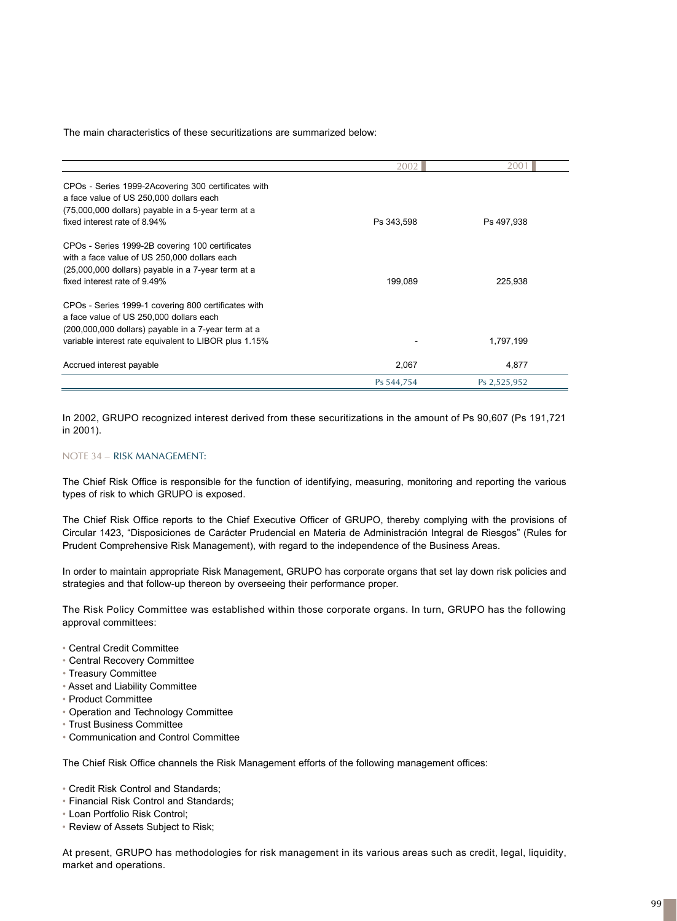The main characteristics of these securitizations are summarized below:

|                                                       | 2002       | 2001         |
|-------------------------------------------------------|------------|--------------|
| CPOs - Series 1999-2Acovering 300 certificates with   |            |              |
| a face value of US 250,000 dollars each               |            |              |
| (75,000,000 dollars) payable in a 5-year term at a    |            |              |
| fixed interest rate of 8.94%                          | Ps 343,598 | Ps 497,938   |
| CPOs - Series 1999-2B covering 100 certificates       |            |              |
| with a face value of US 250,000 dollars each          |            |              |
| (25,000,000 dollars) payable in a 7-year term at a    |            |              |
| fixed interest rate of 9.49%                          | 199,089    | 225,938      |
| CPOs - Series 1999-1 covering 800 certificates with   |            |              |
| a face value of US 250,000 dollars each               |            |              |
| (200,000,000 dollars) payable in a 7-year term at a   |            |              |
| variable interest rate equivalent to LIBOR plus 1.15% |            | 1,797,199    |
| Accrued interest payable                              | 2,067      | 4,877        |
|                                                       | Ps 544,754 | Ps 2,525,952 |

In 2002, GRUPO recognized interest derived from these securitizations in the amount of Ps 90,607 (Ps 191,721 in 2001).

## NOTE 34 – RISK MANAGEMENT:

The Chief Risk Office is responsible for the function of identifying, measuring, monitoring and reporting the various types of risk to which GRUPO is exposed.

The Chief Risk Office reports to the Chief Executive Officer of GRUPO, thereby complying with the provisions of Circular 1423, "Disposiciones de Carácter Prudencial en Materia de Administración Integral de Riesgos" (Rules for Prudent Comprehensive Risk Management), with regard to the independence of the Business Areas.

In order to maintain appropriate Risk Management, GRUPO has corporate organs that set lay down risk policies and strategies and that follow-up thereon by overseeing their performance proper.

The Risk Policy Committee was established within those corporate organs. In turn, GRUPO has the following approval committees:

- Central Credit Committee
- Central Recovery Committee
- Treasury Committee
- Asset and Liability Committee
- Product Committee
- Operation and Technology Committee
- Trust Business Committee
- Communication and Control Committee

The Chief Risk Office channels the Risk Management efforts of the following management offices:

- Credit Risk Control and Standards;
- Financial Risk Control and Standards;
- Loan Portfolio Risk Control;
- Review of Assets Subject to Risk;

At present, GRUPO has methodologies for risk management in its various areas such as credit, legal, liquidity, market and operations.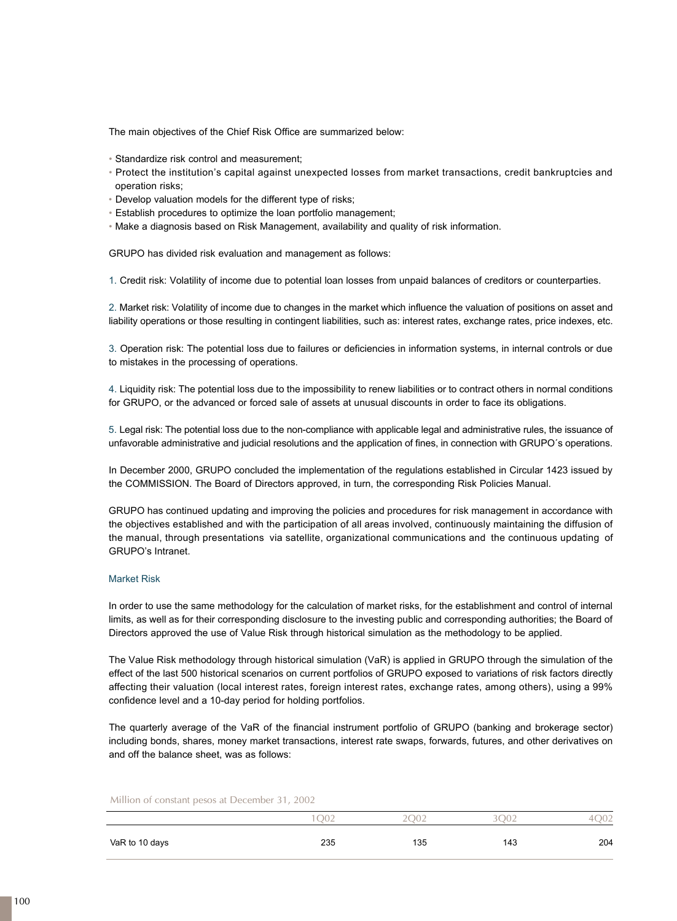The main objectives of the Chief Risk Office are summarized below:

- Standardize risk control and measurement;
- Protect the institution's capital against unexpected losses from market transactions, credit bankruptcies and operation risks;
- Develop valuation models for the different type of risks;
- Establish procedures to optimize the loan portfolio management;
- Make a diagnosis based on Risk Management, availability and quality of risk information.

GRUPO has divided risk evaluation and management as follows:

1. Credit risk: Volatility of income due to potential loan losses from unpaid balances of creditors or counterparties.

2. Market risk: Volatility of income due to changes in the market which influence the valuation of positions on asset and liability operations or those resulting in contingent liabilities, such as: interest rates, exchange rates, price indexes, etc.

3. Operation risk: The potential loss due to failures or deficiencies in information systems, in internal controls or due to mistakes in the processing of operations.

4 . Liquidity risk: The potential loss due to the impossibility to renew liabilities or to contract others in normal conditions for GRUPO, or the advanced or forced sale of assets at unusual discounts in order to face its obligations.

5. Legal risk: The potential loss due to the non-compliance with applicable legal and administrative rules, the issuance of unfavorable administrative and judicial resolutions and the application of fines, in connection with GRUPO´s operations.

In December 2000, GRUPO concluded the implementation of the regulations established in Circular 1423 issued by the COMMISSION. The Board of Directors approved, in turn, the corresponding Risk Policies Manual.

GRUPO has continued updating and improving the policies and procedures for risk management in accordance with the objectives established and with the participation of all areas involved, continuously maintaining the diffusion of the manual, through presentations via satellite, organizational communications and the continuous updating of GRUPO's Intranet.

## Market Risk

In order to use the same methodology for the calculation of market risks, for the establishment and control of internal limits, as well as for their corresponding disclosure to the investing public and corresponding authorities; the Board of Directors approved the use of Value Risk through historical simulation as the methodology to be applied.

The Value Risk methodology through historical simulation (VaR) is applied in GRUPO through the simulation of the effect of the last 500 historical scenarios on current portfolios of GRUPO exposed to variations of risk factors directly affecting their valuation (local interest rates, foreign interest rates, exchange rates, among others), using a 99% confidence level and a 10-day period for holding portfolios.

The quarterly average of the VaR of the financial instrument portfolio of GRUPO (banking and brokerage sector) including bonds, shares, money market transactions, interest rate swaps, forwards, futures, and other derivatives on and off the balance sheet, was as follows:

Million of constant pesos at December 31, 2002

|                | O <sub>02</sub> | .10 <sup>o</sup><br>◡<br>- | 002 | ◡∸  |
|----------------|-----------------|----------------------------|-----|-----|
| VaR to 10 days | 235             | 135                        | 143 | 204 |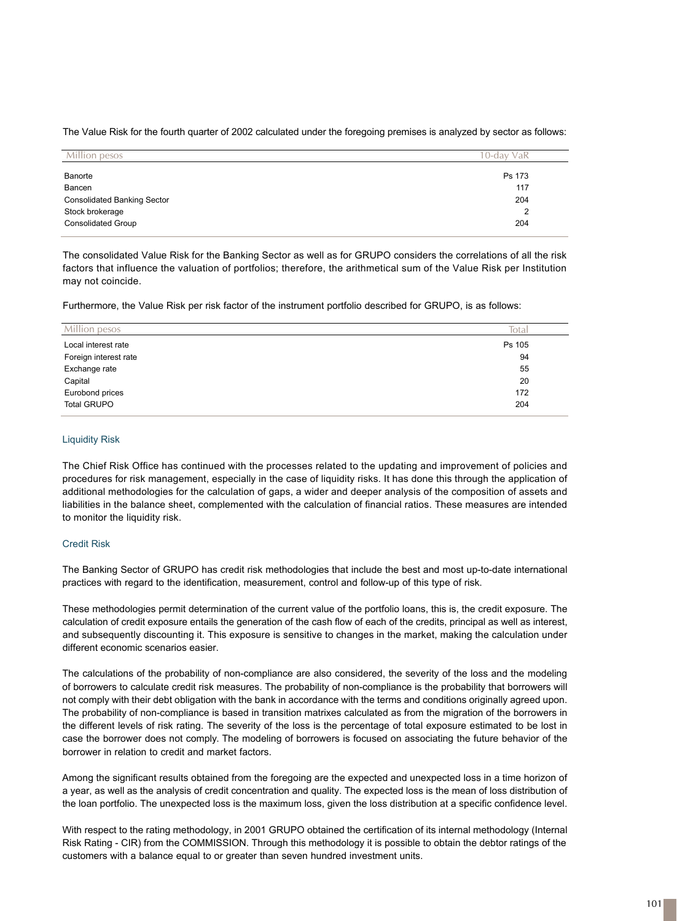The Value Risk for the fourth quarter of 2002 calculated under the foregoing premises is analyzed by sector as follows:

| Million pesos                      | 10-dav VaR |  |
|------------------------------------|------------|--|
| Banorte                            | Ps 173     |  |
| Bancen                             | 117        |  |
| <b>Consolidated Banking Sector</b> | 204        |  |
| Stock brokerage                    | 2          |  |
| <b>Consolidated Group</b>          | 204        |  |

The consolidated Value Risk for the Banking Sector as well as for GRUPO considers the correlations of all the risk factors that influence the valuation of portfolios; therefore, the arithmetical sum of the Value Risk per Institution may not coincide.

Furthermore, the Value Risk per risk factor of the instrument portfolio described for GRUPO, is as follows:

| Million pesos         | Total  |
|-----------------------|--------|
| Local interest rate   | Ps 105 |
| Foreign interest rate | 94     |
| Exchange rate         | 55     |
| Capital               | 20     |
| Eurobond prices       | 172    |
| <b>Total GRUPO</b>    | 204    |

## Liquidity Risk

The Chief Risk Office has continued with the processes related to the updating and improvement of policies and procedures for risk management, especially in the case of liquidity risks. It has done this through the application of additional methodologies for the calculation of gaps, a wider and deeper analysis of the composition of assets and liabilities in the balance sheet, complemented with the calculation of financial ratios. These measures are intended to monitor the liquidity risk.

## Credit Risk

The Banking Sector of GRUPO has credit risk methodologies that include the best and most up-to-date international practices with regard to the identification, measurement, control and follow-up of this type of risk.

These methodologies permit determination of the current value of the portfolio loans, this is, the credit exposure. The calculation of credit exposure entails the generation of the cash flow of each of the credits, principal as well as interest, and subsequently discounting it. This exposure is sensitive to changes in the market, making the calculation under different economic scenarios easier.

The calculations of the probability of non-compliance are also considered, the severity of the loss and the modeling of borrowers to calculate credit risk measures. The probability of non-compliance is the probability that borrowers will not comply with their debt obligation with the bank in accordance with the terms and conditions originally agreed upon. The probability of non-compliance is based in transition matrixes calculated as from the migration of the borrowers in the different levels of risk rating. The severity of the loss is the percentage of total exposure estimated to be lost in case the borrower does not comply. The modeling of borrowers is focused on associating the future behavior of the borrower in relation to credit and market factors.

Among the significant results obtained from the foregoing are the expected and unexpected loss in a time horizon of a year, as well as the analysis of credit concentration and quality. The expected loss is the mean of loss distribution of the loan portfolio. The unexpected loss is the maximum loss, given the loss distribution at a specific confidence level.

With respect to the rating methodology, in 2001 GRUPO obtained the certification of its internal methodology (Internal Risk Rating - CIR) from the COMMISSION. Through this methodology it is possible to obtain the debtor ratings of the customers with a balance equal to or greater than seven hundred investment units.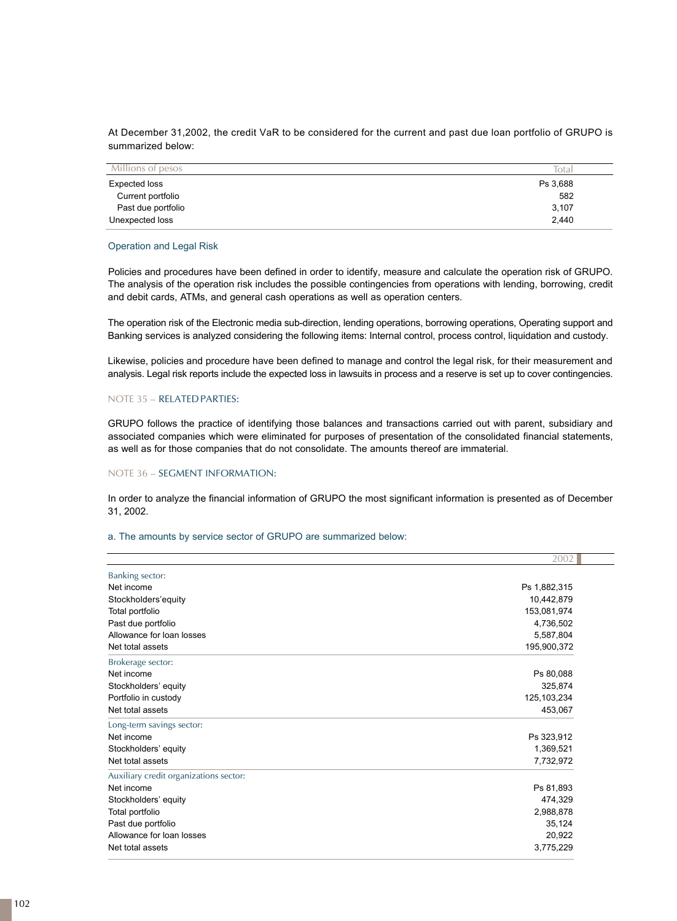At December 31,2002, the credit VaR to be considered for the current and past due loan portfolio of GRUPO is summarized below:

| Millions of pesos  | Total    |
|--------------------|----------|
| Expected loss      | Ps 3,688 |
| Current portfolio  | 582      |
| Past due portfolio | 3,107    |
| Unexpected loss    | 2,440    |

## Operation and Legal Risk

Policies and procedures have been defined in order to identify, measure and calculate the operation risk of GRUPO. The analysis of the operation risk includes the possible contingencies from operations with lending, borrowing, credit and debit cards, ATMs, and general cash operations as well as operation centers.

The operation risk of the Electronic media sub-direction, lending operations, borrowing operations, Operating support and Banking services is analyzed considering the following items: Internal control, process control, liquidation and custody.

Likewise, policies and procedure have been defined to manage and control the legal risk, for their measurement and analysis. Legal risk reports include the expected loss in lawsuits in process and a reserve is set up to cover contingencies.

## NOTE 35 – RELATED PARTIES:

GRUPO follows the practice of identifying those balances and transactions carried out with parent, subsidiary and associated companies which were eliminated for purposes of presentation of the consolidated financial statements, as well as for those companies that do not consolidate. The amounts thereof are immaterial.

## NOTE 36 – SEGMENT INFORMATION:

In order to analyze the financial information of GRUPO the most significant information is presented as of December 31, 2002.

#### a. The amounts by service sector of GRUPO are summarized below:

|                                        | 2002          |
|----------------------------------------|---------------|
| Banking sector:                        |               |
| Net income                             | Ps 1,882,315  |
| Stockholders'equity                    | 10,442,879    |
| Total portfolio                        | 153,081,974   |
| Past due portfolio                     | 4,736,502     |
| Allowance for loan losses              | 5,587,804     |
| Net total assets                       | 195,900,372   |
| Brokerage sector:                      |               |
| Net income                             | Ps 80,088     |
| Stockholders' equity                   | 325,874       |
| Portfolio in custody                   | 125, 103, 234 |
| Net total assets                       | 453,067       |
| Long-term savings sector:              |               |
| Net income                             | Ps 323,912    |
| Stockholders' equity                   | 1,369,521     |
| Net total assets                       | 7,732,972     |
| Auxiliary credit organizations sector: |               |
| Net income                             | Ps 81,893     |
| Stockholders' equity                   | 474,329       |
| Total portfolio                        | 2,988,878     |
| Past due portfolio                     | 35,124        |
| Allowance for loan losses              | 20,922        |
| Net total assets                       | 3,775,229     |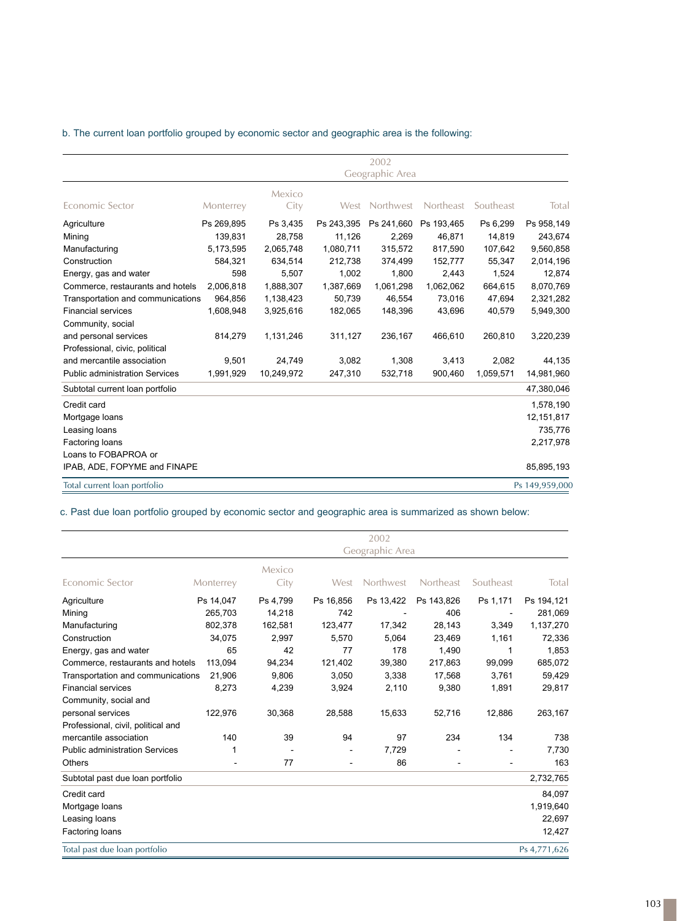## b. The current loan portfolio grouped by economic sector and geographic area is the following:

|                                       |                 |            |            | 2002       |            |           |                |  |
|---------------------------------------|-----------------|------------|------------|------------|------------|-----------|----------------|--|
|                                       | Geographic Area |            |            |            |            |           |                |  |
|                                       |                 | Mexico     |            |            |            |           |                |  |
| Economic Sector                       | Monterrey       | City       | West       | Northwest  | Northeast  | Southeast | Total          |  |
| Agriculture                           | Ps 269,895      | Ps 3,435   | Ps 243,395 | Ps 241,660 | Ps 193,465 | Ps 6,299  | Ps 958,149     |  |
| Mining                                | 139,831         | 28,758     | 11,126     | 2,269      | 46,871     | 14,819    | 243,674        |  |
| Manufacturing                         | 5,173,595       | 2,065,748  | 1,080,711  | 315,572    | 817,590    | 107,642   | 9,560,858      |  |
| Construction                          | 584,321         | 634,514    | 212,738    | 374,499    | 152,777    | 55,347    | 2,014,196      |  |
| Energy, gas and water                 | 598             | 5,507      | 1,002      | 1,800      | 2,443      | 1,524     | 12,874         |  |
| Commerce, restaurants and hotels      | 2,006,818       | 1,888,307  | 1,387,669  | 1,061,298  | 1,062,062  | 664,615   | 8,070,769      |  |
| Transportation and communications     | 964.856         | 1,138,423  | 50,739     | 46.554     | 73,016     | 47,694    | 2,321,282      |  |
| <b>Financial services</b>             | 1,608,948       | 3,925,616  | 182,065    | 148,396    | 43,696     | 40,579    | 5,949,300      |  |
| Community, social                     |                 |            |            |            |            |           |                |  |
| and personal services                 | 814,279         | 1,131,246  | 311,127    | 236,167    | 466,610    | 260,810   | 3,220,239      |  |
| Professional, civic, political        |                 |            |            |            |            |           |                |  |
| and mercantile association            | 9,501           | 24,749     | 3,082      | 1,308      | 3,413      | 2,082     | 44,135         |  |
| <b>Public administration Services</b> | 1,991,929       | 10,249,972 | 247,310    | 532,718    | 900,460    | 1,059,571 | 14,981,960     |  |
| Subtotal current loan portfolio       |                 |            |            |            |            |           | 47,380,046     |  |
| Credit card                           |                 |            |            |            |            |           | 1,578,190      |  |
| Mortgage loans                        |                 |            |            |            |            |           | 12, 151, 817   |  |
| Leasing loans                         |                 |            |            |            |            |           | 735,776        |  |
| Factoring loans                       |                 |            |            |            |            |           | 2,217,978      |  |
| Loans to FOBAPROA or                  |                 |            |            |            |            |           |                |  |
| IPAB, ADE, FOPYME and FINAPE          |                 |            |            |            |            |           | 85,895,193     |  |
| Total current loan portfolio          |                 |            |            |            |            |           | Ps 149,959,000 |  |

c. Past due loan portfolio grouped by economic sector and geographic area is summarized as shown below:

|                                       | 2002<br>Geographic Area |                |           |           |                  |           |              |
|---------------------------------------|-------------------------|----------------|-----------|-----------|------------------|-----------|--------------|
| Economic Sector                       | Monterrey               | Mexico<br>City | West      | Northwest | <b>Northeast</b> | Southeast | Total        |
| Agriculture                           | Ps 14,047               | Ps 4,799       | Ps 16,856 | Ps 13,422 | Ps 143,826       | Ps 1,171  | Ps 194,121   |
| Mining                                | 265,703                 | 14,218         | 742       |           | 406              |           | 281,069      |
| Manufacturing                         | 802,378                 | 162,581        | 123,477   | 17,342    | 28,143           | 3,349     | 1,137,270    |
| Construction                          | 34,075                  | 2,997          | 5,570     | 5,064     | 23,469           | 1,161     | 72,336       |
| Energy, gas and water                 | 65                      | 42             | 77        | 178       | 1,490            | 1         | 1,853        |
| Commerce, restaurants and hotels      | 113,094                 | 94,234         | 121,402   | 39,380    | 217,863          | 99,099    | 685,072      |
| Transportation and communications     | 21,906                  | 9,806          | 3,050     | 3,338     | 17,568           | 3,761     | 59,429       |
| <b>Financial services</b>             | 8,273                   | 4,239          | 3,924     | 2,110     | 9,380            | 1,891     | 29,817       |
| Community, social and                 |                         |                |           |           |                  |           |              |
| personal services                     | 122,976                 | 30,368         | 28,588    | 15,633    | 52,716           | 12,886    | 263,167      |
| Professional, civil, political and    |                         |                |           |           |                  |           |              |
| mercantile association                | 140                     | 39             | 94        | 97        | 234              | 134       | 738          |
| <b>Public administration Services</b> | 1                       |                |           | 7,729     |                  |           | 7,730        |
| Others                                |                         | 77             |           | 86        |                  |           | 163          |
| Subtotal past due loan portfolio      |                         |                |           |           |                  |           | 2,732,765    |
| Credit card                           |                         |                |           |           |                  |           | 84,097       |
| Mortgage loans                        |                         |                |           |           |                  |           | 1,919,640    |
| Leasing loans                         |                         |                |           |           |                  |           | 22,697       |
| Factoring loans                       |                         |                |           |           |                  |           | 12,427       |
| Total past due loan portfolio         |                         |                |           |           |                  |           | Ps 4,771,626 |